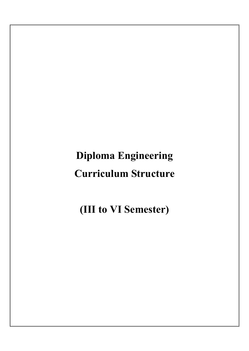# Diploma Engineering Curriculum Structure

(III to VI Semester)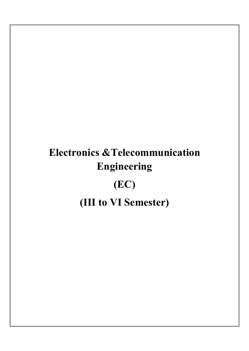# Electronics &Telecommunication Engineering (EC)

(III to VI Semester)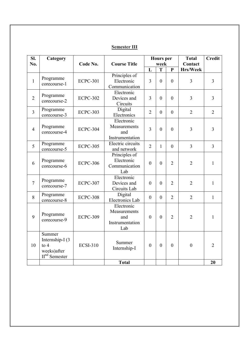| SI.<br>No.     | Category                                                                | Code No.        | <b>Course Title</b>                                         | <b>Hours</b> per<br>week |                | <b>Total</b><br>Contact | <b>Credit</b>  |                |
|----------------|-------------------------------------------------------------------------|-----------------|-------------------------------------------------------------|--------------------------|----------------|-------------------------|----------------|----------------|
|                |                                                                         |                 |                                                             | L                        | T              | $\mathbf{P}$            | Hrs/Week       |                |
| $\mathbf{1}$   | Programme<br>corecourse-1                                               | <b>ECPC-301</b> | Principles of<br>Electronic<br>Communication                | $\overline{3}$           | $\overline{0}$ | $\mathbf{0}$            | $\overline{3}$ | $\overline{3}$ |
| $\overline{2}$ | Programme<br>corecourse-2                                               | <b>ECPC-302</b> | Electronic<br>Devices and<br>Circuits                       | $\overline{3}$           | $\theta$       | $\theta$                | $\overline{3}$ | $\overline{3}$ |
| $\overline{3}$ | Programme<br>corecourse-3                                               | <b>ECPC-303</b> | Digital<br>Electronics                                      | $\overline{2}$           | $\overline{0}$ | $\mathbf{0}$            | $\overline{2}$ | $\overline{2}$ |
| $\overline{4}$ | Programme<br>corecourse-4                                               | <b>ECPC-304</b> | Electronic<br>Measurements<br>and<br>Instrumentation        | $\overline{3}$           | $\theta$       | $\overline{0}$          | $\overline{3}$ | 3              |
| 5              | Programme<br>corecourse-5                                               | <b>ECPC-305</b> | Electric circuits<br>and network                            | $\overline{2}$           | 1              | $\theta$                | $\overline{3}$ | $\overline{3}$ |
| 6              | Programme<br>corecourse-6                                               | <b>ECPC-306</b> | Principles of<br>Electronic<br>Communication<br>Lab         | $\overline{0}$           | $\theta$       | $\overline{2}$          | $\overline{2}$ | $\mathbf{1}$   |
| $\overline{7}$ | Programme<br>corecourse-7                                               | <b>ECPC-307</b> | Electronic<br>Devices and<br>Circuits Lab                   | $\theta$                 | $\theta$       | $\overline{2}$          | $\overline{2}$ | $\mathbf{1}$   |
| 8              | Programme<br>corecourse-8                                               | <b>ECPC-308</b> | Digital<br><b>Electronics Lab</b>                           | $\overline{0}$           | $\theta$       | $\overline{2}$          | $\overline{2}$ | $\mathbf{1}$   |
| 9              | Programme<br>corecourse-9                                               | <b>ECPC-309</b> | Electronic<br>Measurements<br>and<br>Instrumentation<br>Lab | $\theta$                 | $\theta$       | $\overline{2}$          | $\overline{2}$ | 1              |
| 10             | Summer<br>Internship-I (3)<br>to $4$<br>weeks) after<br>$IInd$ Semester | <b>ECSI-310</b> | Summer<br>Internship-I                                      | $\overline{0}$           | $\theta$       | $\mathbf{0}$            | $\overline{0}$ | $\overline{2}$ |
|                |                                                                         |                 | <b>Total</b>                                                |                          |                |                         |                | 20             |

## Semester III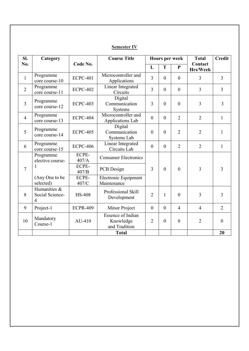| SI.            | Category                             |                 | <b>Course Title</b>                                    | <b>Hours per week</b> |                |                  | <b>Total</b>               | <b>Credit</b>  |
|----------------|--------------------------------------|-----------------|--------------------------------------------------------|-----------------------|----------------|------------------|----------------------------|----------------|
| No.            |                                      | Code No.        |                                                        | L                     | T              | ${\bf P}$        | Contact<br><b>Hrs/Week</b> |                |
| $\mathbf{1}$   | Programme<br>core course-10          | <b>ECPC-401</b> | Microcontroller and<br>Applications                    | $\overline{3}$        | $\mathbf{0}$   | $\mathbf{0}$     | 3                          | $\overline{3}$ |
| $\overline{2}$ | Programme<br>core course-11          | <b>ECPC-402</b> | Linear Integrated<br>Circuits                          | $\overline{3}$        | $\mathbf{0}$   | $\overline{0}$   | $\overline{3}$             | $\overline{3}$ |
| $\overline{3}$ | Programme<br>core course-12          | <b>ECPC-403</b> | Digital<br>Communication<br>Systems                    | $\overline{3}$        | $\overline{0}$ | $\overline{0}$   | $\overline{3}$             | $\overline{3}$ |
| $\overline{4}$ | Programme<br>core course-13          | <b>ECPC-404</b> | Microcontroller and<br>Applications Lab                | $\overline{0}$        | $\overline{0}$ | $\overline{2}$   | $\overline{2}$             | $\mathbf{1}$   |
| 5              | Programme<br>core course-14          | <b>ECPC-405</b> | Digital<br>Communication<br>Systems Lab                | $\theta$              | $\overline{0}$ | $\overline{2}$   | $\overline{2}$             | $\mathbf{1}$   |
| 6              | Programme<br>core course-15          | <b>ECPC-406</b> | Linear Integrated<br>Circuits Lab                      | $\mathbf{0}$          | $\theta$       | $\overline{2}$   | $\overline{2}$             | $\mathbf{1}$   |
|                | Programme<br>elective course-        | ECPE-<br>407/A  | <b>Consumer Electronics</b>                            |                       |                |                  |                            |                |
| $\overline{7}$ |                                      | ECPE-<br>407/B  | PCB Design                                             | 3                     | $\overline{0}$ | $\overline{0}$   | $\overline{3}$             | $\overline{3}$ |
|                | (Any One to be<br>selected)          | ECPE-<br>407/C  | Electronic Equipment<br>Maintenance                    |                       |                |                  |                            |                |
| 8              | Humanities &<br>Social Science-<br>4 | <b>HS-408</b>   | Professional Skill<br>Development                      | $\overline{2}$        | $\mathbf{1}$   | $\overline{0}$   | 3                          | $\overline{3}$ |
| 9              | Project-1                            | <b>ECPR-409</b> | Minor Project                                          | $\mathbf{0}$          | $\mathbf{0}$   | $\overline{4}$   | $\overline{4}$             | $\overline{2}$ |
| 10             | Mandatory<br>Course-1                | $AU-410$        | <b>Essence of Indian</b><br>Knowledge<br>and Tradition | $\overline{2}$        | $\overline{0}$ | $\boldsymbol{0}$ | $\overline{2}$             | $\overline{0}$ |
|                |                                      |                 | <b>Total</b>                                           |                       |                |                  |                            | 20             |

## Semester IV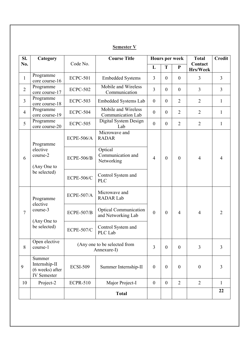| SI.            | Category                                                         |                                             | <b>Course Title</b>                                |                  |                  | <b>Hours per week</b> | <b>Total</b>        | <b>Credit</b>  |
|----------------|------------------------------------------------------------------|---------------------------------------------|----------------------------------------------------|------------------|------------------|-----------------------|---------------------|----------------|
| No.            |                                                                  | Code No.                                    |                                                    | L                | T                | ${\bf P}$             | Contact<br>Hrs/Week |                |
| $\mathbf{1}$   | Programme<br>core course-16                                      | <b>ECPC-501</b>                             | <b>Embedded Systems</b>                            | $\overline{3}$   | $\theta$         | $\mathbf{0}$          | 3                   | $\overline{3}$ |
| $\overline{2}$ | Programme<br>core course-17                                      | <b>ECPC-502</b>                             | Mobile and Wireless<br>Communication               | $\overline{3}$   | $\boldsymbol{0}$ | $\boldsymbol{0}$      | $\overline{3}$      | $\overline{3}$ |
| $\overline{3}$ | Programme<br>core course-18                                      | <b>ECPC-503</b>                             | Embedded Systems Lab                               | $\boldsymbol{0}$ | $\boldsymbol{0}$ | $\overline{2}$        | $\overline{2}$      | $\mathbf{1}$   |
| $\overline{4}$ | Programme<br>core course-19                                      | <b>ECPC-504</b>                             | Mobile and Wireless<br>Communication Lab           | $\boldsymbol{0}$ | $\boldsymbol{0}$ | $\overline{2}$        | $\overline{2}$      | $\mathbf{1}$   |
| 5              | Programme<br>core course-20                                      | <b>ECPC-505</b>                             | Digital System Design<br>Lab                       | $\boldsymbol{0}$ | $\boldsymbol{0}$ | $\overline{2}$        | $\overline{2}$      | $\mathbf{1}$   |
|                | Programme                                                        | <b>ECPE-506/A</b>                           | Microwave and<br><b>RADAR</b>                      |                  |                  |                       |                     |                |
| 6              | elective<br>course-2<br>(Any One to                              | <b>ECPE-506/B</b>                           | Optical<br>Communication and<br>Networking         | $\overline{4}$   | $\mathbf{0}$     | $\mathbf{0}$          | $\overline{4}$      | $\overline{4}$ |
|                | be selected)                                                     | <b>ECPE-506/C</b>                           | Control System and<br><b>PLC</b>                   |                  |                  |                       |                     |                |
|                | Programme<br>elective                                            | <b>ECPE-507/A</b>                           | Microwave and<br><b>RADAR Lab</b>                  |                  |                  |                       |                     |                |
| $\overline{7}$ | course-3                                                         | <b>ECPE-507/B</b>                           | <b>Optical Communication</b><br>and Networking Lab | $\mathbf{0}$     | $\boldsymbol{0}$ | $\overline{4}$        | $\overline{4}$      | $\overline{2}$ |
|                | (Any One to<br>be selected)                                      | <b>ECPE-507/C</b>                           | Control System and<br>PLC Lab                      |                  |                  |                       |                     |                |
| 8              | Open elective<br>course-1                                        | (Any one to be selected from<br>Annexure-I) |                                                    | $\overline{3}$   | $\mathbf{0}$     | $\mathbf{0}$          | $\overline{3}$      | $\overline{3}$ |
| 9              | Summer<br>Internship-II<br>(6 weeks) after<br><b>IV</b> Semester | <b>ECSI-509</b>                             | Summer Internship-II                               | $\boldsymbol{0}$ | $\boldsymbol{0}$ | $\boldsymbol{0}$      | $\mathbf{0}$        | $\overline{3}$ |
| 10             | Project-2                                                        | <b>ECPR-510</b>                             | Major Project-I                                    | $\boldsymbol{0}$ | $\boldsymbol{0}$ | $\overline{2}$        | $\overline{2}$      | $\mathbf{1}$   |
|                |                                                                  |                                             | <b>Total</b>                                       |                  |                  |                       |                     | 22             |

# Semester V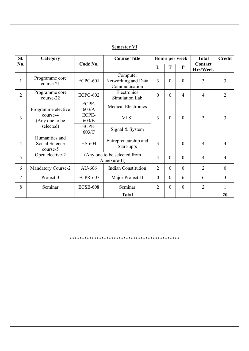| Semester V |  |
|------------|--|
|            |  |

| SI.            | Category                                     |                                              | <b>Course Title</b>                              |                |          | <b>Hours per week</b> | <b>Total</b>        | <b>Credit</b>  |
|----------------|----------------------------------------------|----------------------------------------------|--------------------------------------------------|----------------|----------|-----------------------|---------------------|----------------|
| No.            |                                              | Code No.                                     |                                                  | L              | T        | ${\bf P}$             | Contact<br>Hrs/Week |                |
| 1              | Programme core<br>course-21                  | <b>ECPC-601</b>                              | Computer<br>Networking and Data<br>Communication | $\overline{3}$ | $\theta$ | $\mathbf{0}$          | 3                   | 3              |
| $\overline{2}$ | Programme core<br>course-22                  | <b>ECPC-602</b>                              | Electronics<br>Simulation Lab                    | $\mathbf{0}$   | $\Omega$ | $\overline{4}$        | $\overline{4}$      | $\overline{2}$ |
|                | Programme elective                           | ECPE-<br>603/A                               | <b>Medical Electronics</b>                       |                |          |                       |                     |                |
| $\overline{3}$ | course-4<br>(Any one to be                   | ECPE-<br>603/B                               | <b>VLSI</b>                                      | 3              | $\theta$ | $\theta$              | 3                   | 3              |
|                | selected)                                    | ECPE-<br>603/C                               | Signal & System                                  |                |          |                       |                     |                |
| $\overline{4}$ | Humanities and<br>Social Science<br>course-5 | HS-604                                       | Entrepreneurship and<br>Start-up's               | 3              |          | $\mathbf{0}$          | $\overline{4}$      | $\overline{4}$ |
| 5              | Open elective-2                              | (Any one to be selected from<br>Annexure-II) |                                                  | $\overline{4}$ | $\theta$ | $\theta$              | $\overline{4}$      | $\overline{4}$ |
| 6              | <b>Mandatory Course-2</b>                    | AU-606                                       | <b>Indian Constitution</b>                       | $\overline{2}$ | $\theta$ | $\theta$              | $\overline{2}$      | $\mathbf{0}$   |
| 7              | Project-3                                    | <b>ECPR-607</b>                              | Major Project-II                                 | $\overline{0}$ | $\theta$ | 6                     | 6                   | 3              |
| 8              | Seminar                                      | <b>ECSE-608</b>                              | Seminar                                          | $\overline{2}$ | $\theta$ | $\theta$              | $\overline{2}$      | 1              |
|                |                                              |                                              | <b>Total</b>                                     |                |          |                       |                     | 20             |

\*\*\*\*\*\*\*\*\*\*\*\*\*\*\*\*\*\*\*\*\*\*\*\*\*\*\*\*\*\*\*\*\*\*\*\*\*\*\*\*\*\*\*\*\*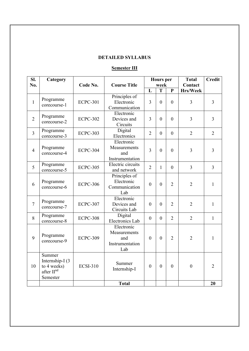## DETAILED SYLLABUS

# Semester III

| SI.<br>No.     | Category                                                                        | Code No.        | <b>Course Title</b>                                         | <b>Hours</b> per<br>week |                | <b>Total</b><br>Contact | <b>Credit</b>    |                |
|----------------|---------------------------------------------------------------------------------|-----------------|-------------------------------------------------------------|--------------------------|----------------|-------------------------|------------------|----------------|
|                |                                                                                 |                 |                                                             | L                        | T              | $\mathbf{P}$            | Hrs/Week         |                |
| $\mathbf{1}$   | Programme<br>corecourse-1                                                       | <b>ECPC-301</b> | Principles of<br>Electronic<br>Communication                | $\overline{3}$           | $\theta$       | $\theta$                | $\overline{3}$   | $\overline{3}$ |
| $\overline{2}$ | Programme<br>corecourse-2                                                       | <b>ECPC-302</b> | Electronic<br>Devices and<br>Circuits                       | $\overline{3}$           | $\mathbf{0}$   | $\mathbf{0}$            | $\overline{3}$   | $\overline{3}$ |
| $\overline{3}$ | Programme<br>corecourse-3                                                       | <b>ECPC-303</b> | Digital<br>Electronics                                      | $\overline{2}$           | $\mathbf{0}$   | $\mathbf{0}$            | $\overline{2}$   | $\overline{2}$ |
| $\overline{4}$ | Programme<br>corecourse-4                                                       | <b>ECPC-304</b> | Electronic<br>Measurements<br>and<br>Instrumentation        | $\overline{3}$           | $\overline{0}$ | $\mathbf{0}$            | 3                | 3              |
| 5              | Programme<br>corecourse-5                                                       | <b>ECPC-305</b> | Electric circuits<br>and network                            | $\overline{2}$           | $\mathbf{1}$   | $\mathbf{0}$            | $\overline{3}$   | $\overline{3}$ |
| 6              | Programme<br>corecourse-6                                                       | <b>ECPC-306</b> | Principles of<br>Electronic<br>Communication<br>Lab         | $\overline{0}$           | $\overline{0}$ | $\overline{2}$          | $\overline{2}$   | $\mathbf{1}$   |
| $\overline{7}$ | Programme<br>corecourse-7                                                       | <b>ECPC-307</b> | Electronic<br>Devices and<br>Circuits Lab                   | $\overline{0}$           | $\overline{0}$ | $\overline{2}$          | $\overline{2}$   | $\mathbf{1}$   |
| 8              | Programme<br>corecourse-8                                                       | <b>ECPC-308</b> | Digital<br><b>Electronics Lab</b>                           | $\overline{0}$           | $\mathbf{0}$   | $\overline{2}$          | $\overline{2}$   | $\mathbf{1}$   |
| 9              | Programme<br>corecourse-9                                                       | <b>ECPC-309</b> | Electronic<br>Measurements<br>and<br>Instrumentation<br>Lab | $\overline{0}$           | $\overline{0}$ | $\overline{2}$          | $\overline{2}$   | $\mathbf{1}$   |
| 10             | Summer<br>Internship-I (3)<br>to 4 weeks)<br>after II <sup>nd</sup><br>Semester | <b>ECSI-310</b> | Summer<br>Internship-I                                      | $\overline{0}$           | $\overline{0}$ | $\boldsymbol{0}$        | $\boldsymbol{0}$ | $\overline{2}$ |
|                |                                                                                 |                 | <b>Total</b>                                                |                          |                |                         |                  | 20             |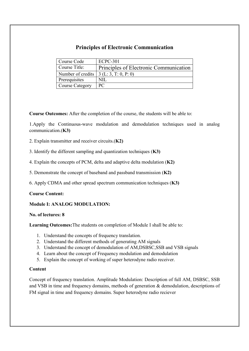## Principles of Electronic Communication

| Course Code                                      | <b>ECPC-301</b>                        |
|--------------------------------------------------|----------------------------------------|
| Course Title:                                    | Principles of Electronic Communication |
| Number of credits $\vert 3(L:3, T:0, P:0) \vert$ |                                        |
| <b>Prerequisites</b>                             | NIL.                                   |
| Course Category                                  | PC                                     |

Course Outcomes: After the completion of the course, the students will be able to:

1.Apply the Continuous-wave modulation and demodulation techniques used in analog communication.(K3)

- 2. Explain transmitter and receiver circuits.(K2)
- 3. Identify the different sampling and quantization techniques (K3)
- 4. Explain the concepts of PCM, delta and adaptive delta modulation (K2)
- 5. Demonstrate the concept of baseband and passband transmission (K2)
- 6. Apply CDMA and other spread spectrum communication techniques (K3)

#### Course Content:

#### Module I: ANALOG MODULATION:

#### No. of lectures: 8

Learning Outcomes:The students on completion of Module I shall be able to:

- 1. Understand the concepts of frequency translation.
- 2. Understand the different methods of generating AM signals
- 3. Understand the concept of demodulation of AM,DSBSC,SSB and VSB signals
- 4. Learn about the concept of Frequency modulation and demodulation
- 5. Explain the concept of working of super heterodyne radio receiver.

#### Content

Concept of frequency translation. Amplitude Modulation: Description of full AM, DSBSC, SSB and VSB in time and frequency domains, methods of generation & demodulation, descriptions of FM signal in time and frequency domains. Super heterodyne radio reciever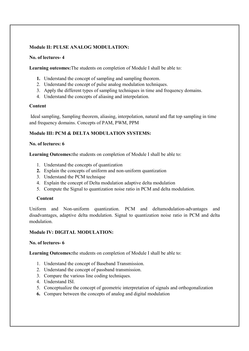#### Module II: PULSE ANALOG MODULATION:

#### No. of lectures- 4

Learning outcomes:The students on completion of Module I shall be able to:

- 1. Understand the concept of sampling and sampling theorem.
- 2. Understand the concept of pulse analog modulation techniques.
- 3. Apply the different types of sampling techniques in time and frequency domains.
- 4. Understand the concepts of aliasing and interpolation.

#### Content

Ideal sampling, Sampling theorem, aliasing, interpolation, natural and flat top sampling in time and frequency domains. Concepts of PAM, PWM, PPM

#### Module III: PCM & DELTA MODULATION SYSTEMS:

#### No. of lectures: 6

Learning Outcomes:the students on completion of Module I shall be able to:

- 1. Understand the concepts of quantization
- 2. Explain the concepts of uniform and non-uniform quantization
- 3. Understand the PCM technique
- 4. Explain the concept of Delta modulation adaptive delta modulation
- 5. Compute the Signal to quantization noise ratio in PCM and delta modulation.

#### **Content**

Uniform and Non-uniform quantization. PCM and deltamodulation-advantages and disadvantages, adaptive delta modulation. Signal to quantization noise ratio in PCM and delta modulation.

#### Module IV: DIGITAL MODULATION:

#### No. of lectures- 6

Learning Outcomes:the students on completion of Module I shall be able to:

- 1. Understand the concept of Baseband Transmission.
- 2. Understand the concept of passband transmission.
- 3. Compare the various line coding techniques.
- 4. Understand ISI.
- 5. Conceptualize the concept of geometric interpretation of signals and orthogonalization
- 6. Compare between the concepts of analog and digital modulation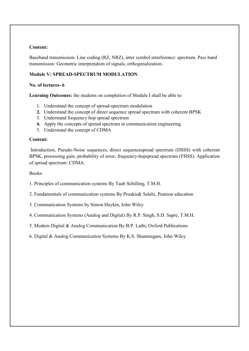#### Content:

Baseband transmission: Line coding (RZ, NRZ), inter symbol interference: spectrum. Pass band transmission: Geometric interpretation of signals, orthogonalization.

#### Module V: SPREAD-SPECTRUM MODULATION:

#### No. of lectures- 6

Learning Outcomes: the students on completion of Module I shall be able to:

- 1. Understand the concept of spread-spectrum modulation
- 2. Understand the concept of direct sequence spread spectrum with coherent BPSK
- 3. Understand frequency hop spread spectrum
- 4. Apply the concepts of spread spectrum in communication engineering
- 5. Understand the concept of CDMA

#### Content:

Introduction, Pseudo-Noise sequences, direct sequencespread spectrum (DSSS) with coherent BPSK, processing gain, probability of error, frequency-hopspread spectrum (FHSS). Application of spread spectrum: CDMA.

Books:

1. Principles of communication systems By Taub Schilling, T.M.H.

2. Fundamentals of communication systems By Proakis& Salehi, Pearson education

3. Communication Systems by Simon Haykin, John Wiley

4. Communication Systems (Analog and Digital) By R.P. Singh, S.D. Sapre, T.M.H.

5. Modern Digital & Analog Communication By B.P. Lathi, Oxford Publications

6. Digital & Analog Communication Systems By K.S. Shanmugam, John Wiley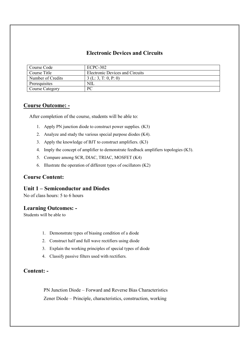## Electronic Devices and Circuits

| Course Code            | ECPC-302                        |
|------------------------|---------------------------------|
| Course Title           | Electronic Devices and Circuits |
| Number of Credits      | 3(L: 3, T: 0, P: 0)             |
| Prerequisites          | NIL                             |
| <b>Course Category</b> | PС                              |

## Course Outcome: -

After completion of the course, students will be able to:

- 1. Apply PN junction diode to construct power supplies. (K3)
- 2. Analyze and study the various special purpose diodes (K4).
- 3. Apply the knowledge of BJT to construct amplifiers. (K3)
- 4. Imply the concept of amplifier to demonstrate feedback amplifiers topologies (K3).
- 5. Compare among SCR, DIAC, TRIAC, MOSFET (K4)
- 6. Illustrate the operation of different types of oscillators  $(K2)$

#### Course Content:

#### Unit 1 – Semiconductor and Diodes

No of class hours: 5 to 6 hours

#### Learning Outcomes: -

Students will be able to

- 1. Demonstrate types of biasing condition of a diode
- 2. Construct half and full wave rectifiers using diode
- 3. Explain the working principles of special types of diode
- 4. Classify passive filters used with rectifiers.

#### Content: -

PN Junction Diode – Forward and Reverse Bias Characteristics Zener Diode – Principle, characteristics, construction, working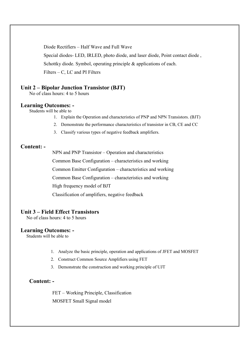Diode Rectifiers – Half Wave and Full Wave Special diodes- LED, IRLED, photo diode, and laser diode, Point contact diode , Schottky diode. Symbol, operating principle & applications of each. Filters – C, LC and PI Filters

### Unit 2 – Bipolar Junction Transistor (BJT)

No of class hours: 4 to 5 hours

#### Learning Outcomes: -

Students will be able to

- 1. Explain the Operation and characteristics of PNP and NPN Transistors. (BJT)
- 2. Demonstrate the performance characteristics of transistor in CB, CE and CC
- 3. Classify various types of negative feedback amplifiers.

#### Content: -

NPN and PNP Transistor – Operation and characteristics

Common Base Configuration – characteristics and working

Common Emitter Configuration – characteristics and working

Common Base Configuration – characteristics and working

High frequency model of BJT

Classification of amplifiers, negative feedback

#### Unit 3 – Field Effect Transistors

No of class hours: 4 to 5 hours

#### Learning Outcomes: -

Students will be able to

- 1. Analyze the basic principle, operation and applications of JFET and MOSFET
- 2. Construct Common Source Amplifiers using FET
- 3. Demonstrate the construction and working principle of UJT

## Content: -

FET – Working Principle, Classification MOSFET Small Signal model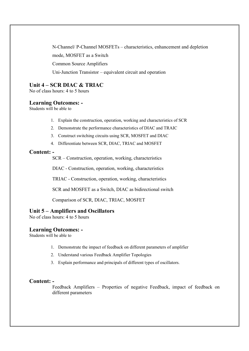N-Channel/ P-Channel MOSFETs – characteristics, enhancement and depletion mode, MOSFET as a Switch Common Source Amplifiers Uni-Junction Transistor – equivalent circuit and operation

## Unit 4 – SCR DIAC & TRIAC

No of class hours: 4 to 5 hours

#### Learning Outcomes: -

Students will be able to

- 1. Explain the construction, operation, working and characteristics of SCR
- 2. Demonstrate the performance characteristics of DIAC and TRAIC
- 3. Construct switching circuits using SCR, MOSFET and DIAC
- 4. Differentiate between SCR, DIAC, TRIAC and MOSFET

### Content: -

SCR – Construction, operation, working, characteristics

DIAC - Construction, operation, working, characteristics

TRIAC - Construction, operation, working, characteristics

SCR and MOSFET as a Switch, DIAC as bidirectional switch

Comparison of SCR, DIAC, TRIAC, MOSFET

#### Unit 5 – Amplifiers and Oscillators

No of class hours: 4 to 5 hours

#### Learning Outcomes: -

Students will be able to

- 1. Demonstrate the impact of feedback on different parameters of amplifier
- 2. Understand various Feedback Amplifier Topologies
- 3. Explain performance and principals of different types of oscillators.

#### Content: -

Feedback Amplifiers – Properties of negative Feedback, impact of feedback on different parameters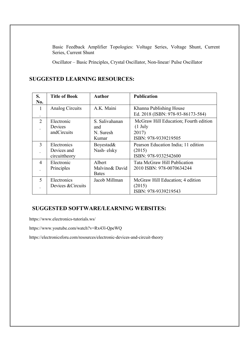Basic Feedback Amplifier Topologies: Voltage Series, Voltage Shunt, Current Series, Current Shunt

Oscillator – Basic Principles, Crystal Oscillator, Non-linear/ Pulse Oscillator

## SUGGESTED LEARNING RESOURCES:

| S.<br>No.                   | <b>Title of Book</b>                        | <b>Author</b>                               | <b>Publication</b>                                                                           |
|-----------------------------|---------------------------------------------|---------------------------------------------|----------------------------------------------------------------------------------------------|
| 1                           | Analog Circuits                             | A.K. Maini                                  | Khanna Publishing House<br>Ed. 2018 (ISBN: 978-93-86173-584)                                 |
| $\mathcal{D}_{\mathcal{L}}$ | Electronic<br>Devices<br>andCircuits        | S. Salivahanan<br>and<br>N. Suresh<br>Kumar | McGraw Hill Education; Fourth edition<br>$(1 \text{ July})$<br>2017)<br>ISBN: 978-9339219505 |
| 3                           | Electronics<br>Devices and<br>circuittheory | Boyestad&<br>Nash-elsky                     | Pearson Education India; 11 edition<br>(2015)<br>ISBN: 978-9332542600                        |
| 4                           | Electronic<br>Principles                    | Albert<br>Malvino& David<br><b>Bates</b>    | Tata McGraw Hill Publication<br>2010 ISBN: 978-0070634244                                    |
| 5                           | Electronics<br>Devices & Circuits           | Jacob Millman                               | McGraw Hill Education; 4 edition<br>(2015)<br>ISBN: 978-9339219543                           |

## SUGGESTED SOFTWARE/LEARNING WEBSITES:

https://www.electronics-tutorials.ws/

https://www.youtube.com/watch?v=Rx43l-QpeWQ

https://electronicsforu.com/resources/electronic-devices-and-circuit-theory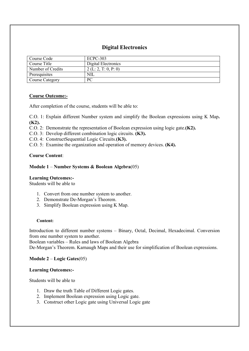## Digital Electronics

| Course Code            | ECPC-303             |
|------------------------|----------------------|
| Course Title           | Digital Electronics  |
| Number of Credits      | 2 (L: 2, T: 0, P: 0) |
| Prerequisites          | NIL                  |
| <b>Course Category</b> | PC                   |

#### Course Outcome:-

After completion of the course, students will be able to:

C.O. 1: Explain different Number system and simplify the Boolean expressions using K Map. (K2).

- C.O. 2: Demonstrate the representation of Boolean expression using logic gate.(K2).
- C.O. 3: Develop different combination logic circuits. (K3).
- C.O. 4: ConstructSequential Logic Circuits.(K3).
- C.O. 5: Examine the organization and operation of memory devices. (K4).

#### Course Content:

#### Module 1 – Number Systems & Boolean Algebra(05)

#### Learning Outcomes:-

Students will be able to

- 1. Convert from one number system to another.
- 2. Demonstrate De-Morgan's Theorem.
- 3. Simplify Boolean expression using K Map.

#### Content:

Introduction to different number systems – Binary, Octal, Decimal, Hexadecimal. Conversion from one number system to another.

Boolean variables – Rules and laws of Boolean Algebra

De-Morgan's Theorem. Karnaugh Maps and their use for simplification of Boolean expressions.

#### Module 2 – Logic Gates(05)

#### Learning Outcomes:-

Students will be able to

- 1. Draw the truth Table of Different Logic gates.
- 2. Implement Boolean expression using Logic gate.
- 3. Construct other Logic gate using Universal Logic gate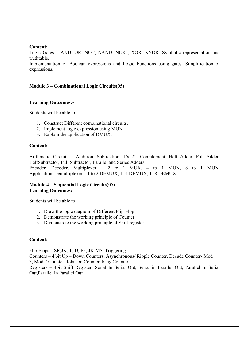#### Content:

Logic Gates – AND, OR, NOT, NAND, NOR , XOR, XNOR: Symbolic representation and truthtable.

Implementation of Boolean expressions and Logic Functions using gates. Simplification of expressions.

#### Module 3 – Combinational Logic Circuits(05)

#### Learning Outcomes:-

Students will be able to

- 1. Construct Different combinational circuits.
- 2. Implement logic expression using MUX.
- 3. Explain the application of DMUX.

#### Content:

Arithmetic Circuits – Addition, Subtraction, 1's 2's Complement, Half Adder, Full Adder, HalfSubtractor, Full Subtractor, Parallel and Series Adders Encoder, Decoder. Multiplexer – 2 to 1 MUX, 4 to 1 MUX, 8 to 1 MUX. ApplicationsDemultiplexer – 1 to 2 DEMUX, 1- 4 DEMUX, 1- 8 DEMUX

#### Module 4 – Sequential Logic Circuits(05) Learning Outcomes:-

Students will be able to

- 1. Draw the logic diagram of Different Flip-Flop
- 2. Demonstrate the working principle of Counter
- 3. Demonstrate the working principle of Shift register

#### Content:

Flip Flops – SR,JK, T, D, FF, JK-MS, Triggering Counters – 4 bit Up – Down Counters, Asynchronous/ Ripple Counter, Decade Counter- Mod 3, Mod 7 Counter, Johnson Counter, Ring Counter Registers – 4bit Shift Register: Serial In Serial Out, Serial in Parallel Out, Parallel In Serial Out,Parallel In Parallel Out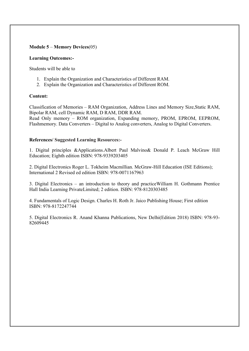#### Module 5 – Memory Devices(05)

#### Learning Outcomes:-

Students will be able to

- 1. Explain the Organization and Characteristics of Different RAM.
- 2. Explain the Organization and Characteristics of Different ROM.

#### Content:

Classification of Memories – RAM Organization, Address Lines and Memory Size,Static RAM, Bipolar RAM, cell Dynamic RAM, D RAM, DDR RAM.

Read Only memory – ROM organization, Expanding memory, PROM, EPROM, EEPROM, Flashmemory. Data Converters – Digital to Analog converters, Analog to Digital Converters.

#### References/ Suggested Learning Resources:-

1. Digital principles &Applications.Albert Paul Malvino& Donald P. Leach McGraw Hill Education; Eighth edition ISBN: 978-9339203405

2. Digital Electronics Roger L. Tokheim Macmillian. McGraw-Hill Education (ISE Editions); International 2 Revised ed edition ISBN: 978-0071167963

3. Digital Electronics – an introduction to theory and practiceWilliam H. Gothmann Prentice Hall India Learning PrivateLimited; 2 edition. ISBN: 978-8120303485

4. Fundamentals of Logic Design. Charles H. Roth Jr. Jaico Publishing House; First edition ISBN: 978-8172247744

5. Digital Electronics R. Anand Khanna Publications, New Delhi(Edition 2018) ISBN: 978-93- 82609445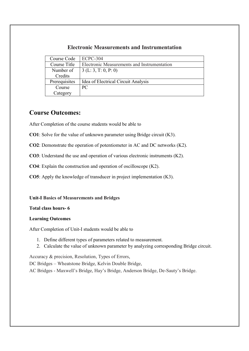## Electronic Measurements and Instrumentation

| Course Code   | <b>ECPC-304</b>                             |
|---------------|---------------------------------------------|
| Course Title  | Electronic Measurements and Instrumentation |
| Number of     | 3(L:3, T:0, P:0)                            |
| Credits       |                                             |
| Prerequisites | Idea of Electrical Circuit Analysis         |
| Course        | PC.                                         |
| Category      |                                             |

# Course Outcomes:

After Completion of the course students would be able to

CO1: Solve for the value of unknown parameter using Bridge circuit (K3).

CO2: Demonstrate the operation of potentiometer in AC and DC networks (K2).

CO3: Understand the use and operation of various electronic instruments (K2).

CO4: Explain the construction and operation of oscilloscope (K2).

CO5: Apply the knowledge of transducer in project implementation (K3).

Unit-I Basics of Measurements and Bridges

#### Total class hours- 6

#### Learning Outcomes

After Completion of Unit-I students would be able to

- 1. Define different types of parameters related to measurement.
- 2. Calculate the value of unknown parameter by analyzing corresponding Bridge circuit.

Accuracy & precision, Resolution, Types of Errors,

DC Bridges – Wheatstone Bridge, Kelvin Double Bridge,

AC Bridges - Maxwell's Bridge, Hay's Bridge, Anderson Bridge, De-Sauty's Bridge.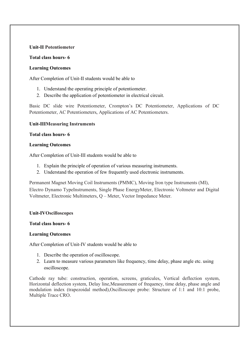#### Unit-II Potentiometer

#### Total class hours- 6

#### Learning Outcomes

After Completion of Unit-II students would be able to

- 1. Understand the operating principle of potentiometer.
- 2. Describe the application of potentiometer in electrical circuit.

Basic DC slide wire Potentiometer, Crompton's DC Potentiometer, Applications of DC Potentiometer, AC Potentiometers, Applications of AC Potentiometers.

#### Unit-IIIMeasuring Instruments

#### Total class hours- 6

#### Learning Outcomes

After Completion of Unit-III students would be able to

- 1. Explain the principle of operation of various measuring instruments.
- 2. Understand the operation of few frequently used electronic instruments.

Permanent Magnet Moving Coil Instruments (PMMC), Moving Iron type Instruments (MI), Electro Dynamo TypeInstruments, Single Phase EnergyMeter, Electronic Voltmeter and Digital Voltmeter, Electronic Multimeters, Q – Meter, Vector Impedance Meter.

#### Unit-IVOscilloscopes

#### Total class hours- 6

#### Learning Outcomes

After Completion of Unit-IV students would be able to

- 1. Describe the operation of oscilloscope.
- 2. Learn to measure various parameters like frequency, time delay, phase angle etc. using oscilloscope.

Cathode ray tube: construction, operation, screens, graticules, Vertical deflection system, Horizontal deflection system, Delay line,Measurement of frequency, time delay, phase angle and modulation index (trapezoidal method),Oscilloscope probe: Structure of 1:1 and 10:1 probe, Multiple Trace CRO.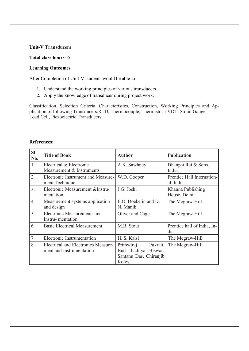#### Unit-V Transducers

#### Total class hours- 6

#### Learning Outcomes

After Completion of Unit-V students would be able to

- 1. Understand the working principles of various transducers.
- 2. Apply the knowledge of transducer during project work.

Classification, Selection Criteria, Characteristics, Construction, Working Principles and Application of following Transducers:RTD, Thermocouple, Thermistor LVDT, Strain Gauge, Load Cell, Piezoelectric Transducers.

#### References:

| <b>SI</b><br>No. | <b>Title of Book</b>                                                   | <b>Author</b>                                                                        | <b>Publication</b>                       |
|------------------|------------------------------------------------------------------------|--------------------------------------------------------------------------------------|------------------------------------------|
| 1.               | Electrical & Electronic<br>Measurement & Instruments                   | A.K. Sawhney                                                                         | Dhanpat Rai & Sons,<br>India             |
| 2.               | Electronic Instrument and Measure-<br>ment Technique                   | W.D. Cooper                                                                          | Prentice Hall Internation-<br>al, India. |
| 3.               | Electronic Measurement & Instru-<br>mentation                          | J.G. Joshi                                                                           | Khanna Publishing<br>House, Delhi        |
| $\overline{4}$ . | Measurement systems application<br>and design                          | E.O. Doebelin and D.<br>N. Manik                                                     | The Mcgraw-Hill                          |
| 5.               | Electronic Measurements and<br>Instru-mentation                        | Oliver and Cage                                                                      | The Mcgraw-Hill                          |
| 6.               | <b>Basic Electrical Measurement</b>                                    | M.B. Stout                                                                           | Prentice hall of India, In-<br>dia       |
| 7.               | Electronic Instrumentation                                             | H. S. Kalsi                                                                          | The Mcgraw-Hill                          |
| 8.               | <b>Electrical and Electronics Measure-</b><br>ment and Instrumentation | Pukrait.<br>Prithwiraj<br>Bud- haditya<br>Biswas.<br>Santanu Das, Chiranjib<br>Koley | The Mcgraw-Hill                          |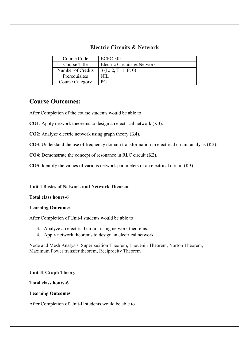## Electric Circuits & Network

| Course Code            | <b>ECPC-305</b>             |
|------------------------|-----------------------------|
| Course Title           | Electric Circuits & Network |
| Number of Credits      | 3(L:2, T:1, P:0)            |
| Prerequisites          | NH                          |
| <b>Course Category</b> | PC.                         |

# Course Outcomes:

After Completion of the course students would be able to

CO1: Apply network theorems to design an electrical network (K3).

CO2: Analyze electric network using graph theory (K4).

CO3: Understand the use of frequency domain transformation in electrical circuit analysis (K2).

CO4: Demonstrate the concept of resonance in RLC circuit (K2).

CO5: Identify the values of various network parameters of an electrical circuit (K3).

Unit-I Basics of Network and Network Theorem

#### Total class hours-6

#### Learning Outcomes

After Completion of Unit-I students would be able to

- 3. Analyze an electrical circuit using network theorems.
- 4. Apply network theorems to design an electrical network.

Node and Mesh Analysis, Superposition Theorem, Thevenin Theorem, Norton Theorem, Maximum Power transfer theorem, Reciprocity Theorem

#### Unit-II Graph Theory

#### Total class hours-6

#### Learning Outcomes

After Completion of Unit-II students would be able to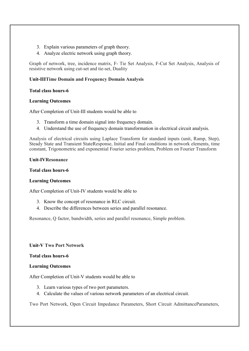- 3. Explain various parameters of graph theory.
- 4. Analyze electric network using graph theory.

Graph of network, tree, incidence matrix, F- Tie Set Analysis, F-Cut Set Analysis, Analysis of resistive network using cut-set and tie-set, Duality

#### Unit-IIITime Domain and Frequency Domain Analysis

#### Total class hours-6

#### Learning Outcomes

After Completion of Unit-III students would be able to

- 3. Transform a time domain signal into frequency domain.
- 4. Understand the use of frequency domain transformation in electrical circuit analysis.

Analysis of electrical circuits using Laplace Transform for standard inputs (unit, Ramp, Step), Steady State and Transient StateResponse, Initial and Final conditions in network elements, time constant, Trigonometric and exponential Fourier series problem, Problem on Fourier Transform

#### Unit-IVResonance

#### Total class hours-6

#### Learning Outcomes

After Completion of Unit-IV students would be able to

- 3. Know the concept of resonance in RLC circuit.
- 4. Describe the differences between series and parallel resonance.

Resonance, Q factor, bandwidth, series and parallel resonance, Simple problem.

Unit-V Two Port Network

#### Total class hours-6

#### Learning Outcomes

After Completion of Unit-V students would be able to

- 3. Learn various types of two port parameters.
- 4. Calculate the values of various network parameters of an electrical circuit.

Two Port Network, Open Circuit Impedance Parameters, Short Circuit AdmittanceParameters,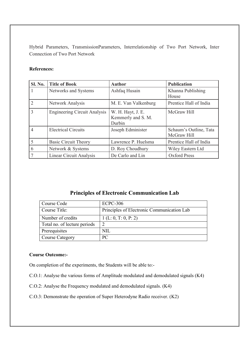Hybrid Parameters, TransmissionParameters, Interrelationship of Two Port Network, Inter Connection of Two Port Network

#### References:

| Sl. No.        | <b>Title of Book</b>                | <b>Author</b>                                     | <b>Publication</b>                    |  |
|----------------|-------------------------------------|---------------------------------------------------|---------------------------------------|--|
| 1              | Networks and Systems                | Ashfaq Husain                                     | Khanna Publishing<br>House            |  |
| $\overline{2}$ | Network Analysis                    | M. E. Van Valkenburg                              | Prentice Hall of India                |  |
| 3              | <b>Engineering Circuit Analysis</b> | W. H. Hayt, J. E.<br>Kemmerly and S. M.<br>Durbin | McGraw Hill                           |  |
| 4              | <b>Electrical Circuits</b>          | Joseph Edminister                                 | Schaum's Outline, Tata<br>McGraw Hill |  |
| 5              | <b>Basic Circuit Theory</b>         | Lawrence P. Huelsma                               | Prentice Hall of India                |  |
| 6              | Network & Systems                   | D. Roy Choudhury                                  | Wiley Eastern Ltd                     |  |
|                | Linear Circuit Analysis             | De Carlo and Lin                                  | <b>Oxford Press</b>                   |  |

# Principles of Electronic Communication Lab

| Course Code                  | <b>ECPC-306</b>                            |
|------------------------------|--------------------------------------------|
| Course Title:                | Principles of Electronic Communication Lab |
| Number of credits            | 1 (L: 0, T: 0, P: 2)                       |
| Total no. of lecture periods | ി                                          |
| Prerequisites                | NIL                                        |
| <b>Course Category</b>       | PC.                                        |

#### Course Outcome:-

On completion of the experiments, the Students will be able to:-

- C.O.1: Analyse the various forms of Amplitude modulated and demodulated signals (K4)
- C.O.2: Analyse the Frequency modulated and demodulated signals. (K4)
- C.O.3: Demonstrate the operation of Super Heterodyne Radio receiver. (K2)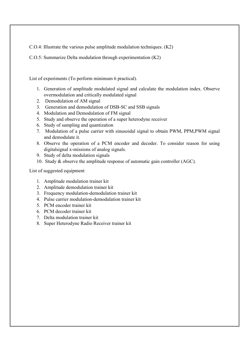C.O.4: Illustrate the various pulse amplitude modulation techniques. (K2)

C.O.5: Summarize Delta modulation through experimentation (K2)

List of experiments (To perform minimum 6 practical).

- 1. Generation of amplitude modulated signal and calculate the modulation index. Observe overmodulation and critically modulated signal
- 2. Demodulation of AM signal
- 3. Generation and demodulation of DSB-SC and SSB signals
- 4. Modulation and Demodulation of FM signal
- 5. Study and observe the operation of a super heterodyne receiver
- 6. Study of sampling and quantization
- 7. Modulation of a pulse carrier with sinusoidal signal to obtain PWM, PPM,PWM signal and demodulate it.
- 8. Observe the operation of a PCM encoder and decoder. To consider reason for using digitalsignal x-missions of analog signals.
- 9. Study of delta modulation signals
- 10. Study & observe the amplitude response of automatic gain controller (AGC).

List of suggested equipment

- 1. Amplitude modulation trainer kit
- 2. Amplitude demodulation trainer kit
- 3. Frequency modulation-demodulation trainer kit
- 4. Pulse carrier modulation-demodulation trainer kit
- 5. PCM encoder trainer kit
- 6. PCM decoder trainer kit
- 7. Delta modulation trainer kit
- 8. Super Heterodyne Radio Receiver trainer kit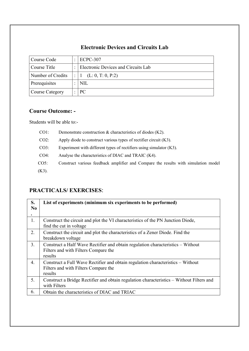# Electronic Devices and Circuits Lab

| Course Code          | ECPC-307                            |  |
|----------------------|-------------------------------------|--|
| Course Title         | Electronic Devices and Circuits Lab |  |
| Number of Credits    | (L: 0, T: 0, P:2)                   |  |
| <b>Prerequisites</b> | <b>NIL</b>                          |  |
| Course Category      | PC                                  |  |

# Course Outcome: -

Students will be able to:-

| $CO1$ :  | Demonstrate construction $\&$ characteristics of diodes (K2).                      |
|----------|------------------------------------------------------------------------------------|
| $CO2$ :  | Apply diode to construct various types of rectifier circuit $(K3)$ .               |
| CO3:     | Experiment with different types of rectifiers using simulator $(K3)$ .             |
| $CO4$ :  | Analyse the characteristics of DIAC and TRAIC (K4).                                |
| $CO5$ :  | Construct various feedback amplifier and Compare the results with simulation model |
| $(K3)$ . |                                                                                    |

# PRACTICALS/ EXERCISES:

| S.<br>N <sub>0</sub> | List of experiments (minimum six experiments to be performed)                                                                      |
|----------------------|------------------------------------------------------------------------------------------------------------------------------------|
| 1.                   | Construct the circuit and plot the VI characteristics of the PN Junction Diode,<br>find the cut in voltage                         |
| 2.                   | Construct the circuit and plot the characteristics of a Zener Diode. Find the<br>breakdown voltage                                 |
| 3 <sub>1</sub>       | Construct a Half Wave Rectifier and obtain regulation characteristics - Without<br>Filters and with Filters Compare the<br>results |
| $\overline{4}$ .     | Construct a Full Wave Rectifier and obtain regulation characteristics – Without<br>Filters and with Filters Compare the<br>results |
| 5.                   | Construct a Bridge Rectifier and obtain regulation characteristics - Without Filters and<br>with Filters                           |
| 6.                   | Obtain the characteristics of DIAC and TRIAC                                                                                       |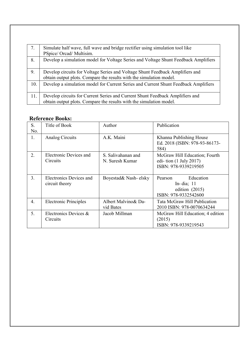| 7.  | Simulate half wave, full wave and bridge rectifier using simulation tool like<br>PSpice/Orcad/Multisim.                                              |
|-----|------------------------------------------------------------------------------------------------------------------------------------------------------|
| 8.  | Develop a simulation model for Voltage Series and Voltage Shunt Feedback Amplifiers                                                                  |
| 9.  | Develop circuits for Voltage Series and Voltage Shunt Feedback Amplifiers and<br>obtain output plots. Compare the results with the simulation model. |
| 10. | Develop a simulation model for Current Series and Current Shunt Feedback Amplifiers                                                                  |
| 11. | Develop circuits for Current Series and Current Shunt Feedback Amplifiers and<br>obtain output plots. Compare the results with the simulation model. |

# Reference Books:

| S.<br>No.        | Title of Book                             | Author                                | Publication                                                                                |  |
|------------------|-------------------------------------------|---------------------------------------|--------------------------------------------------------------------------------------------|--|
| 1.               | Analog Circuits                           | A.K. Maini                            | Khanna Publishing House<br>Ed. 2018 (ISBN: 978-93-86173-<br>584)                           |  |
| 2.               | Electronic Devices and<br>Circuits        | S. Salivahanan and<br>N. Suresh Kumar | McGraw Hill Education; Fourth<br>edi-tion $(1 \text{ July } 2017)$<br>ISBN: 978-9339219505 |  |
| 3.               | Electronics Devices and<br>circuit theory | Boyestad& Nash-elsky                  | Education<br>Pearson<br>In-dia; $11$<br>edition $(2015)$<br>ISBN: 978-9332542600           |  |
| $\overline{4}$ . | <b>Electronic Principles</b>              | Albert Malvino & Da-<br>vid Bates     | Tata McGraw Hill Publication<br>2010 ISBN: 978-0070634244                                  |  |
| 5.               | Electronics Devices &<br>Circuits         | Jacob Millman                         | McGraw Hill Education; 4 edition<br>(2015)<br>ISBN: 978-9339219543                         |  |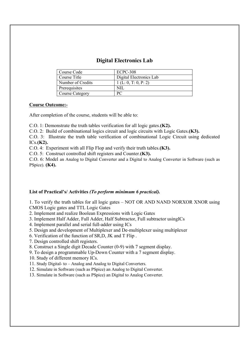## Digital Electronics Lab

| Course Code            | <b>ECPC-308</b>         |
|------------------------|-------------------------|
| Course Title           | Digital Electronics Lab |
| Number of Credits      | 1(L: 0, T: 0, P: 2)     |
| Prerequisites          | NII                     |
| <b>Course Category</b> | PС                      |

#### Course Outcome:-

After completion of the course, students will be able to:

C.O. 1: Demonstrate the truth tables verification for all logic gates.(K2).

C.O. 2: Build of combinational logics circuit and logic circuits with Logic Gates.(K3).

C.O. 3: Illustrate the truth table verification of combinational Logic Circuit using dedicated  $ICs.(K2).$ 

C.O. 4: Experiment with all Flip Flop and verify their truth tables.(K3).

C.O. 5: Construct controlled shift registers and Counter.(K3).

C.O. 6: Model an Analog to Digital Converter and a Digital to Analog Converter in Software (such as PSpice). (K4).

#### List of Practical's/ Activities *(To perform minimum 6 practical).*

1. To verify the truth tables for all logic gates – NOT OR AND NAND NORXOR XNOR using CMOS Logic gates and TTL Logic Gates

2. Implement and realize Boolean Expressions with Logic Gates

3. Implement Half Adder, Full Adder, Half Subtractor, Full subtractor usingICs

4. Implement parallel and serial full-adder using ICs

5. Design and development of Multiplexer and De-multiplexer using multiplexer

6. Verification of the function of SR,D, JK and T Flip .

7. Design controlled shift registers.

8. Construct a Single digit Decade Counter (0-9) with 7 segment display.

9. To design a programmable Up-Down Counter with a 7 segment display.

10. Study of different memory ICs.

11. Study Digital- to – Analog and Analog to Digital Converters.

12. Simulate in Software (such as PSpice) an Analog to Digital Converter.

13. Simulate in Software (such as PSpice) an Digital to Analog Converter.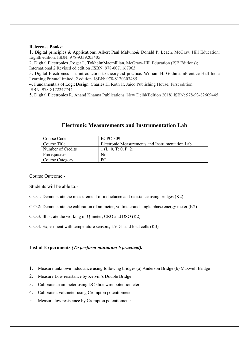#### Reference Books:

1. Digital principles & Applications. Albert Paul Malvino& Donald P. Leach. McGraw Hill Education; Eighth edition. ISBN: 978-9339203405

2. Digital Electronics .Roger L. TokheimMacmillian. McGraw-Hill Education (ISE Editions); International 2 Revised ed edition .ISBN: 978-0071167963

3. Digital Electronics – anintroduction to theoryand practice. William H. GothmannPrentice Hall India Learning PrivateLimited; 2 edition. ISBN: 978-8120303485

4. Fundamentals of LogicDesign. Charles H. Roth Jr. Jaico Publishing House; First edition ISBN: 978-8172247744

5. Digital Electronics R. Anand Khanna Publications, New Delhi(Edition 2018) ISBN: 978-93-82609445

| Course Code       | ECPC-309                                        |
|-------------------|-------------------------------------------------|
| Course Title      | Electronic Measurements and Instrumentation Lab |
| Number of Credits | 1(L: 0, T: 0, P: 2)                             |
| Prerequisites     | Nil                                             |
| Course Category   | PС                                              |

#### Electronic Measurements and Instrumentation Lab

Course Outcome:-

Students will be able to:-

C.O.1: Demonstrate the measurement of inductance and resistance using bridges (K2)

C.O.2: Demonstrate the calibration of ammeter, voltmeterand single phase energy meter (K2)

C.O.3: Illustrate the working of Q-meter, CRO and DSO (K2)

C.O.4: Experiment with temperature sensors, LVDT and load cells (K3)

#### List of Experiments *(To perform minimum 6 practical).*

- 1. Measure unknown inductance using following bridges (a) Anderson Bridge (b) Maxwell Bridge
- 2. Measure Low resistance by Kelvin's Double Bridge
- 3. Calibrate an ammeter using DC slide wire potentiometer
- 4. Calibrate a voltmeter using Crompton potentiometer
- 5. Measure low resistance by Crompton potentiometer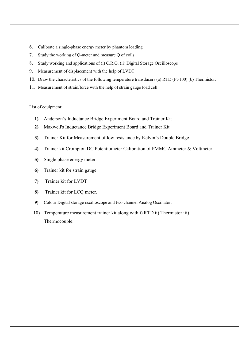- 6. Calibrate a single-phase energy meter by phantom loading
- 7. Study the working of Q-meter and measure Q of coils
- 8. Study working and applications of (i) C.R.O. (ii) Digital Storage Oscilloscope
- 9. Measurement of displacement with the help of LVDT
- 10. Draw the characteristics of the following temperature transducers (a) RTD (Pt-100) (b) Thermistor.
- 11. Measurement of strain/force with the help of strain gauge load cell

List of equipment:

- 1) Anderson's Inductance Bridge Experiment Board and Trainer Kit
- 2) Maxwell's Inductance Bridge Experiment Board and Trainer Kit
- 3) Trainer Kit for Measurement of low resistance by Kelvin's Double Bridge
- 4) Trainer kit Crompton DC Potentiometer Calibration of PMMC Ammeter & Voltmeter.
- 5) Single phase energy meter.
- 6) Trainer kit for strain gauge
- 7) Trainer kit for LVDT
- 8) Trainer kit for LCQ meter.
- 9) Colour Digital storage oscilloscope and two channel Analog Oscillator.
- 10) Temperature measurement trainer kit along with i) RTD ii) Thermistor iii) Thermocouple.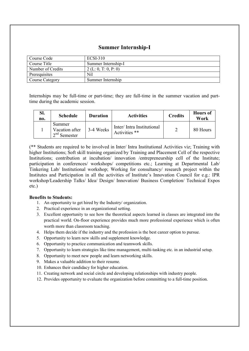## Summer Internship-I

| Course Code       | ECSI-310             |
|-------------------|----------------------|
| Course Title      | Summer Internship-I  |
| Number of Credits | 2 (L: 0, T: 0, P: 0) |
| Prerequisites     | Nil                  |
| Course Category   | Summer Internship    |

Internships may be full-time or part-time; they are full-time in the summer vacation and parttime during the academic session.

| Sl.<br>no. | <b>Schedule</b>                              | <b>Duration</b> | <b>Activities</b>                          | <b>Credits</b> | <b>Hours</b> of<br>Work |
|------------|----------------------------------------------|-----------------|--------------------------------------------|----------------|-------------------------|
|            | Summer<br>Vacation after<br>$1.2nd$ Semester | 3-4 Weeks       | Inter/Intra Institutional<br>Activities ** |                | 80 Hours                |

(\*\* Students are required to be involved in Inter/ Intra Institutional Activities viz; Training with higher Institutions; Soft skill training organized by Training and Placement Cell of the respective Institutions; contribution at incubation/ innovation /entrepreneurship cell of the Institute; participation in conferences/ workshops/ competitions etc.; Learning at Departmental Lab/ Tinkering Lab/ Institutional workshop; Working for consultancy/ research project within the Institutes and Participation in all the activities of Institute's Innovation Council for e.g.: IPR workshop/Leadership Talks/ Idea/ Design/ Innovation/ Business Completion/ Technical Expos etc.)

#### Benefits to Students:

- 1. An opportunity to get hired by the Industry/ organization.
- 2. Practical experience in an organizational setting.
- 3. Excellent opportunity to see how the theoretical aspects learned in classes are integrated into the practical world. On-floor experience provides much more professional experience which is often worth more than classroom teaching.
- 4. Helps them decide if the industry and the profession is the best career option to pursue.
- 5. Opportunity to learn new skills and supplement knowledge.
- 6. Opportunity to practice communication and teamwork skills.
- 7. Opportunity to learn strategies like time management, multi-tasking etc. in an industrial setup.
- 8. Opportunity to meet new people and learn networking skills.
- 9. Makes a valuable addition to their resume.
- 10. Enhances their candidacy for higher education.
- 11. Creating network and social circle and developing relationships with industry people.
- 12. Provides opportunity to evaluate the organization before committing to a full-time position.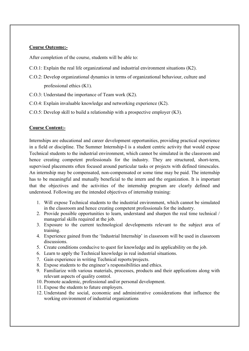#### Course Outcome:-

After completion of the course, students will be able to:

- C.O.1: Explain the real life organizational and industrial environment situations (K2).
- C.O.2: Develop organizational dynamics in terms of organizational behaviour, culture and professional ethics (K1).
- C.O.3: Understand the importance of Team work (K2).
- C.O.4: Explain invaluable knowledge and networking experience (K2).
- C.O.5: Develop skill to build a relationship with a prospective employer (K3).

#### Course Content:-

Internships are educational and career development opportunities, providing practical experience in a field or discipline. The Summer Internship-I is a student centric activity that would expose Technical students to the industrial environment, which cannot be simulated in the classroom and hence creating competent professionals for the industry. They are structured, short-term, supervised placements often focused around particular tasks or projects with defined timescales. An internship may be compensated, non-compensated or some time may be paid. The internship has to be meaningful and mutually beneficial to the intern and the organization. It is important that the objectives and the activities of the internship program are clearly defined and understood. Following are the intended objectives of internship training:

- 1. Will expose Technical students to the industrial environment, which cannot be simulated in the classroom and hence creating competent professionals for the industry.
- 2. Provide possible opportunities to learn, understand and sharpen the real time technical / managerial skills required at the job.
- 3. Exposure to the current technological developments relevant to the subject area of training.
- 4. Experience gained from the 'Industrial Internship' in classroom will be used in classroom discussions.
- 5. Create conditions conducive to quest for knowledge and its applicability on the job.
- 6. Learn to apply the Technical knowledge in real industrial situations.
- 7. Gain experience in writing Technical reports/projects.
- 8. Expose students to the engineer's responsibilities and ethics.
- 9. Familiarize with various materials, processes, products and their applications along with relevant aspects of quality control.
- 10. Promote academic, professional and/or personal development.
- 11. Expose the students to future employers.
- 12. Understand the social, economic and administrative considerations that influence the working environment of industrial organizations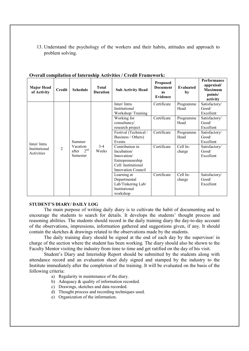13. Understand the psychology of the workers and their habits, attitudes and approach to problem solving.

| <b>Major Head</b><br>of Activity           | <b>Credit</b> | <b>Schedule</b>                                            | <b>Total</b><br><b>Duration</b> | <b>Sub Activity Head</b>                                                                                             | <b>Proposed</b><br><b>Document</b><br><b>as</b><br>Evidence | <b>Evaluated</b><br>by | Performance<br>appraisal/<br><b>Maximum</b><br>points/<br>activity |
|--------------------------------------------|---------------|------------------------------------------------------------|---------------------------------|----------------------------------------------------------------------------------------------------------------------|-------------------------------------------------------------|------------------------|--------------------------------------------------------------------|
| Inter/Intra<br>Institutional<br>Activities | 2             | Summer<br>Vacation<br>2 <sup>nd</sup><br>after<br>Semester | $3-4$<br>Weeks                  | Inter/Intra<br>Institutional<br>Workshop/Training                                                                    | Certificate                                                 | Programme<br>Head      | Satisfactory/<br>Good/<br>Excellent                                |
|                                            |               |                                                            |                                 | Working for<br>consultancy/<br>research project                                                                      | Certificate                                                 | Programme<br>Head      | Satisfactory/<br>Good/<br>Excellent                                |
|                                            |               |                                                            |                                 | Festival (Technical /<br>Business / Others)<br>Events                                                                | Certificate                                                 | Programme<br>Head      | Satisfactory/<br>Good/<br>Excellent                                |
|                                            |               |                                                            |                                 | Contribution in<br>Incubation/<br>Innovation/<br>Entrepreneurship<br>Cell/Institutional<br><b>Innovation Council</b> | Certificate                                                 | Cell In-<br>charge     | Satisfactory/<br>Good/<br>Excellent                                |
|                                            |               |                                                            |                                 | Learning at<br>Departmental<br>Lab/Tinkering Lab/<br>Institutional<br>workshop                                       | Certificate                                                 | Cell In-<br>charge     | Satisfactory/<br>Good/<br>Excellent                                |

#### Overall compilation of Internship Activities / Credit Framework:

#### STUDENT'S DIARY/ DAILY LOG

The main purpose of writing daily diary is to cultivate the habit of documenting and to encourage the students to search for details. It develops the students' thought process and reasoning abilities. The students should record in the daily training diary the day-to-day account of the observations, impressions, information gathered and suggestions given, if any. It should contain the sketches & drawings related to the observations made by the students.

The daily training diary should be signed at the end of each day by the supervisor/ in charge of the section where the student has been working. The diary should also be shown to the Faculty Mentor visiting the industry from time to time and get ratified on the day of his visit.

Student's Diary and Internship Report should be submitted by the students along with attendance record and an evaluation sheet duly signed and stamped by the industry to the Institute immediately after the completion of the training. It will be evaluated on the basis of the following criteria:

- a) Regularity in maintenance of the diary.
- b) Adequacy & quality of information recorded.
- c) Drawings, sketches and data recorded.
- d) Thought process and recording techniques used.
- e) Organization of the information.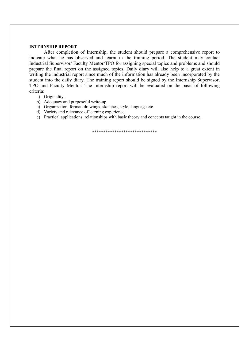#### INTERNSHIP REPORT

After completion of Internship, the student should prepare a comprehensive report to indicate what he has observed and learnt in the training period. The student may contact Industrial Supervisor/ Faculty Mentor/TPO for assigning special topics and problems and should prepare the final report on the assigned topics. Daily diary will also help to a great extent in writing the industrial report since much of the information has already been incorporated by the student into the daily diary. The training report should be signed by the Internship Supervisor, TPO and Faculty Mentor. The Internship report will be evaluated on the basis of following criteria:

- a) Originality.
- b) Adequacy and purposeful write-up.
- c) Organization, format, drawings, sketches, style, language etc.
- d) Variety and relevance of learning experience.
- e) Practical applications, relationships with basic theory and concepts taught in the course.

\*\*\*\*\*\*\*\*\*\*\*\*\*\*\*\*\*\*\*\*\*\*\*\*\*\*\*\*\*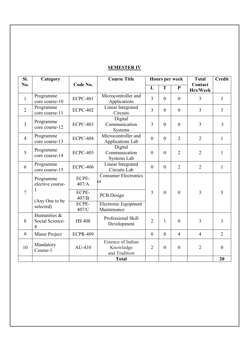# SEMESTER IV

| SI.                 | Category                                          |                 | <b>Course Title</b>                                    | Hours per week |              |                  | <b>Total</b>        | <b>Credit</b>  |
|---------------------|---------------------------------------------------|-----------------|--------------------------------------------------------|----------------|--------------|------------------|---------------------|----------------|
| No.                 |                                                   | Code No.        |                                                        | L              | T            | ${\bf P}$        | Contact<br>Hrs/Week |                |
| $\mathbf{1}$        | Programme<br>core course-10                       | <b>ECPC-401</b> | Microcontroller and<br>Applications                    | $\overline{3}$ | $\theta$     | $\mathbf{0}$     | 3                   | $\overline{3}$ |
| $\overline{2}$      | Programme<br>core course-11                       | <b>ECPC-402</b> | Linear Integrated<br>Circuits                          | $\overline{3}$ | $\theta$     | $\overline{0}$   | 3                   | $\overline{3}$ |
| $\overline{3}$      | Programme<br>core course-12                       | <b>ECPC-403</b> | Digital<br>Communication<br>Systems                    | 3              | $\mathbf{0}$ | $\boldsymbol{0}$ | 3                   | 3              |
| $\overline{4}$      | Programme<br>core course-13                       | <b>ECPC-404</b> | Microcontroller and<br>Applications Lab                | $\mathbf{0}$   | $\mathbf{0}$ | $\overline{2}$   | $\overline{2}$      | $\mathbf{1}$   |
| 5                   | Programme<br>core course-14                       | <b>ECPC-405</b> | Digital<br>Communication<br>Systems Lab                | $\theta$       | $\theta$     | $\overline{2}$   | $\overline{2}$      | $\mathbf{1}$   |
| 6                   | Programme<br>core course-15                       | <b>ECPC-406</b> | Linear Integrated<br>Circuits Lab                      | $\theta$       | $\theta$     | $\overline{2}$   | $\overline{2}$      | $\mathbf{1}$   |
|                     | Programme<br>elective course-                     | ECPE-<br>407/A  | <b>Consumer Electronics</b><br>or                      |                |              |                  |                     |                |
| 1<br>$\overline{7}$ | (Any One to be                                    | ECPE-<br>407/B  | PCB Design                                             | 3              | $\theta$     | $\overline{0}$   | 3                   | 3              |
|                     | selected)                                         | ECPE-<br>407/C  | Electronic Equipment<br>Maintenance                    |                |              |                  |                     |                |
| 8                   | Humanities &<br>Social Science-<br>$\overline{4}$ | <b>HS 408</b>   | Professional Skill<br>Development                      | $\overline{2}$ | $\mathbf{1}$ | $\boldsymbol{0}$ | $\overline{3}$      | $\overline{3}$ |
| 9                   | Minor Project                                     | <b>ECPR-409</b> |                                                        | $\overline{0}$ | $\theta$     | $\overline{4}$   | $\overline{4}$      | $\overline{2}$ |
| 10                  | Mandatory<br>Course-1                             | AU-410          | <b>Essence of Indian</b><br>Knowledge<br>and Tradition | $\overline{2}$ | $\theta$     | $\overline{0}$   | $\overline{2}$      | $\overline{0}$ |
|                     |                                                   |                 | <b>Total</b>                                           |                |              |                  |                     | 20             |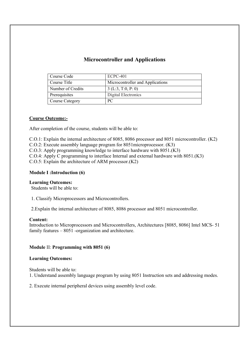## Microcontroller and Applications

| Course Code       | $ECPC-401$                       |
|-------------------|----------------------------------|
| Course Title      | Microcontroller and Applications |
| Number of Credits | 3(L:3, T:0, P: 0)                |
| Prerequisites     | Digital Electronics              |
| Course Category   | PC.                              |

#### Course Outcome:-

After completion of the course, students will be able to:

C.O.1: Explain the internal architecture of 8085, 8086 processor and 8051 microcontroller. (K2)

C.O.2: Execute assembly language program for 8051microprocessor. (K3)

C.O.3: Apply programming knowledge to interface hardware with 8051.(K3)

C.O.4: Apply C programming to interface Internal and external hardware with 8051.(K3)

C.O.5: Explain the architecture of ARM processor.(K2)

#### Module I :Introduction (6)

#### Learning Outcomes:

Students will be able to:

1. Classify Microprocessors and Microcontrollers.

2.Explain the internal architecture of 8085, 8086 processor and 8051 microcontroller.

#### Content:

Introduction to Microprocessors and Microcontrollers, Architectures [8085, 8086] Intel MCS- 51 family features – 8051 -organization and architecture.

#### Module II: Programming with 8051 (6)

#### Learning Outcomes:

Students will be able to:

1. Understand assembly language program by using 8051 Instruction sets and addressing modes.

2. Execute internal peripheral devices using assembly level code.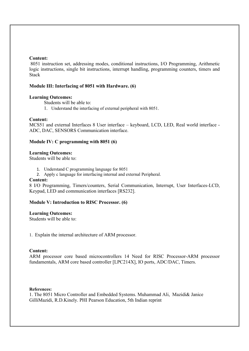#### Content:

8051 instruction set, addressing modes, conditional instructions, I/O Programming, Arithmetic logic instructions, single bit instructions, interrupt handling, programming counters, timers and Stack

#### Module III: Interfacing of 8051 with Hardware. (6)

#### Learning Outcomes:

Students will be able to:

1. Understand the interfacing of external peripheral with 8051.

#### Content:

MCS51 and external Interfaces 8 User interface – keyboard, LCD, LED, Real world interface - ADC, DAC, SENSORS Communication interface.

#### Module IV: C programming with 8051 (6)

#### Learning Outcomes:

Students will be able to:

- 1. Understand C programming language for 8051
- 2. Apply c language for interfacing internal and external Peripheral.

#### Content:

8 I/O Programming, Timers/counters, Serial Communication, Interrupt, User Interfaces-LCD, Keypad, LED and communication interfaces [RS232].

#### Module V: Introduction to RISC Processor. (6)

#### Learning Outcomes:

Students will be able to:

1. Explain the internal architecture of ARM processor.

#### Content:

ARM processor core based microcontrollers 14 Need for RISC Processor-ARM processor fundamentals, ARM core based controller [LPC214X], IO ports, ADC/DAC, Timers.

#### References:

1. The 8051 Micro Controller and Embedded Systems. Muhammad Ali, Mazidi& Janice GilliMazidi, R.D.Kinely. PHI Pearson Education, 5th Indian reprint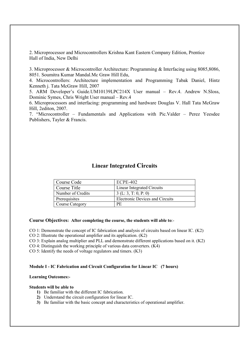2. Microprocessor and Microcontrollers Krishna Kant Eastern Company Edition, Prentice Hall of India, New Delhi

3. Microprocessor & Microcontroller Architecture: Programming & Interfacing using 8085,8086, 8051. Soumitra Kumar Mandal.Mc Graw Hill Edu,

4. Microcontrollers: Architecture implementation and Programming Tabak Daniel, Hintz Kenneth j. Tata McGraw Hill, 2007

5. ARM Developer's Guide.UM10139LPC214X User manual – Rev.4. Andrew N.Sloss, Dominic Symes, Chris Wright User manual – Rev.4

6. Microprocessors and interfacing: programming and hardware Douglas V. Hall Tata McGraw Hill, 2editon, 2007.

7. "Microcontroller – Fundamentals and Applications with Pic.Valder – Perez Yeesdee Publishers, Tayler & Francis.

## Linear Integrated Circuits

| Course Code       | $ECPE-402$                             |
|-------------------|----------------------------------------|
| Course Title      | <b>Linear Integrated Circuits</b>      |
| Number of Credits | 3(L: 3, T: 0, P: 0)                    |
| Prerequisites     | <b>Electronic Devices and Circuits</b> |
| Course Category   | PE                                     |

#### Course Objectives: After completing the course, the students will able to:-

CO 1: Demonstrate the concept of IC fabrication and analysis of circuits based on linear IC. (K2)

CO 2: Illustrate the operational amplifier and its application. (K2)

CO 3: Explain analog multiplier and PLL and demonstrate different applications based on it. (K2)

- CO 4: Distinguish the working principle of various data converters.  $(K4)$
- CO 5: Identify the needs of voltage regulators and timers. (K3)

#### Module I - IC Fabrication and Circuit Configuration for Linear IC (7 hours)

## Learning Outcomes:-

#### Students will be able to

- 1) Be familiar with the different IC fabrication.
- 2) Understand the circuit configuration for linear IC.
- 3) Be familiar with the basic concept and characteristics of operational amplifier.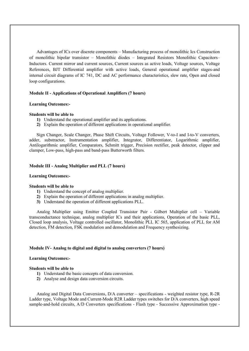Advantages of ICs over discrete components – Manufacturing process of monolithic Ics Construction of monolithic bipolar transistor – Monolithic diodes – Integrated Resistors Monolithic Capacitors– Inductors. Current mirror and current sources, Current sources as active loads, Voltage sources, Voltage References, BJT Differential amplifier with active loads, General operational amplifier stages-and internal circuit diagrams of IC 741, DC and AC performance characteristics, slew rate, Open and closed loop configurations.

#### Module II - Applications of Operational Amplifiers (7 hours)

#### Learning Outcomes:-

#### Students will be able to

- 1) Understand the operational amplifier and its applications.
- 2) Explain the operation of different applications in operational amplifier.

Sign Changer, Scale Changer, Phase Shift Circuits, Voltage Follower, V-to-I and I-to-V converters, adder, substractor, Instrumentation amplifier, Integrator, Differentiator, Logarithmic amplifier, Antilogarithmic amplifier, Comparators, Schmitt trigger, Precision rectifier, peak detector, clipper and clamper, Low-pass, high-pass and band-pass Butterworth filters.

#### Module III - Analog Multiplier and PLL (7 hours)

#### Learning Outcomes:-

#### Students will be able to

- 1) Understand the concept of analog multiplier.
- 2) Explain the operation of different applications in analog multiplier.
- 3) Understand the operation of different applications PLL.

Analog Multiplier using Emitter Coupled Transistor Pair - Gilbert Multiplier cell – Variable transconductance technique, analog multiplier ICs and their applications, Operation of the basic PLL, Closed loop analysis, Voltage controlled oscillator, Monolithic PLL IC 565, application of PLL for AM detection, FM detection, FSK modulation and demodulation and Frequency synthesizing.

#### Module IV- Analog to digital and digital to analog converters (7 hours)

#### Learning Outcomes:-

#### Students will be able to

- 1) Understand the basic concepts of data conversion.
- 2) Analyse and design data conversion circuits.

Analog and Digital Data Conversions, D/A converter – specifications - weighted resistor type, R-2R Ladder type, Voltage Mode and Current-Mode R2R Ladder types switches for D/A converters, high speed sample-and-hold circuits, A/D Converters specifications - Flash type - Successive Approximation type -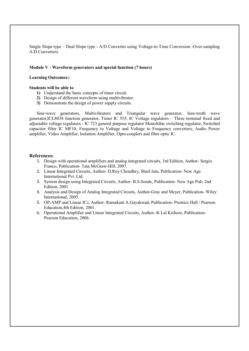Single Slope type – Dual Slope type - A/D Converter using Voltage-to-Time Conversion -Over-sampling A/D Converters.

#### Module V - Waveform generators and special function (7 hours)

#### Learning Outcomes:-

#### Students will be able to

- 1) Understand the basic concepts of timer circuit.
- 2) Design of different waveform using multivibrator.
- 3) Demonstrate the design of power supply circuits.

Sine-wave generators, Multivibrators and Triangular wave generator, Saw-tooth wave generator,ICL8038 function generator, Timer IC 555, IC Voltage regulators – Three terminal fixed and adjustable voltage regulators - IC 723 general purpose regulator Monolithic switching regulator, Switched capacitor filter IC MF10, Frequency to Voltage and Voltage to Frequency converters, Audio Power amplifier, Video Amplifier, Isolation Amplifier, Opto-couplers and fibre optic IC.

#### References:

- 1. Design with operational amplifiers and analog integrated circuits, 3rd Edition, Author- Sergio Franco, Publication- Tata McGraw-Hill, 2007.
- 2. Linear Integrated Circuits, Author- D.Roy Choudhry, Shail Jain, Publication- New Age International Pvt. Ltd.
- 3. System design using Integrated Circuits, Author- B.S.Sonde, Publication- New Age Pub, 2nd Edition, 2001
- 4. Analysis and Design of Analog Integrated Circuits, Author-Gray and Meyer, Publication- Wiley International, 2005.
- 5. OP-AMP and Linear ICs, Author- Ramakant A.Gayakwad, Publication- Prentice Hall / Pearson Education,4th Edition, 2001.
- 6. Operational Amplifier and Linear Integrated Circuits, Author- K Lal Kishore, Publication-Pearson Education, 2006.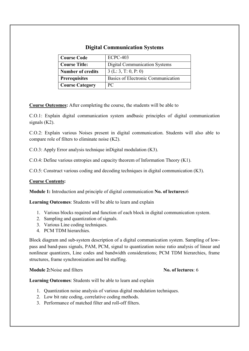# Digital Communication Systems

| <b>Course Code</b>       | $ECPC-403$                           |
|--------------------------|--------------------------------------|
| <b>Course Title:</b>     | <b>Digital Communication Systems</b> |
| <b>Number of credits</b> | 3(L:3, T: 0, P: 0)                   |
| <b>Prerequisites</b>     | Basics of Electronic Communication   |
| <b>Course Category</b>   | PC.                                  |

Course Outcomes: After completing the course, the students will be able to

C.O.1: Explain digital communication system andbasic principles of digital communication signals (K2).

C.O.2: Explain various Noises present in digital communication. Students will also able to compare role of filters to eliminate noise (K2).

C.O.3: Apply Error analysis technique inDigital modulation (K3).

C.O.4: Define various entropies and capacity theorem of Information Theory (K1).

C.O.5: Construct various coding and decoding techniques in digital communication (K3).

## Course Contents:

Module 1: Introduction and principle of digital communication No. of lectures:6

Learning Outcomes: Students will be able to learn and explain

- 1. Various blocks required and function of each block in digital communication system.
- 2. Sampling and quantization of signals.
- 3. Various Line coding techniques.
- 4. PCM TDM hierarchies.

Block diagram and sub-system description of a digital communication system. Sampling of lowpass and band-pass signals, PAM, PCM, signal to quantization noise ratio analysis of linear and nonlinear quantizers, Line codes and bandwidth considerations; PCM TDM hierarchies, frame structures, frame synchronization and bit stuffing.

Module 2:Noise and filters No. of lectures: 6

Learning Outcomes: Students will be able to learn and explain

- 1. Quantization noise analysis of various digital modulation techniques.
- 2. Low bit rate coding, correlative coding methods.
- 3. Performance of matched filter and roll-off filters.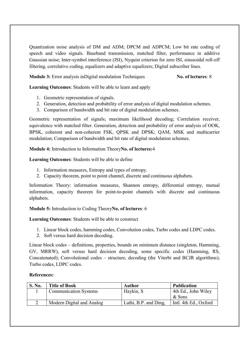Quantization noise analysis of DM and ADM; DPCM and ADPCM; Low bit rate coding of speech and video signals. Baseband transmission, matched filter, performance in additive Gaussian noise; Inter-symbol interference (ISI), Nyquist criterion for zero ISI, sinusoidal roll-off filtering, correlative coding, equalizers and adaptive equalizers; Digital subscriber lines.

Module 3: Error analysis inDigital modulation Techniques No. of lectures: 8

Learning Outcomes: Students will be able to learn and apply

- 1. Geometric representation of signals.
- 2. Generation, detection and probability of error analysis of digital modulation schemes.
- 3. Comparison of bandwidth and bit rate of digital modulation schemes.

Geometric representation of signals; maximum likelihood decoding; Correlation receiver, equivalence with matched filter. Generation, detection and probability of error analysis of OOK, BPSK, coherent and non-coherent FSK, QPSK and DPSK; QAM, MSK and multicarrier modulation; Comparison of bandwidth and bit rate of digital modulation schemes.

## Module 4: Introduction to Information TheoryNo. of lectures:4

# Learning Outcomes: Students will be able to define

- 1. Information measures, Entropy and types of entropy.
- 2. Capacity theorem, point to point channel, discrete and continuous alphabets.

Information Theory: information measures, Shannon entropy, differential entropy, mutual information, capacity theorem for point-to-point channels with discrete and continuous alphabets.

Module 5: Introduction to Coding TheoryNo. of lectures: 6

Learning Outcomes: Students will be able to construct

- 1. Linear block codes, hamming codes, Convolution codes, Turbo codes and LDPC codes.
- 2. Soft versus hard decision decoding.

Linear block codes – definitions, properties, bounds on minimum distance (singleton, Hamming, GV, MRRW), soft versus hard decision decoding, some specific codes (Hamming, RS, Concatenated); Convolutional codes – structure, decoding (the Viterbi and BCJR algorithms); Turbo codes, LDPC codes.

## References:

| <b>S. No.</b> | <b>Title of Book</b>         | Author                | <b>Publication</b>    |
|---------------|------------------------------|-----------------------|-----------------------|
|               | <b>Communication Systems</b> | Haykin, S             | 4th Ed., John Wiley   |
|               |                              |                       | $&$ Sons              |
|               | Modern Digital and Analog    | Lathi, B.P. and Ding, | Intl. 4th Ed., Oxford |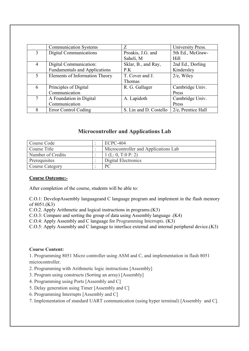|                             | <b>Communication Systems</b>         | Z                      | University Press.  |
|-----------------------------|--------------------------------------|------------------------|--------------------|
| 3                           | Digital Communications               | Proakis, J.G. and      | 5th Ed., McGraw-   |
|                             |                                      | Saheli, M              | Hill               |
| 4                           | Digital Communication:               | Sklar, B., and Ray,    | 2nd Ed., Dorling   |
|                             | <b>Fundamentals and Applications</b> | P.K                    | Kindersley         |
| $\mathcal{F}_{\mathcal{F}}$ | Elements of Information Theory       | T. Cover and J.        | $2/e$ , Wiley      |
|                             |                                      | Thomas                 |                    |
| 6                           | Principles of Digital                | R. G. Gallager         | Cambridge Univ.    |
|                             | Communication                        |                        | Press              |
| 7                           | A Foundation in Digital              | A. Lapidoth            | Cambridge Univ.    |
|                             | Communication                        |                        | Press              |
| 8                           | Error Control Coding                 | S. Lin and D. Costello | 2/e, Prentice Hall |

# Microcontroller and Applications Lab

| Course Code            | ECPC-404                             |
|------------------------|--------------------------------------|
| Course Title           | Microcontroller and Applications Lab |
| Number of Credits      | 1(L: 0, T: 0 P: 2)                   |
| Prerequisites          | Digital Electronics                  |
| <b>Course Category</b> | PС                                   |

## Course Outcome:-

After completion of the course, students will be able to:

C.O.1: DevelopAssembly languageand C language program and implement in the flash memory of 8051.(K3)

C.O.2. Apply Arithmetic and logical instructions in programs.(K3)

C.O.3: Compare and sorting the group of data using Assembly language .(K4)

C.O.4: Apply Assembly and C language for Programming Interrupts. (K3)

C.O.5: Apply Assembly and C language to interface external and internal peripheral device.(K3)

## Course Content:

1. Programming 8051 Micro controller using ASM and C, and implementation in flash 8051 microcontroller.

2. Programming with Arithmetic logic instructions [Assembly]

- 3. Program using constructs (Sorting an array) [Assembly]
- 4. Programming using Ports [Assembly and C]
- 5. Delay generation using Timer [Assembly and C]
- 6. Programming Interrupts [Assembly and C]
- 7. Implementation of standard UART communication (using hyper terminal) [Assembly and C].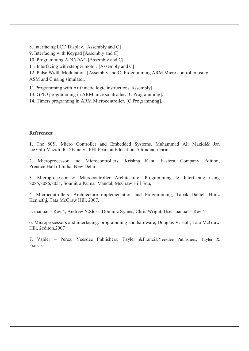8. Interfacing LCD Display. [Assembly and C]

9. Interfacing with Keypad [Assembly and C]

10. Programming ADC/DAC [Assembly and C]

11. Interfacing with stepper motor. [Assembly and C]

12. Pulse Width Modulation. [Assembly and C] Programming ARM Micro controller using ASM and C using simulator.

11.Programming with Arithmetic logic instructions[Assembly]

13. GPIO programming in ARM microcontroller. [C Programming].

14. Timers programing in ARM Microcontroller. [C Programming].

## References:

1. The 8051 Micro Controller and Embedded Systems. Muhammad Ali Mazidi& Jan ice Gilli Mazidi, R.D.Kinely. PHI Pearson Education, 5thIndian reprint.

2. Microprocessor and Microcontrollers, Krishna Kant, Eastern Company Edition, Prentice Hall of India, New Delhi

3. Microprocessor & Microcontroller Architecture: Programming & Interfacing using 8085,8086,8051, Soumitra Kumar Mandal, McGraw Hill Edu,

4. Microcontrollers: Architecture implementation and Programming, Tabak Daniel, Hintz Kennethj, Tata McGraw Hill, 2007.

5. manual – Rev.4, Andrew N.Sloss, Dominic Symes, Chris Wright, User manual – Rev.4

6. Microprocessors and interfacing: programming and hardware, Douglas V. Hall, Tata McGraw Hill, 2editon,2007

7. Valder – Perez, Yeesdee Publishers, Tayler &Francis,Yeesdee Publishers, Tayler & Francis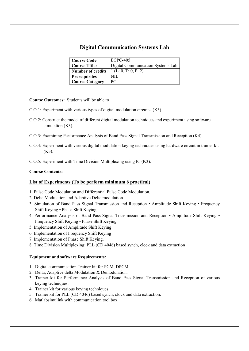# Digital Communication Systems Lab

| <b>Course Code</b>       | <b>ECPC-405</b>                   |
|--------------------------|-----------------------------------|
| <b>Course Title:</b>     | Digital Communication Systems Lab |
| <b>Number of credits</b> | 1 (L: 0, T: 0, P: 2)              |
| <b>Prerequisites</b>     | NIL                               |
| <b>Course Category</b>   | PС                                |

Course Outcomes: Students will be able to

- C.O.1: Experiment with various types of digital modulation circuits. (K3).
- C.O.2: Construct the model of different digital modulation techniques and experiment using software simulation (K3).
- C.O.3: Examining Performance Analysis of Band Pass Signal Transmission and Reception (K4).
- C.O.4: Experiment with various digital modulation keying techniques using hardware circuit in trainer kit (K3).
- C.O.5: Experiment with Time Division Multiplexing using IC (K3).

#### Course Contents:

## List of Experiments (To be perform minimum 6 practical)

- 1. Pulse Code Modulation and Differential Pulse Code Modulation.
- 2. Delta Modulation and Adaptive Delta modulation.
- 3. Simulation of Band Pass Signal Transmission and Reception Amplitude Shift Keying Frequency Shift Keying • Phase Shift Keying.
- 4. Performance Analysis of Band Pass Signal Transmission and Reception Amplitude Shift Keying Frequency Shift Keying • Phase Shift Keying.
- 5. Implementation of Amplitude Shift Keying
- 6. Implementation of Frequency Shift Keying
- 7. Implementation of Phase Shift Keying.
- 8. Time Division Multiplexing: PLL (CD 4046) based synch, clock and data extraction

#### Equipment and software Requirements:

- 1. Digital communication Trainer kit for PCM, DPCM.
- 2. Delta, Adaptive delta Modulation & Demodulation.
- 3. Trainer kit for Performance Analysis of Band Pass Signal Transmission and Reception of various keying techniques.
- 4. Trainer kit for various keying techniques.
- 5. Trainer kit for PLL (CD 4046) based synch, clock and data extraction.
- 6. Matlabsimulink with communication tool box.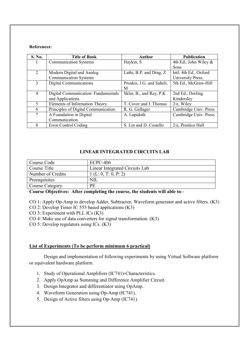#### References:

| S. No.         | <b>Title of Book</b>                | <b>Author</b>             | <b>Publication</b>       |
|----------------|-------------------------------------|---------------------------|--------------------------|
|                | <b>Communication Systems</b>        | Haykin, S                 | 4th Ed., John Wiley $\&$ |
|                |                                     |                           | Sons                     |
| $\overline{2}$ | Modern Digital and Analog           | Lathi, B.P. and Ding, Z.  | Intl. 4th Ed., Oxford    |
|                | <b>Communication Systems</b>        |                           | University Press.        |
| $\mathcal{E}$  | <b>Digital Communications</b>       | Proakis, J.G. and Saheli, | 5th Ed., McGraw-Hill     |
|                |                                     | M                         |                          |
| $\overline{4}$ | Digital Communication: Fundamentals | Sklar, B., and Ray, P.K.  | 2nd Ed., Dorling         |
|                | and Applications                    |                           | Kindersley               |
| 5              | Elements of Information Theory      | T. Cover and J. Thomas    | $2/e$ , Wiley            |
| 6              | Principles of Digital Communication | R. G. Gallager            | Cambridge Univ. Press    |
| 7              | A Foundation in Digital             | A. Lapidoth               | Cambridge Univ. Press    |
|                | Communication                       |                           |                          |
| 8              | Error Control Coding                | S. Lin and D. Costello    | 2/e, Prentice Hall       |

## LINEAR INTEGRATED CIRCUITS LAB

| Course Code            | $ECPC-406$                     |
|------------------------|--------------------------------|
| Course Title           | Linear Integrated Circuits Lab |
| Number of Credits      | 1(L: 0, T: 0, P: 2)            |
| Prerequisites          | NIL                            |
| <b>Course Category</b> | PE                             |

Course Objectives: After completing the course, the students will able to:-

CO 1: Apply Op-Amp to develop Adder, Subtractor, Waveform generator and active filters. (K3)

CO 2: Develop Timer IC 555 based applications (K3)

CO 3: Experiment with PLL ICs (K3)

CO 4: Make use of data converters for signal transformation. (K3)

CO 5: Develop regulators using ICs. (K3)

## List of Experiments (To be perform minimum 6 practical)

Design and implementation of following experiments by using Virtual Software platform or equivalent hardware platform.

- 1. Study of Operational Amplifiers (IC741)-Characteristics.
- 2. Apply OpAmp as Summing and Difference Amplifier Circuit.
- 3. Design Integrator and differentiator using OpAmp.
- 4. Waveform Generation using Op-Amp (IC741).
- 5. Design of Active filters using Op-Amp (IC741).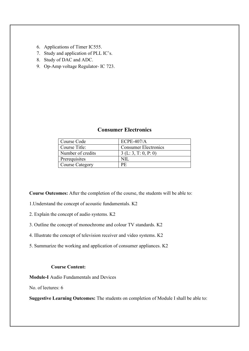- 6. Applications of Timer IC555.
- 7. Study and application of PLL IC's.
- 8. Study of DAC and ADC.
- 9. Op-Amp voltage Regulator- IC 723.

# Course Code ECPE-407/A Course Title: Consumer Electronics Number of credits  $3 (L: 3, T: 0, P: 0)$ Prerequisites NIL Course Category PE

## Consumer Electronics

Course Outcomes: After the completion of the course, the students will be able to:

- 1.Understand the concept of acoustic fundamentals. K2
- 2. Explain the concept of audio systems. K2
- 3. Outline the concept of monochrome and colour TV standards. K2
- 4. Illustrate the concept of television receiver and video systems. K2
- 5. Summarize the working and application of consumer appliances. K2

## Course Content:

Module-I Audio Fundamentals and Devices

No. of lectures: 6

Suggestive Learning Outcomes: The students on completion of Module I shall be able to: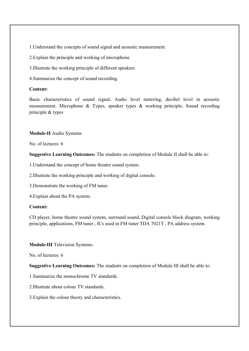1.Understand the concepts of sound signal and acoustic measurement.

2.Explain the principle and working of microphone

3.Illustrate the working principle of different speakers

4.Summarize the concept of sound recording.

## Content:

Basic characteristics of sound signal, Audio level metering, decibel level in acoustic measurement. Microphone & Types, speaker types & working principle, Sound recording principle & types

#### Module-II Audio Systems

No. of lectures: 6

Suggestive Learning Outcomes: The students on completion of Module II shall be able to:

1.Understand the concept of home theatre sound system.

2.Illustrate the working principle and working of digital console.

3.Demonstrate the working of FM tuner.

4.Explain about the PA system.

#### Content:

CD player, home theatre sound system, surround sound, Digital console block diagram, working principle, applications, FM tuner , ICs used in FM tuner TDA 7021T , PA address system.

## Module-III Television Systems-

No. of lectures: 6

Suggestive Learning Outcomes: The students on completion of Module III shall be able to:

1.Summarize the monochrome TV standards.

2.Illustrate about colour TV standards.

3.Explain the colour theory and characteristics.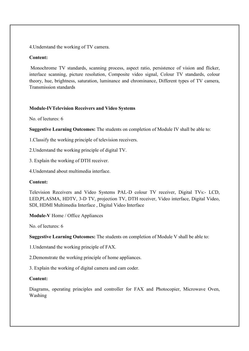4.Understand the working of TV camera.

## Content:

Monochrome TV standards, scanning process, aspect ratio, persistence of vision and flicker, interlace scanning, picture resolution, Composite video signal, Colour TV standards, colour theory, hue, brightness, saturation, luminance and chrominance, Different types of TV camera, Transmission standards

## Module-IVTelevision Receivers and Video Systems

No. of lectures: 6

Suggestive Learning Outcomes: The students on completion of Module IV shall be able to:

1.Classify the working principle of television receivers.

2.Understand the working principle of digital TV.

3. Explain the working of DTH receiver.

4.Understand about multimedia interface.

## Content:

Television Receivers and Video Systems PAL-D colour TV receiver, Digital TVs:- LCD, LED,PLASMA, HDTV, 3-D TV, projection TV, DTH receiver, Video interface, Digital Video, SDI, HDMI Multimedia Interface , Digital Video Interface

Module-V Home / Office Appliances

No. of lectures: 6

Suggestive Learning Outcomes: The students on completion of Module V shall be able to:

1.Understand the working principle of FAX.

2.Demonstrate the working principle of home appliances.

3. Explain the working of digital camera and cam coder.

## Content:

Diagrams, operating principles and controller for FAX and Photocopier, Microwave Oven, Washing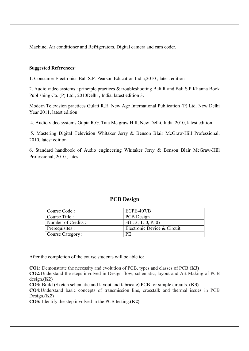Machine, Air conditioner and Refrigerators, Digital camera and cam coder.

#### Suggested References:

1. Consumer Electronics Bali S.P. Pearson Education India,2010 , latest edition

2. Audio video systems : principle practices & troubleshooting Bali R and Bali S.P Khanna Book Publishing Co. (P) Ltd., 2010Delhi , India, latest edition 3.

Modern Television practices Gulati R.R. New Age International Publication (P) Ltd. New Delhi Year 2011, latest edition

4. Audio video systems Gupta R.G. Tata Mc graw Hill, New Delhi, India 2010, latest edition

5. Mastering Digital Television Whitaker Jerry & Benson Blair McGraw-Hill Professional, 2010, latest edition

6. Standard handbook of Audio engineering Whitaker Jerry & Benson Blair McGraw-Hill Professional, 2010 , latest

## PCB Design

| Course Code :       | $ECPE-407/B$                |
|---------------------|-----------------------------|
| Course Title :      | PCB Design                  |
| Number of Credits : | 3(L: 3, T: 0, P: 0)         |
| Prerequisites :     | Electronic Device & Circuit |
| Course Category:    | <b>PE</b>                   |

After the completion of the course students will be able to:

CO1: Demonstrate the necessity and evolution of PCB, types and classes of PCB.(K3) CO2:Understand the steps involved in Design flow, schematic, layout and Art Making of PCB  $desien(K2)$ 

CO3: Build (Sketch schematic and layout and fabricate) PCB for simple circuits. (K3) CO4:Understand basic concepts of transmission line, crosstalk and thermal issues in PCB Design. $(K2)$ 

CO5: Identify the step involved in the PCB testing.(K2)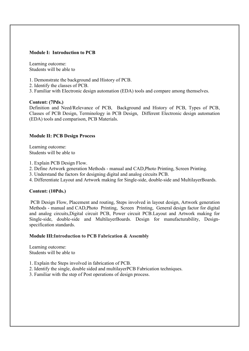## Module I: Introduction to PCB

Learning outcome: Students will be able to

- 1. Demonstrate the background and History of PCB.
- 2. Identify the classes of PCB.
- 3. Familiar with Electronic design automation (EDA) tools and compare among themselves.

## Content: (7Pds.)

Definition and Need/Relevance of PCB, Background and History of PCB, Types of PCB, Classes of PCB Design, Terminology in PCB Design, Different Electronic design automation (EDA) tools and comparison, PCB Materials.

## Module II: PCB Design Process

Learning outcome: Students will be able to

- 1. Explain PCB Design Flow.
- 2. Define Artwork generation Methods manual and CAD,Photo Printing, Screen Printing.
- 3. Understand the factors for designing digital and analog circuits PCB.
- 4. Differentiate Layout and Artwork making for Single-side, double-side and MultilayerBoards.

## Content: (10Pds.)

PCB Design Flow, Placement and routing, Steps involved in layout design, Artwork generation Methods - manual and CAD,Photo Printing, Screen Printing, General design factor for digital and analog circuits,Digital circuit PCB, Power circuit PCB.Layout and Artwork making for Single-side, double-side and MultilayerBoards. Design for manufacturability, Designspecification standards.

## Module III:Introduction to PCB Fabrication & Assembly

Learning outcome: Students will be able to

- 1. Explain the Steps involved in fabrication of PCB.
- 2. Identify the single, double sided and multilayerPCB Fabrication techniques.
- 3. Familiar with the step of Post operations of design process.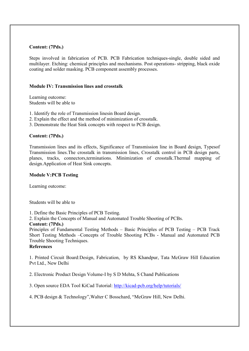## Content: (7Pds.)

Steps involved in fabrication of PCB. PCB Fabrication techniques-single, double sided and multilayer. Etching: chemical principles and mechanisms. Post operations- stripping, black oxide coating and solder masking. PCB component assembly processes.

#### Module IV: Transmission lines and crosstalk

Learning outcome: Students will be able to

- 1. Identify the role of Transmission linesin Board design.
- 2. Explain the effect and the method of minimization of crosstalk.
- 3. Demonstrate the Heat Sink concepts with respect to PCB design.

#### Content: (7Pds.)

Transmission lines and its effects, Significance of Transmission line in Board design, Typesof Transmission lines.The crosstalk in transmission lines, Crosstalk control in PCB design parts, planes, tracks, connectors,terminations. Minimization of crosstalk.Thermal mapping of design.Application of Heat Sink concepts.

#### Module V:PCB Testing

Learning outcome:

Students will be able to

1. Define the Basic Principles of PCB Testing.

2. Explain the Concepts of Manual and Automated Trouble Shooting of PCBs.

#### Content: (7Pds.)

Principles of Fundamental Testing Methods – Basic Principles of PCB Testing – PCB Track Short Testing Methods –Concepts of Trouble Shooting PCBs - Manual and Automated PCB Trouble Shooting Techniques.

## References

1. Printed Circuit Board:Design, Fabrication, by RS Khandpur, Tata McGraw Hill Education Pvt Ltd., New Delhi

2. Electronic Product Design Volume-I by S D Mehta, S Chand Publications

3. Open source EDA Tool KiCad Tutorial: http://kicad-pcb.org/help/tutorials/

4. PCB design & Technology",Walter C Bosschard, "McGraw Hill, New Delhi.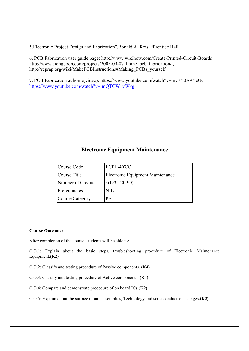5.Electronic Project Design and Fabrication",Ronald A. Reis, "Prentice Hall.

6. PCB Fabrication user guide page: http://www.wikihow.com/Create-Printed-Circuit-Boards http://www.siongboon.com/projects/2005-09-07 home pcb fabrication/, http://reprap.org/wiki/MakePCBInstructions#Making\_PCBs\_yourself

7. PCB Fabrication at home(video): https://www.youtube.com/watch?v=mv7Y0A9YeUc, https://www.youtube.com/watch?v=imQTCW1yWkg

# Electronic Equipment Maintenance

| Course Code       | <b>ECPE-407/C</b>                |
|-------------------|----------------------------------|
| Course Title      | Electronic Equipment Maintenance |
| Number of Credits | 3(L:3,T:0,P:0)                   |
| Prerequisites     | NIL                              |
| Course Category   | PE                               |

#### Course Outcome:-

After completion of the course, students will be able to:

C.O.1: Explain about the basic steps, troubleshooting procedure of Electronic Maintenance Equipment.(K2)

C.O.2: Classify and testing procedure of Passive components. (K4)

C.O.3: Classify and testing procedure of Active components. (K4)

C.O.4: Compare and demonstrate procedure of on board ICs.(K2)

C.O.5: Explain about the surface mount assemblies, Technology and semi-conductor packages.(K2)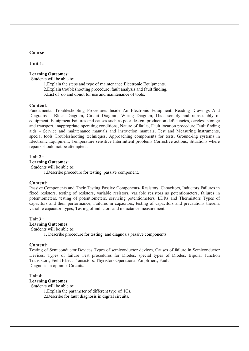#### Course

Unit 1:

#### Learning Outcomes:

Students will be able to:

- 1.Explain the steps and type of maintenance Electronic Equipments.
- 2.Explain troubleshooting procedure ,fault analysis and fault finding.
- 3.List of do and donot for use and maintenance of tools.

#### Content:

Fundamental Troubleshooting Procedures Inside An Electronic Equipment: Reading Drawings And Diagrams – Block Diagram, Circuit Diagram, Wiring Diagram; Dis-assembly and re-assembly of equipment, Equipment Failures and causes such as poor design, production deficiencies, careless storage and transport, inappropriate operating conditions, Nature of faults, Fault location procedure,Fault finding aids – Service and maintenance manuals and instruction manuals, Test and Measuring instruments, special tools Troubleshooting techniques, Approaching components for tests, Ground-ing systems in Electronic Equipment, Temperature sensitive Intermittent problems Corrective actions, Situations where repairs should not be attempted..

#### Unit 2:

Learning Outcomes:

Students will be able to:

1.Describe procedure for testing passive component.

#### Content:

Passive Components and Their Testing Passive Components- Resistors, Capacitors, Inductors Failures in fixed resistors, testing of resistors, variable resistors, variable resistors as potentiometers, failures in potentiometers, testing of potentiometers, servicing potentiometers, LDRs and Thermistors Types of capacitors and their performance, Failures in capacitors, testing of capacitors and precautions therein, variable capacitor types, Testing of inductors and inductance measurement.

#### Unit 3 :

#### Learning Outcomes:

Students will be able to:

1. Describe procedure for testing and diagnosis passive components.

#### Content:

Testing of Semiconductor Devices Types of semiconductor devices, Causes of failure in Semiconductor Devices, Types of failure Test procedures for Diodes, special types of Diodes, Bipolar Junction Transistors, Field Effect Transistors, Thyristors Operational Amplifiers, Fault Diagnosis in op-amp. Circuits.

#### Unit 4:

#### Learning Outcomes:

Students will be able to:

1.Explain the parameter of different type of ICs.

2.Describe for fault diagnosis in digital circuits.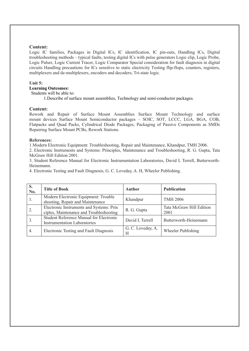#### Content:

Logic IC families, Packages in Digital ICs, IC identification, IC pin-outs, Handling ICs, Digital troubleshooting methods – typical faults, testing digital ICs with pulse generators Logic clip, Logic Probe, Logic Pulser, Logic Current Tracer, Logic Comparator Special consideration for fault diagnosis in digital circuits Handling precautions for ICs sensitive to static electricity Testing flip-flops, counters, registers, multiplexers and de-multiplexers, encoders and decoders; Tri-state logic.

#### Unit 5:

# Learning Outcomes:

Students will be able to:

1.Describe of surface mount assemblies, Technology and semi-conductor packages.

#### Content:

Rework and Repair of Surface Mount Assemblies Surface Mount Technology and surface mount devices Surface Mount Semiconductor packages – SOIC, SOT, LCCC, LGA, BGA, COB, Flatpacks and Quad Packs, Cylindrical Diode Packages, Packaging of Passive Components as SMDs Repairing Surface Mount PCBs, Rework Stations.

#### References:

1.Modern Electronic Equipment: Troubleshooting, Repair and Maintenance, Khandpur, TMH 2006.

2. Electronic Instruments and Systems: Principles, Maintenance and Troubleshooting, R. G. Gupta, Tata McGraw Hill Edition 2001.

3. Student Reference Manual for Electronic Instrumentation Laboratories, David L Terrell, Butterworth-Heinemann.

4. Electronic Testing and Fault Diagnosis, G. C. Loveday, A. H, Wheeler Publishing.

| S.<br>No.        | <b>Title of Book</b>                                                                | Author                 | <b>Publication</b>               |
|------------------|-------------------------------------------------------------------------------------|------------------------|----------------------------------|
|                  | Modern Electronic Equipment: Trouble<br>shooting, Repair and Maintenance            | Khandpur               | <b>TMH 2006</b>                  |
| 2.               | Electronic Instruments and Systems: Prin<br>ciples, Maintenance and Troubleshooting | R. G. Gupta            | Tata McGraw Hill Edition<br>2001 |
| $\overline{3}$ . | Student Reference Manual for Electronic<br><b>Instrumentation Laboratories</b>      | David L Terrell        | Butterworth-Heinemann            |
| 4.               | Electronic Testing and Fault Diagnosis                                              | G. C. Loveday, A.<br>Н | Wheeler Publishing               |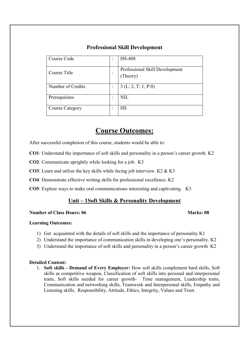| Course Code            | ٠<br>$\overline{\phantom{a}}$ | <b>HS-408</b>                              |
|------------------------|-------------------------------|--------------------------------------------|
| Course Title           | ٠<br>$\bullet$                | Professional Skill Development<br>(Theory) |
| Number of Credits      | ٠                             | $3$ (L: 2, T: 1, P:0)                      |
| Prerequisites          | ٠<br>$\overline{\phantom{a}}$ | <b>NIL</b>                                 |
| <b>Course Category</b> | ٠                             | <b>HS</b>                                  |

# Professional Skill Development

# Course Outcomes:

After successful completion of this course, students would be able to:

- CO1: Understand the importance of soft skills and personality in a person's career growth. K2
- CO2: Communicate uprightly while looking for a job. K3
- CO3: Learn and utilize the key skills while facing job interview. K2 & K3
- CO4: Demonstrate effective writing skills for professional excellence. K2
- CO5: Explore ways to make oral communications interesting and captivating. K3

# Unit – 1Soft Skills & Personality Development

## Number of Class Hours: 06 Marks: 08 Marks: 08

## Learning Outcomes:

- 1) Get acquainted with the details of soft skills and the importance of personality K1
- 2) Understand the importance of communication skills in developing one's personality. K2
- 3) Understand the importance of soft skills and personality in a person's career growth K2

## Detailed Content:

1. Soft skills - Demand of Every Employer: How soft skills complement hard skills, Soft skills as competitive weapon, Classification of soft skills into personal and interpersonal traits, Soft skills needed for career growth- Time management, Leadership traits, Communication and networking skills, Teamwork and Interpersonal skills, Empathy and Listening skills, Responsibility, Attitude, Ethics, Integrity, Values and Trust.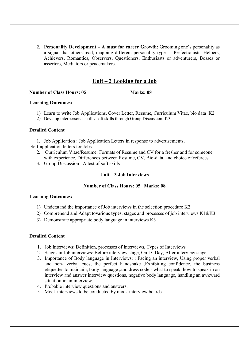2. Personality Development – A must for career Growth: Grooming one's personality as a signal that others read, mapping different personality types – Perfectionists, Helpers, Achievers, Romantics, Observers, Questioners, Enthusiasts or adventurers, Bosses or asserters, Mediators or peacemakers.

# Unit – 2 Looking for a Job

#### Number of Class Hours: 05 Marks: 08

#### Learning Outcomes:

- 1) Learn to write Job Applications, Cover Letter, Resume, Curriculum Vitae, bio data K2
- 2) Develop interpersonal skills/ soft skills through Group Discussion. K3

## Detailed Content

1. Job Application : Job Application Letters in response to advertisements,

Self-application letters for Jobs

- 2. Curriculum Vitae/Resume: Formats of Resume and CV for a fresher and for someone with experience, Differences between Resume, CV, Bio-data, and choice of referees.
- 3. Group Discussion : A test of soft skills

## Unit – 3 Job Interviews

## Number of Class Hours: 05 Marks: 08

## Learning Outcomes:

- 1) Understand the importance of Job interviews in the selection procedure K2
- 2) Comprehend and Adapt tovarious types, stages and processes of job interviews K1&K3
- 3) Demonstrate appropriate body language in interviews K3

## Detailed Content

- 1. Job Interviews: Definition, processes of Interviews, Types of Interviews
- 2. Stages in Job interviews: Before interview stage, On D' Day, After interview stage.
- 3. Importance of Body language in Interviews: : Facing an interview, Using proper verbal and non- verbal cues, the perfect handshake ,Exhibiting confidence, the business etiquettes to maintain, body language ,and dress code - what to speak, how to speak in an interview and answer interview questions, negative body language, handling an awkward situation in an interview.
- 4. Probable interview questions and answers.
- 5. Mock interviews to be conducted by mock interview boards.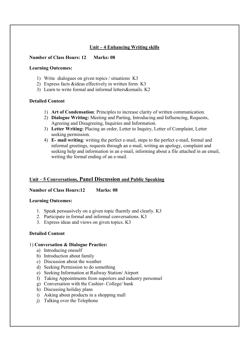# Unit – 4 Enhancing Writing skills

## Number of Class Hours: 12 Marks: 08

## Learning Outcomes:

- 1) Write dialogues on given topics / situations K3
- 2) Express facts &ideas effectively in written form K3
- 3) Learn to write formal and informal letters&emails. K2

## Detailed Content

- 1) Art of Condensation: Principles to increase clarity of written communication.
- 2) Dialogue Writing: Meeting and Parting, Introducing and Influencing, Requests, Agreeing and Disagreeing, Inquiries and Information.
- 3) Letter Writing: Placing an order, Letter to Inquiry, Letter of Complaint, Letter seeking permission.
- 4) E- mail writing: writing the perfect e-mail, steps to the perfect e-mail, formal and informal greetings, requests through an e-mail, writing an apology, complaint and seeking help and information in an e-mail, informing about a file attached in an email, writing the formal ending of an e-mail.

## Unit – 5 Conversations, Panel Discussion and Public Speaking

## Number of Class Hours:12 Marks: 08

## Learning Outcomes:

- 1. Speak persuasively on a given topic fluently and clearly. K3
- 2. Participate in formal and informal conversations. K3
- 3. Express ideas and views on given topics. K3

## Detailed Content

## 1) Conversation & Dialogue Practice:

- a) Introducing oneself
- b) Introduction about family
- c) Discussion about the weather
- d) Seeking Permission to do something
- e) Seeking Information at Railway Station/ Airport
- f) Taking Appointments from superiors and industry personnel
- g) Conversation with the Cashier- College/ bank
- h) Discussing holiday plans
- i) Asking about products in a shopping mall
- j) Talking over the Telephone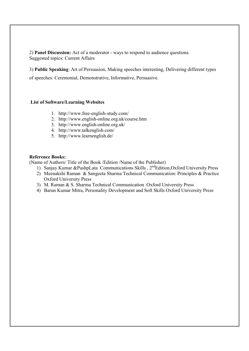2) Panel Discussion: Act of a moderator - ways to respond to audience questions. Suggested topics: Current Affairs

3) Public Speaking: Art of Persuasion, Making speeches interesting, Delivering different types

of speeches: Ceremonial, Demonstrative, Informative, Persuasive.

#### List of Software/Learning Websites

- 1. http://www.free-english-study.com/
- 2. http://www.english-online.org.uk/course.htm
- 3. http://www.english-online.org.uk/
- 4. http://www.talkenglish.com/
- 5. http://www.learnenglish.de/

#### Reference Books:

(Name of Authors/ Title of the Book /Edition /Name of the Publisher)

- 1) Sanjay Kumar &PushpLata Communications Skills , 2<sup>nd</sup>Edition, Oxford University Press
- 2) Meenakshi Raman & Sangeeta Sharma Technical Communication: Principles & Practice Oxford University Press
- 3) M. Raman & S. Sharma Technical Communication Oxford University Press
- 4) Barun Kumar Mitra, Personality Development and Soft Skills Oxford University Press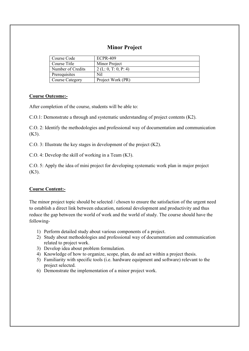# Minor Project

| Course Code            | <b>ECPR-409</b>      |
|------------------------|----------------------|
| Course Title           | Minor Project        |
| Number of Credits      | 2 (L: 0, T: 0, P: 4) |
| Prerequisites          | Nil                  |
| <b>Course Category</b> | Project Work (PR)    |

## Course Outcome:-

After completion of the course, students will be able to:

C.O.1: Demonstrate a through and systematic understanding of project contents (K2).

C.O. 2: Identify the methodologies and professional way of documentation and communication (K3).

C.O. 3: Illustrate the key stages in development of the project (K2).

C.O. 4: Develop the skill of working in a Team (K3).

C.O. 5: Apply the idea of mini project for developing systematic work plan in major project  $(K3)$ .

## Course Content:-

The minor project topic should be selected / chosen to ensure the satisfaction of the urgent need to establish a direct link between education, national development and productivity and thus reduce the gap between the world of work and the world of study. The course should have the following-

- 1) Perform detailed study about various components of a project.
- 2) Study about methodologies and professional way of documentation and communication related to project work.
- 3) Develop idea about problem formulation.
- 4) Knowledge of how to organize, scope, plan, do and act within a project thesis.
- 5) Familiarity with specific tools (i.e. hardware equipment and software) relevant to the project selected.
- 6) Demonstrate the implementation of a minor project work.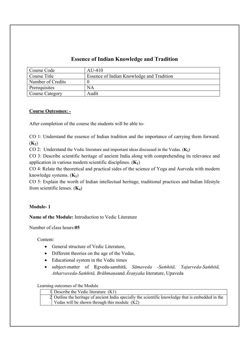# Essence of Indian Knowledge and Tradition

| Course Code            | $AIJ-410$                                 |
|------------------------|-------------------------------------------|
| Course Title           | Essence of Indian Knowledge and Tradition |
| Number of Credits      |                                           |
| Prerequisites          | ΝA                                        |
| <b>Course Category</b> | Audit                                     |

## Course Outcomes: -

After completion of the course the students will be able to-

CO 1: Understand the essence of Indian tradition and the importance of carrying them forward.  $(K_2)$ 

CO 2: Understand the Vedic literature and important ideas discussed in the Vedas.  $(K_2)$ 

CO 3: Describe scientific heritage of ancient India along with comprehending its relevance and application in various modern scientific disciplines.  $(K_1)$ 

CO 4: Relate the theoretical and practical sides of the science of Yoga and Aurveda with modern knowledge systems.  $(K_1)$ 

CO 5: Explain the worth of Indian intellectual heritage, traditional practices and Indian lifestyle from scientific lenses.  $(K_4)$ 

## Module- 1

Name of the Module: Introduction to Vedic Literature

Number of class hours:05

Content:

- General structure of Vedic Literature,
- Different theories on the age of the Vedas,
- Educational system in the Vedic times
- subject-matter of Ṛgveda-samhitā, *Sāmaveda -Saṁhitā, Yajurveda-Saṁhitā, Atharvaveda-Saṁhitā, Brāhmaṇa*and *Ᾱraṇyaka* literature, Upaveda

Learning outcomes of the Module

|  | 1 Describe the Vedic literature $(K1)$                                                             |
|--|----------------------------------------------------------------------------------------------------|
|  | 2 Outline the heritage of ancient India specially the scientific knowledge that is embedded in the |
|  | Vedas will be shown through this module $(K2)$                                                     |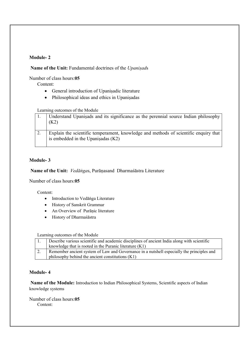## Module- 2

## Name of the Unit: Fundamental doctrines of the *Upaniṣad*s

Number of class hours:05

Content:

- General introduction of Upaniṣadic literature
- Philosophical ideas and ethics in Upaniṣadas

Learning outcomes of the Module

| Understand Upanisads and its significance as the perennial source Indian philosophy<br>(K2)                                  |
|------------------------------------------------------------------------------------------------------------------------------|
| Explain the scientific temperament, knowledge and methods of scientific enquiry that<br>is embedded in the Upanisadas $(K2)$ |

## Module- 3

Name of the Unit: *Vedāṅga*s, Purāṇasand Dharmaśāstra Literature

Number of class hours:05

Content:

- Introduction to Vedāṅga Literature
- History of Sanskrit Grammar
- An Overview of Purāṇic literature
- History of Dharmaśāstra

Learning outcomes of the Module

| Describe various scientific and academic disciplines of ancient India along with scientific |
|---------------------------------------------------------------------------------------------|
| knowledge that is rooted in the Puranic literature $(K1)$                                   |
| Remember ancient system of Law and Governance in a nutshell especially the principles and   |
| philosophy behind the ancient constitutions $(K1)$                                          |

## Module- 4

Name of the Module: Introduction to Indian Philosophical Systems, Scientific aspects of Indian knowledge systems

Number of class hours:05 Content: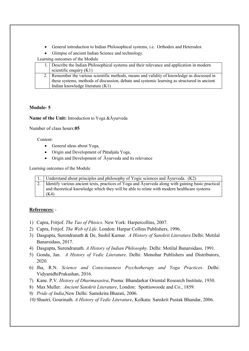- General introduction to Indian Philosophical systems, i.e. Orthodox and Heterodox
- Glimpse of ancient Indian Science and technology.

Learning outcomes of the Module

| 1. Describe the Indian Philosophical systems and their relevance and application in modern  |
|---------------------------------------------------------------------------------------------|
| scientific enquiry $(K1)$                                                                   |
| 2. Remember the various scientific methods, means and validity of knowledge as discussed in |
| these systems, methods of discussion, debate and systemic learning as structured in ancient |
| Indian knowledge literature $(K1)$                                                          |

# Module- 5

Name of the Unit: Introduction to Yoga &Āyurveda

Number of class hours:05

Content:

- General ideas about Yoga,
- Origin and Development of Pātañjala Yoga,
- Origin and Development of Āyurveda and its relevance

Learning outcomes of the Module

| 1. Understand about principles and philosophy of Yogic sciences and Ayurveda. (K2)                   |
|------------------------------------------------------------------------------------------------------|
| 2. Identify various ancient texts, practices of Yoga and Ayurveda along with gaining basic practical |
| and theoretical knowledge which they will be able to relate with modern healthcare systems           |
| (K4)                                                                                                 |

## References: -

- 1) Capra, Fritjof. *The Tao of Phisics*. New York: Harpercollins, 2007.
- 2) Capra, Fritjof. *The Web of Life*. London: Harpar Collins Publishers, 1996.
- 3) Dasgupta, Surendranath & De, Sushil Kumar. *A History of Sanskrit Literature.*Delhi: Motilal Banarsidass, 2017.
- 4) Dasgupta, Surendranath. *A History of Indian Philosophy*. Delhi: Motilal Banarsidass, 1991.
- 5) Gonda, Jan. *A History of Vedic Literature*. Delhi: Monohar Publishers and Distributors, 2020.
- 6) Jha, R.N. *Science and Consciousness Psychotherapy and Yoga Practices*. Delhi: VidyanidhiPrakashan, 2016.
- 7) Kane. P.V. *History of Dharmasastra*, Poona: Bhandarkar Oriental Research Institute, 1930.
- 8) Max Muller. *Ancient Sanskrit Literature*, London: Spottiswoode and Co., 1859.
- *9) Pride of India*,New Delhi: Samskrita Bharati, 2006.
- *10)* Shastri, Gourinath. *A History of Vedic Literature*, Kolkata: Sanskrit Pustak Bhandar, 2006.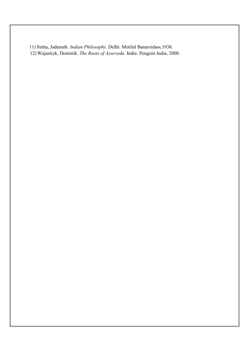11) Sinha, Jadunath. *Indian Philosophy*. Delhi: Motilal Banarsidass,1938. 12) Wujastiyk, Dominik. *The Roots of Ayurveda*. India: Penguin India, 2000.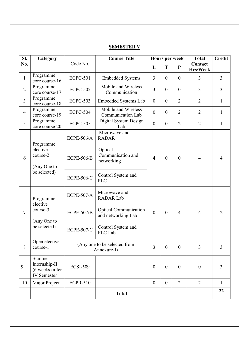| Sl.            | Category                                                         |                   | <b>Course Title</b>                                | Hours per week   |                  | <b>Total</b>     | <b>Credit</b>       |                |
|----------------|------------------------------------------------------------------|-------------------|----------------------------------------------------|------------------|------------------|------------------|---------------------|----------------|
| No.            |                                                                  | Code No.          |                                                    | L                | T                | $\mathbf{P}$     | Contact<br>Hrs/Week |                |
| $\mathbf{1}$   | Programme<br>core course-16                                      | <b>ECPC-501</b>   | <b>Embedded Systems</b>                            | $\overline{3}$   | $\boldsymbol{0}$ | $\boldsymbol{0}$ | $\overline{3}$      | $\overline{3}$ |
| $\overline{2}$ | Programme<br>core course-17                                      | <b>ECPC-502</b>   | Mobile and Wireless<br>Communication               | $\overline{3}$   | $\boldsymbol{0}$ | $\boldsymbol{0}$ | $\overline{3}$      | $\overline{3}$ |
| $\overline{3}$ | Programme<br>core course-18                                      | <b>ECPC-503</b>   | Embedded Systems Lab                               | $\boldsymbol{0}$ | $\boldsymbol{0}$ | $\overline{2}$   | $\overline{2}$      | $\mathbf{1}$   |
| $\overline{4}$ | Programme<br>core course-19                                      | <b>ECPC-504</b>   | Mobile and Wireless<br><b>Communication Lab</b>    | $\boldsymbol{0}$ | $\boldsymbol{0}$ | $\overline{2}$   | $\overline{2}$      | $\mathbf{1}$   |
| 5              | Programme<br>core course-20                                      | <b>ECPC-505</b>   | Digital System Design<br>Lab                       | $\boldsymbol{0}$ | $\boldsymbol{0}$ | $\overline{2}$   | $\overline{2}$      | $\mathbf{1}$   |
|                | Programme                                                        | <b>ECPE-506/A</b> | Microwave and<br><b>RADAR</b>                      |                  |                  |                  |                     |                |
| 6              | elective<br>course-2<br>(Any One to                              | <b>ECPE-506/B</b> | Optical<br>Communication and<br>networking         | $\overline{4}$   | $\theta$         | $\boldsymbol{0}$ | $\overline{4}$      | $\overline{4}$ |
|                | be selected)                                                     | <b>ECPE-506/C</b> | Control System and<br><b>PLC</b>                   |                  |                  |                  |                     |                |
|                | Programme<br>elective                                            | <b>ECPE-507/A</b> | Microwave and<br><b>RADAR Lab</b>                  |                  |                  |                  |                     |                |
| $\overline{7}$ | course-3                                                         | <b>ECPE-507/B</b> | <b>Optical Communication</b><br>and networking Lab | $\mathbf{0}$     | $\boldsymbol{0}$ | $\overline{4}$   | $\overline{4}$      | $\overline{2}$ |
|                | (Any One to<br>be selected)                                      | <b>ECPE-507/C</b> | Control System and<br>PLC Lab                      |                  |                  |                  |                     |                |
| 8              | Open elective<br>course-1                                        |                   | (Any one to be selected from<br>Annexure-I)        | $\overline{3}$   | $\overline{0}$   | $\mathbf{0}$     | $\overline{3}$      | $\overline{3}$ |
| 9              | Summer<br>Internship-II<br>(6 weeks) after<br><b>IV</b> Semester | <b>ECSI-509</b>   |                                                    | $\boldsymbol{0}$ | $\boldsymbol{0}$ | $\boldsymbol{0}$ | $\boldsymbol{0}$    | 3              |
| 10             | Major Project                                                    | <b>ECPR-510</b>   |                                                    | $\boldsymbol{0}$ | $\boldsymbol{0}$ | $\overline{2}$   | $\overline{2}$      | $\mathbf{1}$   |
|                |                                                                  |                   | <b>Total</b>                                       |                  |                  |                  |                     | 22             |

# SEMESTER V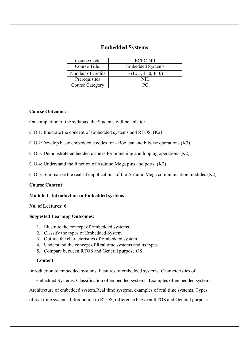# Embedded Systems

| Course Code            | <b>ECPC-501</b>         |
|------------------------|-------------------------|
| Course Title:          | <b>Embedded Systems</b> |
| Number of credits      | 3(L:3, T: 0, P: 0)      |
| Prerequisites          |                         |
| <b>Course Category</b> |                         |

## Course Outcome:-

On completion of the syllabus, the Students will be able to:-

C.O.1: Illustrate the concept of Embedded systems and RTOS. (K2)

C.O.2:Develop basic embedded c codes for - Boolean and bitwise operations (K3)

C.O.3: Demonstrate embedded c codes for branching and looping operations (K2)

C.O.4: Understand the function of Arduino Mega pins and ports. (K2)

C.O.5: Summarize the real-life applications of the Arduino Mega communication modules (K2)

## Course Content:

## Module I- Introduction to Embedded systems

## No. of Lectures: 6

## Suggested Learning Outcomes:

- 1. Illustrate the concept of Embedded systems.
- 2. Classify the types of Embedded System.
- 3. Outline the characteristics of Embedded system
- 4. Understand the concept of Real time systems and its types.
- 5. Compare between RTOS and General purpose OS

## Content

Introduction to embedded systems. Features of embedded systems. Characteristics of

Embedded Systems. Classification of embedded systems. Examples of embedded systems.

Architecture of embedded system.Real time systems, examples of real time systems. Types

of real time systems.Introduction to RTOS, difference between RTOS and General purpose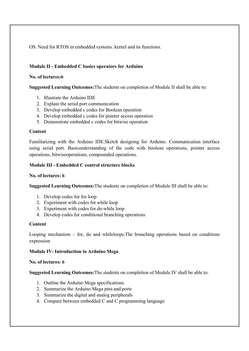OS. Need for RTOS in embedded systems. kernel and its functions.

## Module II - Embedded C basics operators for Arduino

## No. of lectures:6

Suggested Learning Outcomes:The students on completion of Module II shall be able to:

- 1. Illustrate the Arduino IDE
- 2. Explain the serial port communication
- 3. Develop embedded c codes for Boolean operation
- 4. Develop embedded c codes for pointer access operation
- 5. Demonstrate embedded c codes for bitwise operation

## Content

Familiarizing with the Arduino IDE.Sketch designing for Arduino. Communication interface using serial port. Basicunderstanding of the code with boolean operations, pointer access operations, bitwiseoperations, compounded operations.

## Module III - Embedded C control structure blocks

## No. of lectures: 6

Suggested Learning Outcomes:The students on completion of Module III shall be able to:

- 1. Develop codes for for loop
- 2. Experiment with codes for while loop
- 3. Experiment with codes for do-while loop
- 4. Develop codes for conditional branching operations

## Content

Looping mechanism – for, do and whileloops.The branching operations based on conditions expression

## Module IV- Introduction to Arduino Mega

## No. of lectures: 6

Suggested Learning Outcomes:The students on completion of Module IV shall be able to:

- 1. Outline the Arduino Mega specifications.
- 2. Summarize the Arduino Mega pins and ports
- 3. Summarize the digital and analog peripherals
- 4. Compare between embedded C and C programming language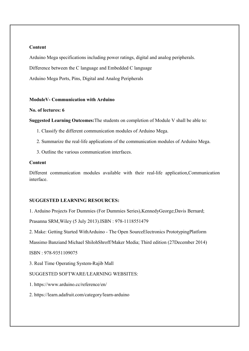## Content

Arduino Mega specifications including power ratings, digital and analog peripherals.

Difference between the C language and Embedded C language

Arduino Mega Ports, Pins, Digital and Analog Peripherals

#### ModuleV- Communication with Arduino

## No. of lectures: 6

Suggested Learning Outcomes:The students on completion of Module V shall be able to:

- 1. Classify the different communication modules of Arduino Mega.
- 2. Summarize the real-life applications of the communication modules of Arduino Mega.
- 3. Outline the various communication interfaces.

## Content

Different communication modules available with their real-life application,Communication interface.

#### SUGGESTED LEARNING RESOURCES:

1. Arduino Projects For Dummies (For Dummies Series),KennedyGeorge;Davis Bernard;

Prasanna SRM,Wiley (5 July 2013).ISBN : 978-1118551479

2. Make: Getting Started WithArduino - The Open SourceElectronics PrototypingPlatform

Massimo Banziand Michael ShilohShroff/Maker Media; Third edition (27December 2014)

ISBN : 978-9351109075

3. Real Time Operating System-Rajib Mall

SUGGESTED SOFTWARE/LEARNING WEBSITES:

1. https://www.arduino.cc/reference/en/

2. https://learn.adafruit.com/category/learn-arduino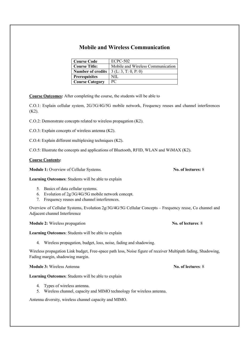# Mobile and Wireless Communication

| <b>Course Code</b>       | <b>ECPC-502</b>                   |
|--------------------------|-----------------------------------|
| <b>Course Title:</b>     | Mobile and Wireless Communication |
| <b>Number of credits</b> | 3(L:3, T:0, P:0)                  |
| <b>Prerequisites</b>     | NIL.                              |
| <b>Course Category</b>   | PС                                |

Course Outcomes: After completing the course, the students will be able to

C.O.1: Explain cellular system, 2G/3G/4G/5G mobile network, Frequency reuses and channel interferences (K2).

C.O.2: Demonstrate concepts related to wireless propagation (K2).

C.O.3: Explain concepts of wireless antenna (K2).

C.O.4: Explain different multiplexing techniques (K2).

C.O.5: Illustrate the concepts and applications of Bluetooth, RFID, WLAN and WiMAX (K2).

#### Course Contents:

Module 1: Overview of Cellular Systems. No. of lectures: 8

Learning Outcomes: Students will be able to explain

- 5. Basics of data cellular systems.
- 6. Evolution of 2g/3G/4G/5G mobile network concept.
- 7. Frequency reuses and channel interferences.

Overview of Cellular Systems, Evolution 2g/3G/4G/5G Cellular Concepts – Frequency reuse, Co channel and Adjacent channel Interference

Module 2: Wireless propagation No. of lectures: 8

Learning Outcomes: Students will be able to explain

4. Wireless propagation, budget, loss, noise, fading and shadowing.

Wireless propagation Link budget, Free-space path loss, Noise figure of receiver Multipath fading, Shadowing, Fading margin, shadowing margin.

Module 3: Wireless Antenna No. of lectures: 8

Learning Outcomes: Students will be able to explain

- 4. Types of wireless antenna.
- 5. Wireless channel, capacity and MIMO technology for wireless antenna.

Antenna diversity, wireless channel capacity and MIMO.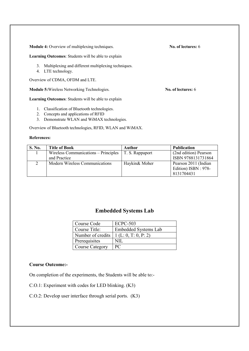Module 4: Overview of multiplexing techniques. No. of lectures: 6

Learning Outcomes: Students will be able to explain

- 3. Multiplexing and different multiplexing techniques.
- 4. LTE technology.

Overview of CDMA, OFDM and LTE.

Module 5: Wireless Networking Technologies. No. of lectures: 6

Learning Outcomes: Students will be able to explain

- 1. Classification of Bluetooth technologies.
- 2. Concepts and applications of RFID
- 3. Demonstrate WLAN and WiMAX technologies.

Overview of Bluetooth technologies, RFID, WLAN and WiMAX.

#### References:

| <b>S. No.</b> | <b>Title of Book</b>                 | Author                 | <b>Publication</b>                          |
|---------------|--------------------------------------|------------------------|---------------------------------------------|
|               | Wireless Communications – Principles | $\mid$ T. S. Rappaport | (2nd edition) Pearson                       |
|               | and Practice                         |                        | ISBN 9788131731864                          |
|               | Modern Wireless Communications       | Haykin& Moher          | Pearson 2011 (Indian<br>Edition) ISBN: 978- |
|               |                                      |                        | 8131704431                                  |

# Embedded Systems Lab

| Course Code            | <b>ECPC-503</b>             |
|------------------------|-----------------------------|
| Course Title:          | <b>Embedded Systems Lab</b> |
| Number of credits      | 1(L: 0, T: 0, P: 2)         |
| Prerequisites          | NII                         |
| <b>Course Category</b> | PС                          |

## Course Outcome:-

On completion of the experiments, the Students will be able to:-

C.O.1: Experiment with codes for LED blinking. (K3)

C.O.2: Develop user interface through serial ports. (K3)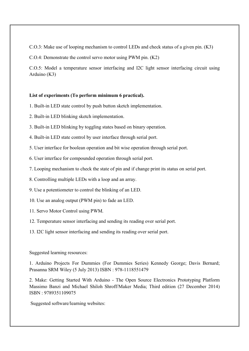C.O.3: Make use of looping mechanism to control LEDs and check status of a given pin. (K3)

C.O.4: Demonstrate the control servo motor using PWM pin. (K2)

C.O.5: Model a temperature sensor interfacing and I2C light sensor interfacing circuit using Arduino (K3)

#### List of experiments (To perform minimum 6 practical).

- 1. Built-in LED state control by push button sketch implementation.
- 2. Built-in LED blinking sketch implementation.
- 3. Built-in LED blinking by toggling states based on binary operation.
- 4. Built-in LED state control by user interface through serial port.
- 5. User interface for boolean operation and bit wise operation through serial port.
- 6. User interface for compounded operation through serial port.
- 7. Looping mechanism to check the state of pin and if change print its status on serial port.
- 8. Controlling multiple LEDs with a loop and an array.
- 9. Use a potentiometer to control the blinking of an LED.
- 10. Use an analog output (PWM pin) to fade an LED.
- 11. Servo Motor Control using PWM.
- 12. Temperature sensor interfacing and sending its reading over serial port.
- 13. I2C light sensor interfacing and sending its reading over serial port.

#### Suggested learning resources:

1. Arduino Projects For Dummies (For Dummies Series) Kennedy George; Davis Bernard; Prasanna SRM Wiley (5 July 2013) ISBN : 978-1118551479

2. Make: Getting Started With Arduino - The Open Source Electronics Prototyping Platform Massimo Banzi and Michael Shiloh Shroff/Maker Media; Third edition (27 December 2014) ISBN : 9789351109075

Suggested software/learning websites: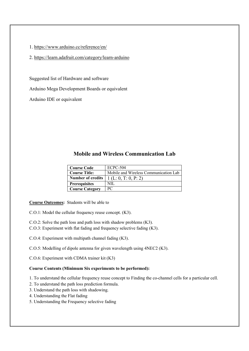1. https://www.arduino.cc/reference/en/

2. https://learn.adafruit.com/category/learn-arduino

Suggested list of Hardware and software

Arduino Mega Development Boards or equivalent

Arduino IDE or equivalent

# Mobile and Wireless Communication Lab

| <b>Course Code</b>       | <b>ECPC-504</b>                       |
|--------------------------|---------------------------------------|
| <b>Course Title:</b>     | Mobile and Wireless Communication Lab |
| <b>Number of credits</b> | 1 (L: 0, T: 0, P: 2)                  |
| <b>Prerequisites</b>     | NIL.                                  |
| <b>Course Category</b>   | PС                                    |

Course Outcomes: Students will be able to

C.O.1: Model the cellular frequency reuse concept. (K3).

C.O.2: Solve the path loss and path loss with shadow problems (K3).

- C.O.3: Experiment with flat fading and frequency selective fading (K3).
- C.O.4: Experiment with multipath channel fading (K3).
- C.O.5: Modelling of dipole antenna for given wavelength using 4NEC2 (K3).
- C.O.6: Experiment with CDMA trainer kit (K3)

#### Course Contents (Minimum Six experiments to be performed):

1. To understand the cellular frequency reuse concept to Finding the co-channel cells for a particular cell.

- 2. To understand the path loss prediction formula.
- 3. Understand the path loss with shadowing.
- 4. Understanding the Flat fading
- 5. Understanding the Frequency selective fading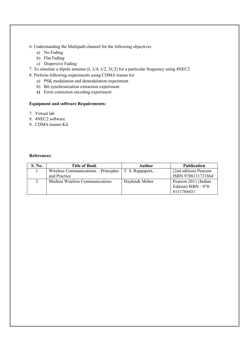#### 6. Understanding the Multipath channel for the following objectives

- a) No Fading
- b) Flat Fading
- c) Dispersive Fading
- 7. To simulate a dipole antenna ( $\lambda$ ,  $\lambda$ /4,  $\lambda$ /2,  $3\lambda$ /2) for a particular frequency using 4NEC2
- 8. Perform following experiments using CDMA trainer kit
	- a) PSK modulation and demodulation experiment
	- b) Bit synchronization extraction experiment
	- c) Error correction encoding experiment

## Equipment and software Requirements:

- 7. Virtual lab
- 8. 4NEC2 software
- 9. CDMA trainer Kit

#### References:

| S. No. | <b>Title of Book</b>                 | Author           | <b>Publication</b>    |
|--------|--------------------------------------|------------------|-----------------------|
|        | Wireless Communications – Principles | T. S. Rappaport, | (2nd edition) Pearson |
|        | and Practice                         |                  | ISBN 9788131731864    |
|        | Modern Wireless Communications       | Haykin& Moher    | Pearson 2011 (Indian  |
|        |                                      |                  | Edition) ISBN: 978-   |
|        |                                      |                  | 8131704431            |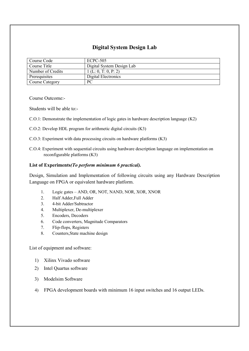# Digital System Design Lab

| Course Code            | ECPC-505                  |
|------------------------|---------------------------|
| Course Title           | Digital System Design Lab |
| Number of Credits      | 1(L: 0, T: 0, P: 2)       |
| Prerequisites          | Digital Electronics       |
| <b>Course Category</b> | PC                        |

Course Outcome:-

Students will be able to:-

- C.O.1: Demonstrate the implementation of logic gates in hardware description language (K2)
- C.O.2: Develop HDL program for arithmetic digital circuits (K3)
- C.O.3: Experiment with data processing circuits on hardware platforms (K3)
- C.O.4: Experiment with sequential circuits using hardware description language on implementation on reconfigurable platforms (K3)

### List of Experiments*(To perform minimum 6 practical).*

Design, Simulation and Implementation of following circuits using any Hardware Description Language on FPGA or equivalent hardware platform.

- 1. Logic gates AND, OR, NOT, NAND, NOR, XOR, XNOR
- 2. Half Adder,Full Adder
- 3. 4-bit Adder/Subtractor
- 4. Multiplexer, De-multiplexer
- 5. Encoders, Decoders
- 6. Code converters, Magnitude Comparators
- 7. Flip-flops, Registers
- 8. Counters,State machine design

List of equipment and software:

- 1) Xilinx Vivado software
- 2) Intel Quartus software
- 3) Modelsim Software
- 4) FPGA development boards with minimum 16 input switches and 16 output LEDs.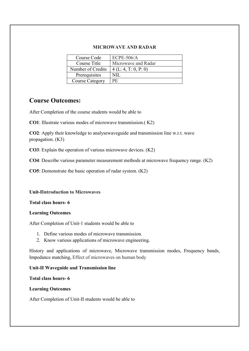### MICROWAVE AND RADAR

| Course Code            | $ECPE-506/A$        |
|------------------------|---------------------|
| Course Title           | Microwave and Radar |
| Number of Credits      | 4(L: 4, T: 0, P: 0) |
| Prerequisites          | NIL.                |
| <b>Course Category</b> | PF.                 |

# Course Outcomes:

After Completion of the course students would be able to

CO1: Illustrate various modes of microwave transmission.( K2)

CO2: Apply their knowledge to analysewaveguide and transmission line w.r.t. wave propagation. (K3)

CO3: Explain the operation of various microwave devices. (K2)

CO4: Describe various parameter measurement methods at microwave frequency range. (K2)

CO5: Demonstrate the basic operation of radar system. (K2)

### Unit-IIntroduction to Microwaves

Total class hours- 6

## Learning Outcomes

After Completion of Unit-1 students would be able to

- 1. Define various modes of microwave transmission.
- 2. Know various applications of microwave engineering.

History and applications of microwave, Microwave transmission modes, Frequency bands, Impedance matching, Effect of microwaves on human body

## Unit-II Waveguide and Transmission line

### Total class hours- 6

## Learning Outcomes

After Completion of Unit-II students would be able to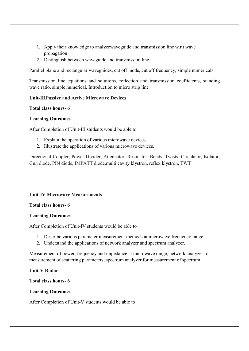- 1. Apply their knowledge to analyzewaveguide and transmission line w.r.t wave propagation.
- 2. Distinguish between waveguide and transmission line.

Parallel plane and rectangular waveguides, cut off mode, cut off frequency, simple numericals

Transmission line equations and solutions, reflection and transmission coefficients, standing wave ratio, simple numerical, Introduction to micro strip line

### Unit-IIIPassive and Active Microwave Devices

### Total class hours- 6

### Learning Outcomes

After Completion of Unit-III students would be able to

- 1. Explain the operation of various microwave devices.
- 2. Illustrate the applications of various microwave devices.

Directional Coupler, Power Divider, Attenuator, Resonator, Bends, Twists, Circulator, Isolator, Gun diode, PIN diode, IMPATT diode,multi cavity klystron, reflex klystron, TWT

### Unit-IV Microwave Measurements

### Total class hours- 6

### Learning Outcomes

After Completion of Unit-IV students would be able to

- 1. Describe various parameter measurement methods at microwave frequency range.
- 2. Understand the applications of network analyzer and spectrum analyzer.

Measurement of power, frequency and impedance at microwave range, network analyzer for measurement of scattering parameters, spectrum analyzer for measurement of spectrum

### Unit-V Radar

### Total class hours- 6

### Learning Outcomes

After Completion of Unit-V students would be able to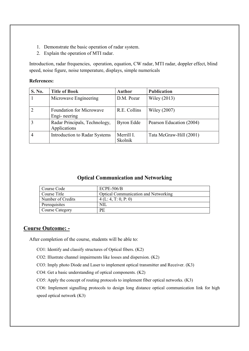- 1. Demonstrate the basic operation of radar system.
- 2. Explain the operation of MTI radar.

Introduction, radar frequencies, operation, equation, CW radar, MTI radar, doppler effect, blind speed, noise figure, noise temperature, displays, simple numericals

### References:

| S. No. | <b>Title of Book</b>                            | <b>Author</b>                | <b>Publication</b>       |
|--------|-------------------------------------------------|------------------------------|--------------------------|
|        | Microwave Engineering                           | D.M. Pozar                   | Wiley (2013)             |
|        | <b>Foundation for Microwave</b><br>Engi-neering | R.E. Collins                 | Wiley (2007)             |
|        | Radar Principals, Technology,<br>Applications   | <b>Byron Edde</b>            | Pearson Education (2004) |
|        | <b>Introduction to Radar Systems</b>            | Merrill I.<br><b>Skolnik</b> | Tata McGraw-Hill (2001)  |

# Optical Communication and Networking

| Course Code            | $ECPE-506/B$                                |
|------------------------|---------------------------------------------|
| Course Title           | <b>Optical Communication and Networking</b> |
| Number of Credits      | 4(L: 4, T: 0, P: 0)                         |
| Prerequisites          | NIL                                         |
| <b>Course Category</b> | PE                                          |

## Course Outcome: -

After completion of the course, students will be able to:

CO1: Identify and classify structures of Optical fibers. (K2)

CO2: Illustrate channel impairments like losses and dispersion. (K2)

CO3: Imply photo Diode and Laser to implement optical transmitter and Receiver. (K3)

CO4: Get a basic understanding of optical components. (K2)

CO5: Apply the concept of routing protocols to implement fiber optical networks. (K3)

CO6: Implement signalling protocols to design long distance optical communication link for high speed optical network (K3)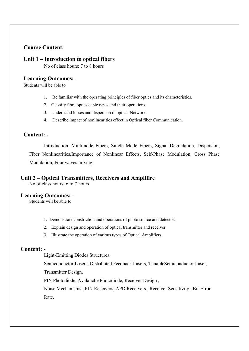# Course Content:

## Unit 1 – Introduction to optical fibers

No of class hours: 7 to 8 hours

## Learning Outcomes: -

Students will be able to

- 1. Be familiar with the operating principles of fiber optics and its characteristics.
- 2. Classify fibre optics cable types and their operations.
- 3. Understand losses and dispersion in optical Network.
- 4. Describe impact of nonlinearities effect in Optical fiber Communication.

## Content: -

Introduction, Multimode Fibers, Single Mode Fibers, Signal Degradation, Dispersion, Fiber Nonlinearities,Importance of Nonlinear Effects, Self-Phase Modulation, Cross Phase Modulation, Four waves mixing.

## Unit 2 – Optical Transmitters, Receivers and Amplifire

No of class hours: 6 to 7 hours

## Learning Outcomes: -

Students will be able to

- 1. Demonstrate constriction and operations of photo source and detector.
- 2. Explain design and operation of optical transmitter and receiver.
- 3. Illustrate the operation of various types of Optical Amplifiers.

### Content: -

Light-Emitting Diodes Structures,

Semiconductor Lasers, Distributed Feedback Lasers, TunableSemiconductor Laser,

Transmitter Design.

PIN Photodiode, Avalanche Photodiode, Receiver Design ,

Noise Mechanisms , PIN Receivers, APD Receivers , Receiver Sensitivity , Bit-Error Rate.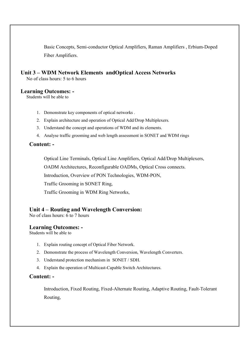Basic Concepts, Semi-conductor Optical Amplifiers, Raman Amplifiers , Erbium-Doped Fiber Amplifiers.

# Unit 3 – WDM Network Elements andOptical Access Networks

No of class hours: 5 to 6 hours

# Learning Outcomes: -

Students will be able to

- 1. Demonstrate key components of optical networks .
- 2. Explain architecture and operation of Optical Add/Drop Multiplexers.
- 3. Understand the concept and operations of WDM and its elements.
- 4. Analyse traffic grooming and web length assessment in SONET and WDM rings

## Content: -

Optical Line Terminals, Optical Line Amplifiers, Optical Add/Drop Multiplexers,

OADM Architectures, Reconfigurable OADMs, Optical Cross connects.

Introduction, Overview of PON Technologies, WDM-PON,

Traffic Grooming in SONET Ring,

Traffic Grooming in WDM Ring Networks,

## Unit 4 – Routing and Wavelength Conversion:

No of class hours: 6 to 7 hours

### Learning Outcomes: -

Students will be able to

- 1. Explain routing concept of Optical Fiber Network.
- 2. Demonstrate the process of Wavelength Conversion, Wavelength Converters.
- 3. Understand protection mechanism in SONET / SDH.
- 4. Explain the operation of Multicast-Capable Switch Architectures.

## Content: -

Introduction, Fixed Routing, Fixed-Alternate Routing, Adaptive Routing, Fault-Tolerant Routing,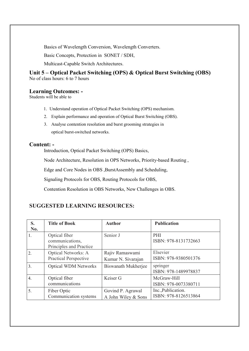Basics of Wavelength Conversion, Wavelength Converters.

Basic Concepts, Protection in SONET / SDH,

Multicast-Capable Switch Architectures.

# Unit 5 – Optical Packet Switching (OPS) & Optical Burst Switching (OBS)

No of class hours: 6 to 7 hours

# Learning Outcomes: -

Students will be able to

- 1. Understand operation of Optical Packet Switching (OPS) mechanism.
- 2. Explain performance and operation of Optical Burst Switching (OBS).
- 3. Analyse contention resolution and burst grooming strategies in optical burst-switched networks.

# Content: -

Introduction, Optical Packet Switching (OPS) Basics,

Node Architecture, Resolution in OPS Networks, Priority-based Routing ,

Edge and Core Nodes in OBS ,BurstAssembly and Scheduling,

Signaling Protocols for OBS, Routing Protocols for OBS,

Contention Resolution in OBS Networks, New Challenges in OBS.

# SUGGESTED LEARNING RESOURCES:

| S.<br>No.        | <b>Title of Book</b>                                        | <b>Author</b>                            | <b>Publication</b>                         |
|------------------|-------------------------------------------------------------|------------------------------------------|--------------------------------------------|
| 1.               | Optical fiber<br>communications,<br>Principles and Practice | Senior J                                 | PHI<br>ISBN: 978-8131732663                |
| $\overline{2}$ . | <b>Optical Networks: A</b><br><b>Practical Perspective</b>  | Rajiv Ramaswami<br>Kumar N. Sivarajan    | Elsevier<br>ISBN: 978-9380501376           |
| $\overline{3}$ . | <b>Optical WDM Networks</b>                                 | Biswanath Mukherjee                      | springer<br>ISBN: 978-1489978837           |
| $\overline{4}$ . | Optical fiber<br>communications                             | Keiser G                                 | McGraw-Hill<br>ISBN: 978-0073380711        |
| 5.               | Fiber Optic<br>Communication systems                        | Govind P. Agrawal<br>A John Wiley & Sons | Inc., Publication.<br>ISBN: 978-8126513864 |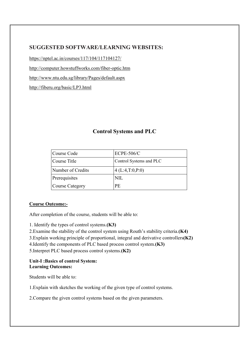# SUGGESTED SOFTWARE/LEARNING WEBSITES:

https://nptel.ac.in/courses/117/104/117104127/

http://computer.howstuffworks.com/fiber-optic.htm

http://www.ntu.edu.sg/library/Pages/default.aspx

http://fiberu.org/basic/LP3.html

# Control Systems and PLC

| Course Code       | $ECPE-506/C$            |
|-------------------|-------------------------|
| Course Title      | Control Systems and PLC |
| Number of Credits | 4(L:4,T:0,P:0)          |
| Prerequisites     | NH.                     |
| Course Category   | PE.                     |

## Course Outcome:-

After completion of the course, students will be able to:

1. Identify the types of control systems.(K3)

2.Examine the stability of the control system using Routh's stability criteria.(K4)

3.Explain working principle of proportional, integral and derivative controllers(K2)

4.Identify the components of PLC based process control system.(K3)

5.Interpret PLC based process control systems.(K2)

### Unit-I :Basics of control System: Learning Outcomes:

Students will be able to:

1.Explain with sketches the working of the given type of control systems.

2.Compare the given control systems based on the given parameters.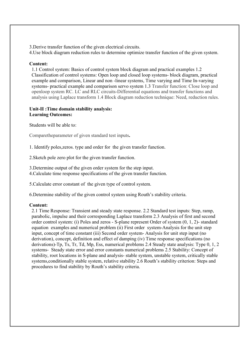3.Derive transfer function of the given electrical circuits.

4.Use block diagram reduction rules to determine optimize transfer function of the given system.

## Content:

1.1 Control system: Basics of control system block diagram and practical examples 1.2 Classification of control systems: Open loop and closed loop systems- block diagram, practical example and comparison, Linear and non -linear systems, Time varying and Time In-varying systems- practical example and comparison servo system 1.3 Transfer function: Close loop and openloop system RC. LC and RLC circuits-Differential equations and transfer functions and analysis using Laplace transform 1.4 Block diagram reduction technique: Need, reduction rules.

## Unit-II :Time domain stability analysis: Learning Outcomes:

Students will be able to:

Comparetheparameter of given standard test inputs.

1. Identify poles,zeros. type and order for the given transfer function.

2.Sketch pole zero plot for the given transfer function.

3.Determine output of the given order system for the step input.

4.Calculate time response specifications of the given transfer function.

5.Calculate error constant of the given type of control system.

6.Determine stability of the given control system using Routh's stability criteria.

### Content:

2.1 Time Response: Transient and steady state response. 2.2 Standard test inputs: Step, ramp, parabolic, impulse and their corresponding Laplace transform 2.3 Analysis of first and second order control system: (i) Poles and zeros - S-plane represent Order of system (0, 1, 2)- standard equation examples and numerical problem (ii) First order system-Analysis for the unit step input, concept of time constant (iii) Second order system- Analysis for unit step input (no derivation), concept, definition and effect of damping (iv) Time response specifications (no derivations)-Tp, Ts, Tr, Td, Mp, Ess, numerical problems 2.4 Steady state analysis: Type 0, 1, 2 systems- Steady state error and error constants numerical problems 2.5 Stability: Concept of stability, root locations in S-plane and analysis- stable system, unstable system, critically stable systems,conditionally stable system, relative stability 2.6 Routh's stability criterion: Steps and procedures to find stability by Routh's stability criteria.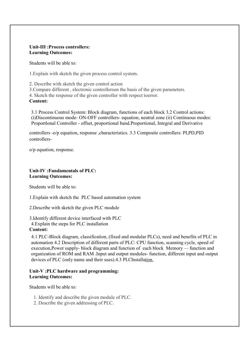### Unit-III :Process controllers: Learning Outcomes:

Students will be able to:

1.Explain with sketch the given process control system.

2. Describe with sketch the given control action

3.Compare different , electronic controllerson the basis of the given parameters.

4. Sketch the response of the given controller with respect toerror.

Content:

3.1 Process Control System: Block diagram, functions of each block 3.2 Control actions: (i)Discontinuous mode- ON-OFF controllers- equation, neutral zone (ii) Continuous modes: Proportlonal Controller - offset, proportional band.Proportional, Integral and Derivative

controllers -o/p equation, response ,characteristics. 3.3 Composite controllers: PI,PD,PID controllers-

o/p equation, response.

## Unit-IV :Fundamentals of PLC: Learning Outcomes:

Students will be able to:

1.Explain with sketch the PLC based automation system

2.Describe with sketch the given PLC module

3.Identify different device interfaced with PLC 4.Explain the steps for PLC installation

## Content:

4.1 PLC-Block diagram, classification, (fixed and modular PLCs), need and benefits of PLC in automation 4.2 Description of different parts of PLC: CPU function, scanning cycle, speed of execution,Power supply- block diagram and function of each block Memory — function and organization of ROM and RAM .Input and output modules- function, different input and output devices of PLC (only name and their uses).4.3 PLCInstallation.

## Unit-V :PLC hardware and programming: Learning Outcomes:

Students will be able to:

- 1. Identify and describe the given module of PLC.
- 2. Describe the given addressing of PLC.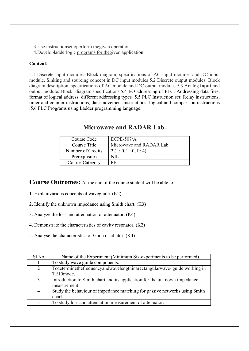3.Use instructionsettoperform thegiven operation.

4.Developladderlogic programs for thegiven application.

## Content:

5.1 Discrete input modules: Block diagram, specifications of AC input modules and DC input module. Sinking and sourcing concept in DC input modules 5.2 Discrete output modules: Block diagram description, specifications of AC module and DC output modules 5.3 Analog input and output module: Block diagram,specifications.5.4 I/O addressing of PLC: Addressing data files, format of logical address, different addressing types 5.5 PLC Instruction set: Relay instructions, tinier and counter instructions, data movement instructions, logical and comparison instructions .5.6 PLC Programs using Ladder programming language.

| Course Code       | $ECPE-507/A$            |
|-------------------|-------------------------|
| Course Title      | Microwave and RADAR Lab |
| Number of Credits | 2 (L: 0, T: 0, P: 4)    |
| Prerequisites     |                         |
| Course Category   | РF                      |

# Microwave and RADAR Lab.

Course Outcomes: At the end of the course student will be able to:

- 1. Explainvarious concepts of waveguide. (K2)
- 2. Identify the unknown impedance using Smith chart. (K3)
- 3. Analyze the loss and attenuation of attenuator. (K4)
- 4. Demonstrate the characteristics of cavity resonator. (K2)
- 5. Analyse the characteristics of Gunn oscillator. (K4)

| Sl No | Name of the Experiment (Minimum Six experiments to be performed)           |
|-------|----------------------------------------------------------------------------|
|       | To study wave guide components.                                            |
| 2     | Todeterminethefrequencyandwavelengthinarectangularwave- guide working in   |
|       | TE10mode.                                                                  |
| 3     | Introduction to Smith chart and its application for the unknown impedance  |
|       | measurement.                                                               |
| 4     | Study the behaviour of impedance matching for passive networks using Smith |
|       | chart.                                                                     |
| 5     | To study loss and attenuation measurement of attenuator.                   |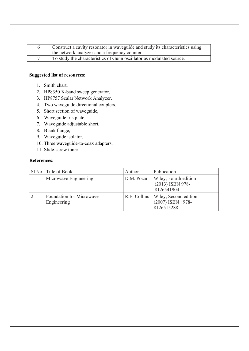| Construct a cavity resonator in waveguide and study its characteristics using<br>the network analyzer and a frequency counter. |
|--------------------------------------------------------------------------------------------------------------------------------|
| To study the characteristics of Gunn oscillator as modulated source.                                                           |

### Suggested list of resources:

- 1. Smith chart,
- 2. HP8350 X-band sweep generator,
- 3. HP8757 Scalar Network Analyzer,
- 4. Two waveguide directional couplers,
- 5. Short section of waveguide,
- 6. Waveguide iris plate,
- 7. Waveguide adjustable short,
- 8. Blank flange,
- 9. Waveguide isolator,
- 10. Three waveguide-to-coax adapters,
- 11. Slide-screw tuner.

## References:

| SI No Title of Book                     | Author       | Publication                                                |
|-----------------------------------------|--------------|------------------------------------------------------------|
| Microwave Engineering                   | D.M. Pozar   | Wiley; Fourth edition<br>(2013) ISBN 978-<br>8126541904    |
| Foundation for Microwave<br>Engineering | R.E. Collins | Wiley; Second edition<br>$(2007)$ ISBN: 978-<br>8126515288 |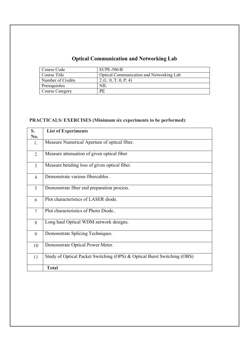# Optical Communication and Networking Lab

| Course Code            | $ECPE-506/B$                             |
|------------------------|------------------------------------------|
| Course Title           | Optical Communication and Networking Lab |
| Number of Credits      | 2 (L: 0, T: 0, P: 4)                     |
| Prerequisites          | NIL.                                     |
| <b>Course Category</b> | PE                                       |

# PRACTICALS/ EXERCISES (Minimum six experiments to be performed):

| S.             | <b>List of Experiments</b>                                              |
|----------------|-------------------------------------------------------------------------|
| No.            |                                                                         |
| 1.             | Measure Numerical Aperture of optical fiber.                            |
| $\overline{2}$ | Measure attenuation of given optical fiber                              |
| $\overline{3}$ | Measure bending loss of given optical fiber.                            |
| $\overline{4}$ | Demonstrate various fibercables.                                        |
| 5              | Demonstrate fiber end preparation process.                              |
| 6              | Plot characteristics of LASER diode.                                    |
| $\overline{7}$ | Plot characteristics of Photo Diode                                     |
| 8              | Long haul Optical WDM network designs.                                  |
| 9              | Demonstrate Splicing Techniques.                                        |
| 10             | Demonstrate Optical Power Meter.                                        |
| 11             | Study of Optical Packet Switching (OPS) & Optical Burst Switching (OBS) |
|                | <b>Total</b>                                                            |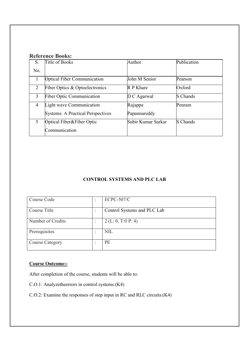# Reference Books:

| S.  | Title of Books                           | Author             | Publication     |
|-----|------------------------------------------|--------------------|-----------------|
| No. |                                          |                    |                 |
|     | <b>Optical Fiber Communication</b>       | John M Senior      | Pearson         |
| 2   | Fiber Optics & Optoelectronics           | R P Khare          | Oxford          |
| 3   | <b>Fiber Optic Communication</b>         | $D C$ Agarwal      | <b>S</b> Chands |
| 4   | Light wave Communication                 | Rajappa            | Penram          |
|     | <b>Systems: A Practical Perspectives</b> | Papannareddy       |                 |
| 5   | Optical Fiber&Fiber Optic                | Subir Kumar Sarkar | <b>S</b> Chands |
|     | Communication                            |                    |                 |

# CONTROL SYSTEMS AND PLC LAB

| ٠ | <b>ECPC-507/C</b>           |
|---|-----------------------------|
|   |                             |
|   | Control Systems and PLC Lab |
|   |                             |
|   | 2 (L: 0, T:0 P: 4)          |
|   |                             |
|   | <b>NIL</b>                  |
|   |                             |
|   | PE                          |
|   |                             |
|   |                             |

# Course Outcome:-

After completion of the course, students will be able to:

- C.O.1: Analyzetheerrors in control systems.(K4)
- C.O.2: Examine the responses of step input in RC and RLC circuits.(K4)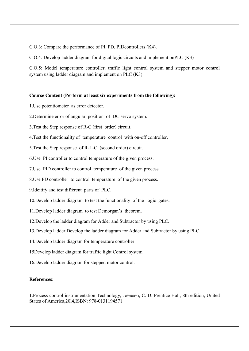C.O.3: Compare the performance of PI, PD, PIDcontrollers (K4).

C.O.4: Develop ladder diagram for digital logic circuits and implement onPLC (K3)

C.O.5: Model temperature controller, traffic light control system and stepper motor control system using ladder diagram and implement on PLC (K3)

### Course Content (Perform at least six experiments from the following):

1.Use potentiometer as error detector.

2.Determine error of angular position of DC servo system.

3.Test the Step response of R-C (first order) circuit.

4.Test the functionality of temperature control with on-off controller.

5.Test the Step response of R-L-C (second order) circuit.

6.Use PI controller to control temperature of the given process.

7.Use PID controller to control temperature of the given process.

8.Use PD controller to control temperature of the given process.

9.Ideitify and test different parts of PLC.

10.Develop ladder diagram to test the functionality of the logic gates.

11.Develop ladder diagram to test Demorgan's theorem.

12.Develop the ladder diagram for Adder and Subtractor by using PLC.

13.Develop ladder Develop the ladder diagram for Adder and Subtractor by using PLC

14.Develop ladder diagram for temperature controller

15Develop ladder diagram for traffic light Control system

16.Develop ladder diagram for stepped motor control.

### References:

1.Process control instrumentation Technology, Johnson, C. D. Prentice Hall, 8th edition, United States of America,20l4,ISBN: 978-0131194571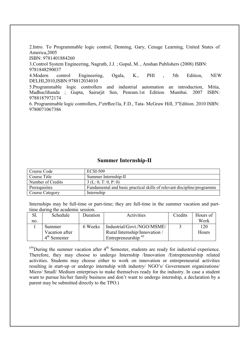2.Intro. To Programmable logic control, Denning, Gary, Cenage Learning, United States of America,2005

ISBN: 9781401884260

3.Control System Engineering, Nagrath, J.J. ; Gopal, M. , Anshan Publishers (2008) ISBN: 9781848290037

4.Modern control Engineering, Ogala, K., PHI , 5th Edition, NEW DELHI,2010,ISBN:978812034010

5.Programmable logic controllers and industrial automation an introduction, Mitia, Madhuclihanda ; Gupta, Sairarjit Sen, Penram.1st Edition. Mumbai. 2007 ISBN: 9788187972174

6. Programmable logic controllers, J°etrBze1la, F.D., Tata- McGraw Hill, 3"Edition. 2010 ISBN: 9780071067386

## Summer Internship-II

| Course Code            | <b>ECSI-509</b>                                                         |
|------------------------|-------------------------------------------------------------------------|
| Course Title           | Summer Internship-II                                                    |
| Number of Credits      | 3(L: 0, T: 0, P: 0)                                                     |
| Prerequisites          | Fundamental and basic practical skills of relevant discipline/programme |
| <b>Course Category</b> | Internship                                                              |

Internships may be full-time or part-time; they are full-time in the summer vacation and parttime during the academic session.

|     | Schedule       | Duration | Activities                     | Credits | Hours of |
|-----|----------------|----------|--------------------------------|---------|----------|
| no. |                |          |                                |         | Work     |
|     | Summer         | 6 Weeks  | Industrial/Govt./NGO/MSME/     |         | 120      |
|     | Vacation after |          | Rural Internship/Innovation /  |         | Hours    |
|     | $4th$ Semester |          | Entrepreneurship <sup>##</sup> |         |          |

 $H_{\text{H}}$  During the summer vacation after  $4^{\text{th}}$  Semester, students are ready for industrial experience. Therefore, they may choose to undergo Internship /Innovation /Entrepreneurship related activities. Students may choose either to work on innovation or entrepreneurial activities resulting in start-up or undergo internship with industry/ NGO's/ Government organizations/ Micro/ Small/ Medium enterprises to make themselves ready for the industry. In case a student want to pursue his/her family business and don't want to undergo internship, a declaration by a parent may be submitted directly to the TPO.)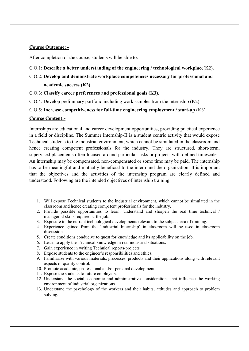## Course Outcome: -

After completion of the course, students will be able to:

- C.O.1: Describe a better understanding of the engineering / technological workplace(K2).
- C.O.2: Develop and demonstrate workplace competencies necessary for professional and academic success (K2).
- C.O.3: Classify career preferences and professional goals (K3).
- C.O.4: Develop preliminary portfolio including work samples from the internship (K2).
- C.O.5: Increase competitiveness for full-time engineering employment / start-up (K3).

### Course Content:-

Internships are educational and career development opportunities, providing practical experience in a field or discipline. The Summer Internship-II is a student centric activity that would expose Technical students to the industrial environment, which cannot be simulated in the classroom and hence creating competent professionals for the industry. They are structured, short-term, supervised placements often focused around particular tasks or projects with defined timescales. An internship may be compensated, non-compensated or some time may be paid. The internship has to be meaningful and mutually beneficial to the intern and the organization. It is important that the objectives and the activities of the internship program are clearly defined and understood. Following are the intended objectives of internship training:

- 1. Will expose Technical students to the industrial environment, which cannot be simulated in the classroom and hence creating competent professionals for the industry.
- 2. Provide possible opportunities to learn, understand and sharpen the real time technical / managerial skills required at the job.
- 3. Exposure to the current technological developments relevant to the subject area of training.
- 4. Experience gained from the 'Industrial Internship' in classroom will be used in classroom discussions.
- 5. Create conditions conducive to quest for knowledge and its applicability on the job.
- 6. Learn to apply the Technical knowledge in real industrial situations.
- 7. Gain experience in writing Technical reports/projects.
- 8. Expose students to the engineer's responsibilities and ethics.
- 9. Familiarize with various materials, processes, products and their applications along with relevant aspects of quality control.
- 10. Promote academic, professional and/or personal development.
- 11. Expose the students to future employers.
- 12. Understand the social, economic and administrative considerations that influence the working environment of industrial organizations
- 13. Understand the psychology of the workers and their habits, attitudes and approach to problem solving.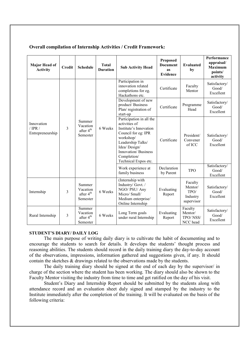| <b>Major Head of</b><br><b>Activity</b>     | <b>Credit</b> | <b>Schedule</b>                                         | <b>Total</b><br><b>Duration</b>                                    | <b>Sub Activity Head</b>                                                                                                                                                                                    | Proposed<br><b>Document</b><br><b>as</b><br><b>Evidence</b> | <b>Evaluated</b><br>by                               | Performance<br>appraisal/<br><b>Maximum</b><br>points/<br>activity |
|---------------------------------------------|---------------|---------------------------------------------------------|--------------------------------------------------------------------|-------------------------------------------------------------------------------------------------------------------------------------------------------------------------------------------------------------|-------------------------------------------------------------|------------------------------------------------------|--------------------------------------------------------------------|
|                                             |               |                                                         |                                                                    | Participation in<br>innovation related<br>completions for eg.<br>Hackathons etc.                                                                                                                            | Certificate                                                 | Faculty<br>Mentor                                    | Satisfactory/<br>Good/<br>Excellent                                |
|                                             | 3             |                                                         | Summer<br>Vacation<br>6 Weeks<br>after 4 <sup>th</sup><br>Semester | Development of new<br>product/Business<br>Plan/registration of<br>start-up                                                                                                                                  | Certificate                                                 | Programme<br>Head                                    | Satisfactory/<br>Good/<br>Excellent                                |
| Innovation<br>/ $IPR$ /<br>Entrepreneurship |               |                                                         |                                                                    | Participation in all the<br>activities of<br>Institute's Innovation<br>Council for eg: IPR<br>workshop/<br>Leadership Talks/<br>Idea/ Design/<br>Innovation/Business<br>Completion/<br>Technical Expos etc. | Certificate                                                 | President/<br>Convener<br>of ICC                     | Satisfactory/<br>Good/<br>Excellent                                |
|                                             |               |                                                         |                                                                    | Work experience at<br>family business                                                                                                                                                                       | Declaration<br>by Parent                                    | <b>TPO</b>                                           | Satisfactory/<br>Good/<br>Excellent                                |
| Internship                                  | 3             | Summer<br>Vacation<br>after 4 <sup>th</sup><br>Semester | 6 Weeks                                                            | (Internship with<br>Industry/Govt./<br>NGO/ PSU/ Any<br>Micro/Small/<br>Medium enterprise/<br>Online Internship                                                                                             | Evaluating<br>Report                                        | Faculty<br>Mentor/<br>TPO/<br>Industry<br>supervisor | Satisfactory/<br>Good/<br>Excellent                                |
| Rural Internship                            | 3             | Summer<br>Vacation<br>after 4 <sup>th</sup><br>Semester | 6 Weeks                                                            | Long Term goals<br>under rural Internship                                                                                                                                                                   | Evaluating<br>Report                                        | Faculty<br>Mentor/<br>TPO/NSS/<br>NCC head           | Satisfactory/<br>Good/<br>Excellent                                |

## Overall compilation of Internship Activities / Credit Framework:

### STUDENT'S DIARY/ DAILY LOG

The main purpose of writing daily diary is to cultivate the habit of documenting and to encourage the students to search for details. It develops the students' thought process and reasoning abilities. The students should record in the daily training diary the day-to-day account of the observations, impressions, information gathered and suggestions given, if any. It should contain the sketches & drawings related to the observations made by the students.

The daily training diary should be signed at the end of each day by the supervisor/ in charge of the section where the student has been working. The diary should also be shown to the Faculty Mentor visiting the industry from time to time and get ratified on the day of his visit.

Student's Diary and Internship Report should be submitted by the students along with attendance record and an evaluation sheet duly signed and stamped by the industry to the Institute immediately after the completion of the training. It will be evaluated on the basis of the following criteria: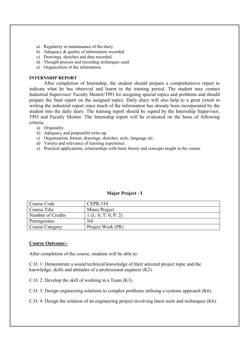- a) Regularity in maintenance of the diary.
- b) Adequacy & quality of information recorded.
- c) Drawings, sketches and data recorded.
- d) Thought process and recording techniques used.
- e) Organization of the information.

### INTERNSHIP REPORT

After completion of Internship, the student should prepare a comprehensive report to indicate what he has observed and learnt in the training period. The student may contact Industrial Supervisor/ Faculty Mentor/TPO for assigning special topics and problems and should prepare the final report on the assigned topics. Daily diary will also help to a great extent in writing the industrial report since much of the information has already been incorporated by the student into the daily diary. The training report should be signed by the Internship Supervisor, TPO and Faculty Mentor. The Internship report will be evaluated on the basis of following criteria:

- a) Originality.
- b) Adequacy and purposeful write-up.
- c) Organization, format, drawings, sketches, style, language etc.
- d) Variety and relevance of learning experience.
- e) Practical applications, relationships with basic theory and concepts taught in the course.

| Course Code       | $CEPR-510$          |
|-------------------|---------------------|
| Course Title      | Minor Project       |
| Number of Credits | 1(L: 0, T: 0, P: 2) |
| Prerequisites     | Nil                 |
| Course Category   | Project Work (PR)   |

### Major Project - I

### Course Outcome:-

After completion of the course, students will be able to:

C.O. 1: Demonstrate a sound technical knowledge of their selected project topic and the knowledge, skills and attitudes of a professional engineer (K2).

C.O. 2: Develop the skill of working in a Team (K3).

C.O. 3: Design engineering solutions to complex problems utilising a systems approach (K6).

C.O. 4: Design the solution of an engineering project involving latest tools and techniques (K6).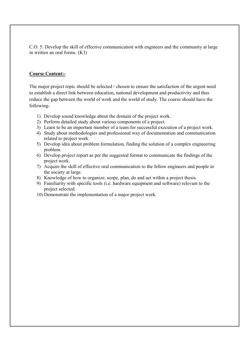C.O. 5: Develop the skill of effective communication with engineers and the community at large in written an oral forms. (K3)

## Course Content:-

The major project topic should be selected / chosen to ensure the satisfaction of the urgent need to establish a direct link between education, national development and productivity and thus reduce the gap between the world of work and the world of study. The course should have the following-

- 1) Develop sound knowledge about the domain of the project work.
- 2) Perform detailed study about various components of a project.
- 3) Learn to be an important member of a team for successful execution of a project work.
- 4) Study about methodologies and professional way of documentation and communication related to project work.
- 5) Develop idea about problem formulation, finding the solution of a complex engineering problem.
- 6) Develop project report as per the suggested format to communicate the findings of the project work.
- 7) Acquire the skill of effective oral communication to the fellow engineers and people in the society at large.
- 8) Knowledge of how to organize, scope, plan, do and act within a project thesis.
- 9) Familiarity with specific tools (i.e. hardware equipment and software) relevant to the project selected.
- 10) Demonstrate the implementation of a major project work.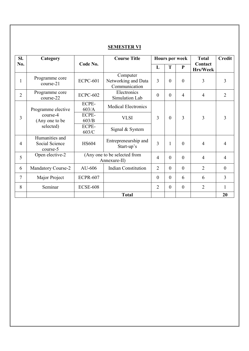| SI.            | Category                                     |                 | <b>Course Title</b>                              |                |          | <b>Hours per week</b> | <b>Total</b>               | <b>Credit</b>    |
|----------------|----------------------------------------------|-----------------|--------------------------------------------------|----------------|----------|-----------------------|----------------------------|------------------|
| No.            |                                              | Code No.        |                                                  | L              | T        | ${\bf P}$             | Contact<br><b>Hrs/Week</b> |                  |
| 1              | Programme core<br>course-21                  | <b>ECPC-601</b> | Computer<br>Networking and Data<br>Communication | 3              | $\theta$ | $\theta$              | 3                          | 3                |
| $\overline{2}$ | Programme core<br>course-22                  | <b>ECPC-602</b> | Electronics<br>Simulation Lab                    | $\mathbf{0}$   | $\theta$ | $\overline{4}$        | $\overline{4}$             | $\overline{2}$   |
|                | Programme elective                           | ECPE-<br>603/A  | <b>Medical Electronics</b>                       |                |          |                       |                            |                  |
| 3              | course-4<br>(Any one to be                   | ECPE-<br>603/B  | <b>VLSI</b>                                      | 3              | $\theta$ | 3                     | 3                          | 3                |
|                | selected)                                    | ECPE-<br>603/C  | Signal & System                                  |                |          |                       |                            |                  |
| $\overline{4}$ | Humanities and<br>Social Science<br>course-5 | <b>HS604</b>    | Entrepreneurship and<br>Start-up's               | 3              | 1        | $\theta$              | $\overline{4}$             | 4                |
| 5              | Open elective-2                              |                 | (Any one to be selected from<br>Annexure-II)     | $\overline{4}$ | $\theta$ | $\theta$              | $\overline{4}$             | $\overline{4}$   |
| 6              | <b>Mandatory Course-2</b>                    | AU-606          | <b>Indian Constitution</b>                       | $\overline{2}$ | $\theta$ | $\overline{0}$        | $\overline{2}$             | $\boldsymbol{0}$ |
| 7              | Major Project                                | <b>ECPR-607</b> |                                                  | $\theta$       | $\theta$ | 6                     | 6                          | 3                |
| 8              | Seminar                                      | <b>ECSE-608</b> |                                                  | $\overline{2}$ | $\theta$ | $\theta$              | $\overline{2}$             | $\mathbf{1}$     |
|                |                                              |                 | <b>Total</b>                                     |                |          |                       |                            | 20               |

# SEMESTER VI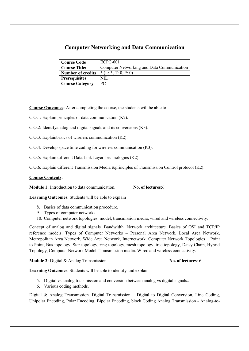# Computer Networking and Data Communication

| <b>Course Code</b>       | <b>ECPC-601</b>                            |
|--------------------------|--------------------------------------------|
| <b>Course Title:</b>     | Computer Networking and Data Communication |
| <b>Number of credits</b> | 3(L: 3, T: 0, P: 0)                        |
| <b>Prerequisites</b>     | NIL                                        |
| <b>Course Category</b>   | PС                                         |

Course Outcomes: After completing the course, the students will be able to

C.O.1: Explain principles of data communication (K2).

C.O.2: Identifyanalog and digital signals and its conversions (K3).

C.O.3: Explainbasics of wireless communication (K2).

C.O.4: Develop space time coding for wireless communication (K3).

C.O.5: Explain different Data Link Layer Technologies (K2).

C.O.6: Explain different Transmission Media &principles of Transmission Control protocol (K2).

### Course Contents:

Module 1: Introduction to data communication. No. of lectures: 6

Learning Outcomes: Students will be able to explain

- 8. Basics of data communication procedure.
- 9. Types of computer networks.
- 10. Computer network topologies, model, transmission media, wired and wireless connectivity.

Concept of analog and digital signals. Bandwidth. Network architecture. Basics of OSI and TCP/IP reference models. Types of Computer Networks – Personal Area Network, Local Area Network, Metropolitan Area Network, Wide Area Network, Internetwork. Computer Network Topologies – Point to Point, Bus topology, Star topology, ring topology, mesh topology, tree topology, Daisy Chain, Hybrid Topology, Computer Network Model. Transmission media. Wired and wireless connectivity.

Module 2: Digital & Analog Transmission No. of lectures: 6

Learning Outcomes: Students will be able to identify and explain

- 5. Digital vs analog transmission and conversion between analog vs digital signals..
- 6. Various coding methods.

Digital & Analog Transmission. Digital Transmission – Digital to Digital Conversion, Line Coding, Unipolar Encoding, Polar Encoding, Bipolar Encoding, block Coding Analog Transmission - Analog-to-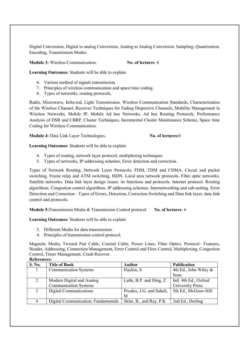Digital Conversion, Digital to analog Conversion, Analog to Analog Conversion. Sampling, Quantization, Encoding, Transmission Modes.

Module 3: Wireless Communication. No. of lectures: 6

Learning Outcomes: Students will be able to explain

- 6. Various method of signals transmission.
- 7. Principles of wireless communication and space time coding.
- 8. Types of networks, routing protocols,

Radio, Microwave, Infra-red, Light Transmission. Wireless Communication Standards, Characterization of the Wireless Channel, Receiver Techniques for Fading Dispersive Channels, Mobility Management in Wireless Networks, Mobile IP, Mobile Ad hoc Networks, Ad hoc Routing Protocols, Performance Analysis of DSR and CBRP, Cluster Techniques, Incremental Cluster Maintenance Scheme, Space time Coding for Wireless Communication.

Module 4: Data Link Layer Technologies. No. of lectures: 6

Learning Outcomes: Students will be able to explain

- 4. Types of routing, network layer protocol, multiplexing techniques.
- 5. Types of networks, IP addressing schemes, Error detection and correction.

Types of Network Routing, Network Layer Protocols. FDM, TDM and CDMA. Circuit and packet switching. Frame relay and ATM switching. ISDN. Local area network protocols. Fibre optic networks. Satellite networks. Data link layer design issues: its functions and protocols. Internet protocol. Routing algorithms. Congestion control algorithms. IP addressing schemes. Internetworking and sub-netting. Error Detection and Correction - Types of Errors, Detection, Correction Switching and Data link layer, data link control and protocols.

Module 5: Transmission Media & Transmission Control protocol No. of lectures: 6

Learning Outcomes: Students will be able to explain

- 3. Different Media for data transmission.
- 4. Principles of transmission control protocol.

Magnetic Media, Twisted Pair Cable, Coaxial Cable, Power Lines, Fiber Optics. Protocol– Features, Header, Addressing, Connection Management, Error Control and Flow Control, Multiplexing, Congestion Control, Timer Management, Crash Recover.

|        | IWLICI CHULO                        |                           |                          |  |  |
|--------|-------------------------------------|---------------------------|--------------------------|--|--|
| S. No. | <b>Title of Book</b>                | <b>Author</b>             | <b>Publication</b>       |  |  |
|        | <b>Communication Systems</b>        | Haykin, S                 | 4th Ed., John Wiley $\&$ |  |  |
|        |                                     |                           | Sons                     |  |  |
|        | Modern Digital and Analog           | Lathi, B.P. and Ding, Z.  | Intl. 4th Ed., Oxford    |  |  |
|        | <b>Communication Systems</b>        |                           | University Press.        |  |  |
|        | Digital Communications              | Proakis, J.G. and Saheli, | 5th Ed., McGraw-Hill     |  |  |
|        |                                     | M                         |                          |  |  |
|        | Digital Communication: Fundamentals | Sklar, B., and Ray, P.K.  | 2nd Ed., Dorling         |  |  |

### References: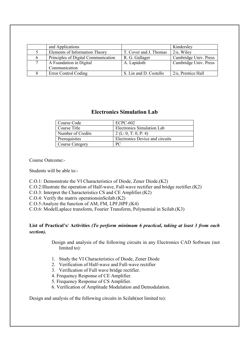| and Applications                    |                        | Kindersley            |
|-------------------------------------|------------------------|-----------------------|
| Elements of Information Theory      | T. Cover and J. Thomas | $2/e$ , Wiley         |
| Principles of Digital Communication | R. G. Gallager         | Cambridge Univ. Press |
| A Foundation in Digital             | A. Lapidoth            | Cambridge Univ. Press |
| Communication                       |                        |                       |
| <b>Error Control Coding</b>         | S. Lin and D. Costello | $2/e$ , Prentice Hall |

# Electronics Simulation Lab

| Course Code            | <b>ECPC-602</b>                 |
|------------------------|---------------------------------|
| Course Title           | Electronics Simulation Lab      |
| Number of Credits      | 2 (L: 0, T: 0, P: 4)            |
| Prerequisites          | Electronics Device and circuits |
| <b>Course Category</b> | PС                              |

Course Outcome:-

Students will be able to:-

C.O.1: Demonstrate the VI Characteristics of Diode, Zener Diode.(K2)

C.O.2:Illustrate the operation of Half-wave, Full-wave rectifier and bridge rectifier.(K2)

C.O.3: Interpret the Characteristics CS and CE Amplifier.(K2)

C.O.4: Verify the matrix operationsinScilab.(K2)

C.O.5:Analyze the function of AM, FM, LPF,HPF.(K4)

C.O.6: ModelLaplace transform, Fourier Transform, Polynomial in Scilab.(K3)

## List of Practical's/ Activities *(To perform minimum 6 practical, taking at least 3 from each section).*

Design and analysis of the following circuits in any Electronics CAD Software (not limited to):

- 1. Study the VI Characteristics of Diode, Zener Diode
- 2. Verification of Half-wave and Full-wave rectifier
- 3. Verification of Full wave bridge rectifier.
- 4. Frequency Response of CE Amplifier.
- 5. Frequency Response of CS Amplifier.
- 6. Verification of Amplitude Modulation and Demodulation.

Design and analysis of the following circuits in Scilab(not limited to):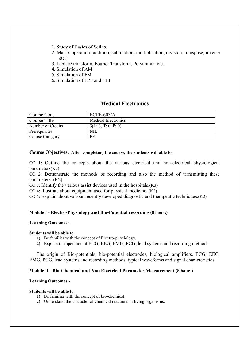- 1. Study of Basics of Scilab.
- 2. Matrix operation (addition, subtraction, multiplication, division, transpose, inverse etc.)
- 3. Laplace transform, Fourier Transform, Polynomial etc.
- 4. Simulation of AM
- 5. Simulation of FM
- 6. Simulation of LPF and HPF

# Medical Electronics

| Course Code       | $ECPE-603/A$               |
|-------------------|----------------------------|
| Course Title      | <b>Medical Electronics</b> |
| Number of Credits | 3(L: 3, T: 0, P: 0)        |
| Prerequisites     | NIL                        |
| Course Category   | PE                         |

### Course Objectives: After completing the course, the students will able to:-

CO 1: Outline the concepts about the various electrical and non-electrical physiological parameters(K2)

CO 2: Demonstrate the methods of recording and also the method of transmitting these parameters. (K2)

CO 3: Identify the various assist devices used in the hospitals.(K3)

 $CO$  4: Illustrate about equipment used for physical medicine.  $(K2)$ 

CO 5: Explain about various recently developed diagnostic and therapeutic techniques.(K2)

### Module I - Electro-Physiology and Bio-Potential recording (8 hours)

### Learning Outcomes:-

### Students will be able to

- 1) Be familiar with the concept of Electro-physiology.
- 2) Explain the operation of ECG, EEG, EMG, PCG, lead systems and recording methods.

The origin of Bio-potentials; bio-potential electrodes, biological amplifiers, ECG, EEG, EMG, PCG, lead systems and recording methods, typical waveforms and signal characteristics.

### Module II - Bio-Chemical and Non Electrical Parameter Measurement (8 hours)

### Learning Outcomes:-

### Students will be able to

- 1) Be familiar with the concept of bio-chemical.
- 2) Understand the character of chemical reactions in living organisms.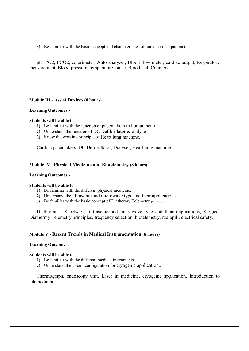3) Be familiar with the basic concept and characteristics of non electrical parameter.

pH, PO2, PCO2, colorimeter, Auto analyzer, Blood flow meter, cardiac output, Respiratory measurement, Blood pressure, temperature, pulse, Blood Cell Counters.

### Module III - Assist Devices (8 hours)

### Learning Outcomes:-

### Students will be able to

- 1) Be familiar with the function of pacemakers in human heart.
- 2) Understand the function of DC Defibrillator & dialyser.
- 3) Know the working principle of Heart lung machine.

Cardiac pacemakers, DC Defibrillator, Dialyser, Heart lung machine.

### Module IV - Physical Medicine and Biotelemetry (8 hours)

### Learning Outcomes:-

### Students will be able to

- 1) Be familiar with the different physical medicine.
- 2) Understand the ultrasonic and microwave type and their applications.
- 3) Be familiar with the basic concept of Diathermy Telemetry principle.

Diathermies- Shortwave, ultrasonic and microwave type and their applications, Surgical Diathermy Telemetry principles, frequency selection, biotelemetry, radiopill, electrical safety.

### Module V - Recent Trends in Medical Instrumentation (8 hours)

### Learning Outcomes:-

### Students will be able to

- 1) Be familiar with the different medical instruments.
- 2) Understand the circuit configuration for cryogenic application..

Thermograph, endoscopy unit, Laser in medicine, cryogenic application, Introduction to telemedicine.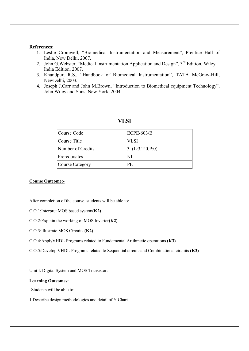### References:

- 1. Leslie Cromwell, "Biomedical Instrumentation and Measurement", Prentice Hall of India, New Delhi, 2007.
- 2. John G. Webster, "Medical Instrumentation Application and Design", 3<sup>rd</sup> Edition, Wiley India Edition, 2007.
- 3. Khandpur, R.S., "Handbook of Biomedical Instrumentation", TATA McGraw-Hill, NewDelhi, 2003.
- 4. Joseph J.Carr and John M.Brown, "Introduction to Biomedical equipment Technology", John Wiley and Sons, New York, 2004.

| Course Code       | $ECPE-603/B$      |
|-------------------|-------------------|
| Course Title      | <b>VLSI</b>       |
| Number of Credits | 3 $(L:3,T:0,P:0)$ |
| Prerequisites     | NIL.              |
| Course Category   | РE                |

### VLSI

### Course Outcome:-

After completion of the course, students will be able to:

- C.O.1:Interpret MOS based system(K2)
- C.O.2:Explain the working of MOS Inverter(K2)
- C.O.3:Illustrate MOS Circuits.(K2)
- C.O.4:ApplyVHDL Programs related to Fundamental Arithmetic operations (K3)

C.O.5:Develop VHDL Programs related to Sequential circuitsand Combinational circuits (K3)

Unit I. Digital System and MOS Transistor:

### Learning Outcomes:

Students will be able to:

1.Describe design methodologies and detail of Y Chart.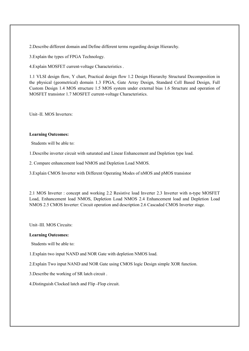2.Describe different domain and Define different terms regarding design Hierarchy.

3.Explain the types of FPGA Technology.

4.Explain MOSFET current-voltage Characteristics .

1.1 VLSI design flow, Y chart, Practical design flow 1.2 Design Hierarchy Structural Decomposition in the physical (geometrical) domain 1.3 FPGA, Gate Array Design, Standard Cell Based Design, Full Custom Design 1.4 MOS structure 1.5 MOS system under external bias 1.6 Structure and operation of MOSFET transistor 1.7 MOSFET current-voltage Characteristics.

Unit–II. MOS Inverters:

### Learning Outcomes:

Students will be able to:

1.Describe inverter circuit with saturated and Linear Enhancement and Depletion type load.

2. Compare enhancement load NMOS and Depletion Load NMOS.

3.Explain CMOS Inverter with Different Operating Modes of nMOS and pMOS transistor

2.1 MOS Inverter : concept and working 2.2 Resistive load Inverter 2.3 Inverter with n-type MOSFET Load, Enhancement load NMOS, Depletion Load NMOS 2.4 Enhancement load and Depletion Load NMOS 2.5 CMOS Inverter: Circuit operation and description 2.6 Cascaded CMOS Inverter stage.

Unit–III. MOS Circuits:

### Learning Outcomes:

Students will be able to:

1.Explain two input NAND and NOR Gate with depletion NMOS load.

2.Explain Two input NAND and NOR Gate using CMOS logic Design simple XOR function.

3.Describe the working of SR latch circuit .

4.Distinguish Clocked latch and Flip -Flop circuit.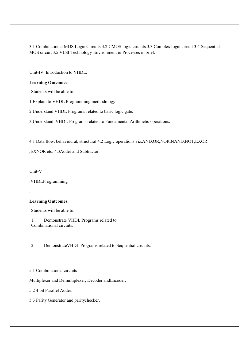3.1 Combinational MOS Logic Circuits 3.2 CMOS logic circuits 3.3 Complex logic circuit 3.4 Sequential MOS circuit 3.5 VLSI Technology-Environment & Processes in brief.

Unit-IV. Introduction to VHDL:

### Learning Outcomes:

Students will be able to:

1.Explain to VHDL Programming methodology

2.Understand VHDL Programs related to basic logic gate.

3.Understand VHDL Programs related to Fundamental Arithmetic operations.

4.1 Data flow, behavioural, structural 4.2 Logic operations viz.AND,OR,NOR,NAND,NOT,EXOR

,EXNOR etc. 4.3Adder and Subtractor.

Unit-V

:VHDLProgramming

:

### Learning Outcomes:

Students will be able to:

1. Demonstrate VHDL Programs related to Combinational circuits.

2. DemonstrateVHDL Programs related to Sequential circuits.

5.1 Combinational circuits-

Multiplexer and Demultiplexer, Decoder andEncoder.

5.2 4 bit Parallel Adder.

5.3 Parity Generator and paritychecker.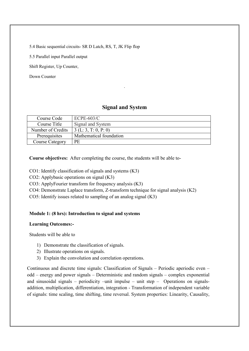5.4 Basic sequential circuits- SR D Latch, RS, T, JK Flip flop

5.5 Parallel input Parallel output

Shift Register, Up Counter,

Down Counter

# Signal and System

.

| Course Code            | $ECPE-603/C$            |
|------------------------|-------------------------|
| Course Title           | Signal and System       |
| Number of Credits      | 3(L: 3, T: 0, P: 0)     |
| Prerequisites          | Mathematical foundation |
| <b>Course Category</b> | PE                      |

Course objectives: After completing the course, the students will be able to-

- CO1: Identify classification of signals and systems (K3)
- CO2: Applybasic operations on signal (K3)
- CO3: ApplyFourier transform for frequency analysis (K3)
- CO4: Demonstrate Laplace transform, Z-transform technique for signal analysis (K2)
- CO5: Identify issues related to sampling of an analog signal (K3)

## Module 1: (8 hrs): Introduction to signal and systems

### Learning Outcomes:-

Students will be able to

- 1) Demonstrate the classification of signals.
- 2) Illustrate operations on signals.
- 3) Explain the convolution and correlation operations.

Continuous and discrete time signals: Classification of Signals – Periodic aperiodic even – odd – energy and power signals – Deterministic and random signals – complex exponential and sinusoidal signals – periodicity –unit impulse – unit step – Operations on signalsaddition, multiplication, differentiation, integration - Transformation of independent variable of signals: time scaling, time shifting, time reversal. System properties: Linearity, Causality,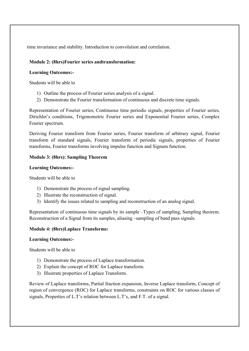time invariance and stability. Introduction to convolution and correlation.

## Module 2: (8hrs)Fourier series andtransformation:

## Learning Outcomes:-

Students will be able to

- 1) Outline the process of Fourier series analysis of a signal.
- 2) Demonstrate the Fourier transformation of continuous and discrete time signals.

Representation of Fourier series, Continuous time periodic signals, properties of Fourier series, Dirichlet's conditions, Trigonometric Fourier series and Exponential Fourier series, Complex Fourier spectrum.

Deriving Fourier transform from Fourier series, Fourier transform of arbitrary signal, Fourier transform of standard signals, Fourier transform of periodic signals, properties of Fourier transforms, Fourier transforms involving impulse function and Signum function.

## Module 3: (8hrs): Sampling Theorem

## Learning Outcomes:-

Students will be able to

- 1) Demonstrate the process of signal sampling.
- 2) Illustrate the reconstruction of signal.
- 3) Identify the issues related to sampling and reconstruction of an analog signal.

Representation of continuous time signals by its sample –Types of sampling, Sampling theorem. Reconstruction of a Signal from its samples, aliasing –sampling of band pass signals.

## Module 4: (8hrs)Laplace Transforms:

## Learning Outcomes:-

Students will be able to

- 1) Demonstrate the process of Laplace transformation.
- 2) Explain the concept of ROC for Laplace transform.
- 3) Illustrate properties of Laplace Transform.

Review of Laplace transforms, Partial fraction expansion, Inverse Laplace transform, Concept of region of convergence (ROC) for Laplace transforms, constraints on ROC for various classes of signals, Properties of L.T's relation between L.T's, and F.T. of a signal.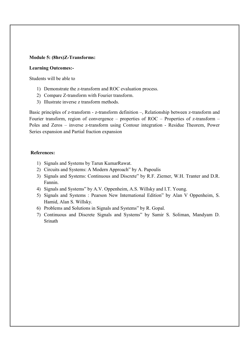### Module 5: (8hrs)Z-Transforms:

### Learning Outcomes:-

Students will be able to

- 1) Demonstrate the z-transform and ROC evaluation process.
- 2) Compare Z-transform with Fourier transform.
- 3) Illustrate inverse z transform methods.

Basic principles of z-transform - z-transform definition –, Relationship between z-transform and Fourier transform, region of convergence – properties of ROC – Properties of z-transform – Poles and Zeros – inverse z-transform using Contour integration - Residue Theorem, Power Series expansion and Partial fraction expansion

## References:

- 1) Signals and Systems by Tarun KumarRawat.
- 2) Circuits and Systems: A Modern Approach" by A. Papoulis
- 3) Signals and Systems: Continuous and Discrete" by R.F. Ziemer, W.H. Tranter and D.R. Fannin.
- 4) Signals and Systems" by A.V. Oppenheim, A.S. Willsky and I.T. Young.
- 5) Signals and Systems : Pearson New International Edition" by Alan V Oppenheim, S. Hamid, Alan S. Willsky.
- 6) Problems and Solutions in Signals and Systems" by R. Gopal.
- 7) Continuous and Discrete Signals and Systems" by Samir S. Soliman, Mandyam D. Srinath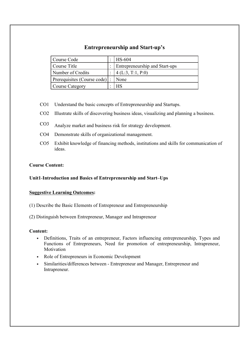# Entrepreneurship and Start-up's

| Course Code                 | <b>HS-604</b>                         |
|-----------------------------|---------------------------------------|
| Course Title                | <b>Entrepreneurship and Start-ups</b> |
| Number of Credits           | 4(L:3, T:1, P:0)                      |
| Prerequisites (Course code) | None                                  |
| Course Category             | <b>HS</b>                             |

- CO1 Understand the basic concepts of Entrepreneurship and Startups.
- CO2 Illustrate skills of discovering business ideas, visualizing and planning a business.
- CO3 Analyze market and business risk for strategy development.
- CO4 Demonstrate skills of organizational management.
- CO5 Exhibit knowledge of financing methods, institutions and skills for communication of ideas.

## Course Content:

## Unit1-Introduction and Basics of Entrepreneurship and Start–Ups

### Suggestive Learning Outcomes:

- (1) Describe the Basic Elements of Entrepreneur and Entrepreneurship
- (2) Distinguish between Entrepreneur, Manager and Intrapreneur

### Content:

- Definitions, Traits of an entrepreneur, Factors influencing entrepreneurship, Types and Functions of Entrepreneurs, Need for promotion of entrepreneurship, Intrapreneur, Motivation
- Role of Entrepreneurs in Economic Development
- Similarities/differences between Entrepreneur and Manager, Entrepreneur and Intrapreneur.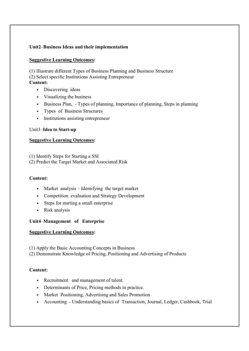## Unit2–Business Ideas and their implementation

### Suggestive Learning Outcomes:

(1) Illustrate different Types of Business Planning and Business Structure (2) Select specific Institutions Assisting Entrepreneur

## Content:

- Discovering ideas
- Visualizing the business
- Business Plan, Types of planning, Importance of planning, Steps in planning
- Types of Business Structures
- Institutions assisting entrepreneur

## Unit3–Idea to Start-up

## Suggestive Learning Outcomes:

- (1) Identify Steps for Starting a SSI
- (2) Predict the Target Market and Associated Risk

### Content:

- Market analysis Identifying the target market
- Competition evaluation and Strategy Development
- Steps for starting a small enterprise
- Risk analysis

### Unit4–Management of Enterprise

### Suggestive Learning Outcomes:

(1) Apply the Basic Accounting Concepts in Business

(2) Demonstrate Knowledge of Pricing, Positioning and Advertising of Products

## Content:

- Recruitment and management of talent.
- Determinants of Price, Pricing methods in practice.
- Market Positioning, Advertising and Sales Promotion
- Accounting Understanding basics of Transaction, Journal, Ledger, Cashbook, Trial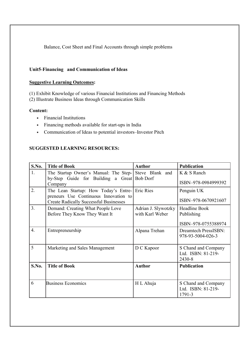Balance, Cost Sheet and Final Accounts through simple problems

## Unit5-Financing and Communication of Ideas

### Suggestive Learning Outcomes:

(1) Exhibit Knowledge of various Financial Institutions and Financing Methods

(2) Illustrate Business Ideas through Communication Skills

## Content:

- Financial Institutions
- Financing methods available for start-ups in India
- Communication of Ideas to potential investors–Investor Pitch

## SUGGESTED LEARNING RESOURCES:

| S.No.            | <b>Title of Book</b>                                                                   | <b>Author</b>       | <b>Publication</b>                               |
|------------------|----------------------------------------------------------------------------------------|---------------------|--------------------------------------------------|
| 1.               | The Startup Owner's Manual: The Step- Steve Blank and                                  |                     | K & S Ranch                                      |
|                  | by-Step Guide for Building a Great Bob Dorf<br>Company                                 |                     | ISBN-978-0984999392                              |
| 2.               | The Lean Startup: How Today's Entre-                                                   | Eric Ries           | Penguin UK                                       |
|                  | preneurs Use Continuous Innovation to<br><b>Create Radically Successful Businesses</b> |                     | ISBN-978-0670921607                              |
| 3 <sub>1</sub>   | Demand: Creating What People Love                                                      | Adrian J. Slywotzky | <b>Headline Book</b>                             |
|                  | Before They Know They Want It                                                          | with Karl Weber     | Publishing                                       |
|                  |                                                                                        |                     | ISBN-978-0755388974                              |
| $\overline{4}$ . | Entrepreneurship                                                                       | Alpana Trehan       | <b>Dreamtech PressISBN:</b><br>978-93-5004-026-3 |
|                  |                                                                                        |                     |                                                  |
| 5                | Marketing and Sales Management                                                         | D C Kapoor          | S Chand and Company                              |
|                  |                                                                                        |                     | Ltd. ISBN: 81-219-<br>2430-8                     |
| S.No.            | <b>Title of Book</b>                                                                   | <b>Author</b>       | <b>Publication</b>                               |
|                  |                                                                                        |                     |                                                  |
| 6                | <b>Business Economics</b>                                                              | H L Ahuja           | S Chand and Company                              |
|                  |                                                                                        |                     | Ltd. ISBN: 81-219-<br>1791-3                     |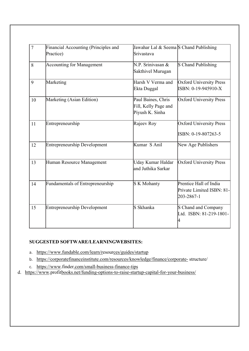| $\overline{7}$ | Financial Accounting (Principles and    | Jawahar Lal & Seema <sup>S</sup> Chand Publishing |                                                                   |
|----------------|-----------------------------------------|---------------------------------------------------|-------------------------------------------------------------------|
|                | Practice)                               | Srivastava                                        |                                                                   |
| 8              | <b>Accounting for Management</b>        | N.P. Srinivasan &                                 | S Chand Publishing                                                |
|                |                                         | Sakthivel Murugan                                 |                                                                   |
| 9              | Marketing                               | Harsh V Verma and                                 | <b>Oxford University Press</b>                                    |
|                |                                         | Ekta Duggal                                       | $\text{ISBN: } 0-19-945910-X$                                     |
| 10             | Marketing (Asian Edition)               | Paul Baines, Chris                                | <b>Oxford University Press</b>                                    |
|                |                                         | Fill, Kelly Page and                              |                                                                   |
|                |                                         | Piyush K. Sinha                                   |                                                                   |
| 11             | Entrepreneurship                        | Rajeev Roy                                        | Oxford University Press                                           |
|                |                                         |                                                   | ISBN: 0-19-807263-5                                               |
| 12             | <b>Entrepreneurship Development</b>     | Kumar S Anil                                      | New Age Publishers                                                |
| 13             | Human Resource Management               | Uday Kumar Haldar<br>and Juthika Sarkar           | Oxford University Press                                           |
| 14             | <b>Fundamentals of Entrepreneurship</b> | <b>S</b> K Mohanty                                | Prentice Hall of India<br>Private Limited ISBN: 81-<br>203-2867-1 |
| 15             | <b>Entrepreneurship Development</b>     | S Skhanka                                         | S Chand and Company<br>Ltd. ISBN: 81-219-1801-<br>4               |

## SUGGESTED SOFTWARE/LEARNINGWEBSITES:

a. https://www.fundable.com/learn/resources/guides/startup

b. https://corporatefinanceinstitute.com/resources/knowledge/finance/corporate- structure/

c. https://www.finder.com/small-business-finance-tips

d. https://www.profitbooks.net/funding-options-to-raise-startup-capital-for-your-business/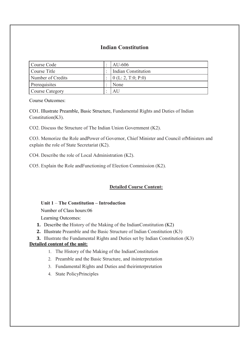# Indian Constitution

| Course Code       |           | AU-606                     |
|-------------------|-----------|----------------------------|
| Course Title      |           | <b>Indian Constitution</b> |
| Number of Credits |           | $\vert 0$ (L: 2, T:0; P:0) |
| Prerequisites     | $\bullet$ | None                       |
| Course Category   |           | AU                         |

Course Outcomes:

CO1. Illustrate Preamble, Basic Structure, Fundamental Rights and Duties of Indian Constitution(K3).

CO2. Discuss the Structure of The Indian Union Government (K2).

CO3. Memorize the Role andPower of Governor, Chief Minister and Council ofMinisters and explain the role of State Secretariat (K2).

CO4. Describe the role of Local Administration (K2).

CO5. Explain the Role andFunctioning of Election Commission (K2).

## Detailed Course Content:

## Unit 1 – The Constitution – Introduction

Number of Class hours:06

Learning Outcomes:

- 1. Describe the History of the Making of the IndianConstitution (K2)
- 2. Illustrate Preamble and the Basic Structure of Indian Constitution (K3)
- 3. Illustrate the Fundamental Rights and Duties set by Indian Constitution (K3)

# Detailed content of the unit:

- 1. The History of the Making of the IndianConstitution
- 2. Preamble and the Basic Structure, and itsinterpretation
- 3. Fundamental Rights and Duties and theirinterpretation
- 4. State PolicyPrinciples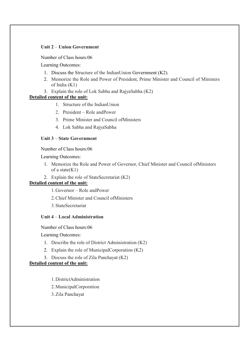## Unit 2 – Union Government

Number of Class hours:06

Learning Outcomes:

- 1. Discuss the Structure of the IndianUnion Government (K2).
- 2. Memorize the Role and Power of President, Prime Minister and Council of Ministers of India (K1)
- 3. Explain the role of Lok Sabha and RajyaSabha (K2)

### Detailed content of the unit:

- 1. Structure of the IndianUnion
- 2. President Role andPower
- 3. Prime Minister and Council ofMinisters
- 4. Lok Sabha and RajyaSabha

#### Unit 3 – State Government

Number of Class hours:06

Learning Outcomes:

- 1. Memorize the Role and Power of Governor, Chief Minister and Council ofMinisters of a state $(K1)$
- 2. Explain the role of StateSecretariat (K2)

#### Detailed content of the unit:

- 1.Governor Role andPower
- 2.Chief Minister and Council ofMinisters
- 3.StateSecretariat

#### Unit 4 – Local Administration

Number of Class hours:06

Learning Outcomes:

- 1. Describe the role of District Administration (K2)
- 2. Explain the role of MunicipalCorporation (K2)
- 3. Discuss the role of Zila Panchayat (K2)

## Detailed content of the unit:

- 1.DistrictAdministration
- 2.MunicipalCorporation
- 3.Zila Panchayat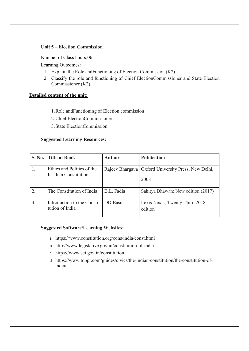#### Unit 5 – Election Commission

Number of Class hours:06

Learning Outcomes:

- 1. Explain the Role andFunctioning of Election Commission (K2)
- 2. Classify the role and functioning of Chief ElectionCommissioner and State Election Commissioner (K2).

#### Detailed content of the unit:

- 1.Role andFunctioning of Election commission
- 2.Chief ElectionCommissioner
- 3.State ElectionCommission

#### Suggested Learning Resources:

|                  | S. No.   Title of Book                             | <b>Author</b>  | <b>Publication</b>                                            |
|------------------|----------------------------------------------------|----------------|---------------------------------------------------------------|
|                  | Ethics and Politics of the<br>In-dian Constitution |                | Rajeev Bhargava   Oxford University Press, New Delhi,<br>2008 |
| $\overline{2}$ . | The Constitution of India                          | B.L. Fadia     | Sahitya Bhawan; New edition (2017)                            |
| 3 <sub>1</sub>   | Introduction to the Consti-<br>tution of India     | <b>DD</b> Basu | Lexis Nexis; Twenty-Third 2018<br>edition                     |

#### Suggested Software/Learning Websites:

- a. https://www.constitution.org/cons/india/const.html
- b. http://www.legislative.gov.in/constitution-of-india
- c. https://www.sci.gov.in/constitution
- d. https://www.toppr.com/guides/civics/the-indian-constitution/the-constitution-ofindia/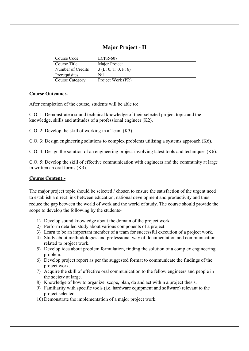# Major Project - II

| Course Code            | <b>ECPR-607</b>     |
|------------------------|---------------------|
| Course Title           | Major Project       |
| Number of Credits      | 3(L: 0, T: 0, P: 6) |
| Prerequisites          | Nil                 |
| <b>Course Category</b> | Project Work (PR)   |

# Course Outcome:-

After completion of the course, students will be able to:

C.O. 1: Demonstrate a sound technical knowledge of their selected project topic and the knowledge, skills and attitudes of a professional engineer (K2).

C.O. 2: Develop the skill of working in a Team (K3).

C.O. 3: Design engineering solutions to complex problems utilising a systems approach (K6).

C.O. 4: Design the solution of an engineering project involving latest tools and techniques (K6).

C.O. 5: Develop the skill of effective communication with engineers and the community at large in written an oral forms (K3).

# Course Content:-

The major project topic should be selected / chosen to ensure the satisfaction of the urgent need to establish a direct link between education, national development and productivity and thus reduce the gap between the world of work and the world of study. The course should provide the scope to develop the following by the students-

- 1) Develop sound knowledge about the domain of the project work.
- 2) Perform detailed study about various components of a project.
- 3) Learn to be an important member of a team for successful execution of a project work.
- 4) Study about methodologies and professional way of documentation and communication related to project work.
- 5) Develop idea about problem formulation, finding the solution of a complex engineering problem.
- 6) Develop project report as per the suggested format to communicate the findings of the project work.
- 7) Acquire the skill of effective oral communication to the fellow engineers and people in the society at large.
- 8) Knowledge of how to organize, scope, plan, do and act within a project thesis.
- 9) Familiarity with specific tools (i.e. hardware equipment and software) relevant to the project selected.

10) Demonstrate the implementation of a major project work.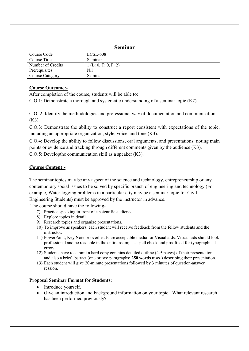# Seminar

| Course Code            | <b>ECSE-608</b>     |
|------------------------|---------------------|
| Course Title           | Seminar             |
| Number of Credits      | 1(L: 0, T: 0, P: 2) |
| Prerequisites          | Nil                 |
| <b>Course Category</b> | Seminar             |

# Course Outcome:-

After completion of the course, students will be able to:

C.O.1: Demonstrate a thorough and systematic understanding of a seminar topic (K2).

C.O. 2: Identify the methodologies and professional way of documentation and communication (K3).

C.O.3: Demonstrate the ability to construct a report consistent with expectations of the topic, including an appropriate organization, style, voice, and tone (K3).

C.O.4: Develop the ability to follow discussions, oral arguments, and presentations, noting main points or evidence and tracking through different comments given by the audience (K3). C.O.5: Developthe communication skill as a speaker (K3).

# Course Content:-

The seminar topics may be any aspect of the science and technology, entrepreneurship or any contemporary social issues to be solved by specific branch of engineering and technology (For example, Water logging problems in a particular city may be a seminar topic for Civil Engineering Students) must be approved by the instructor in advance.

The course should have the following-

- 7) Practice speaking in front of a scientific audience.
- 8) Explore topics in detail.
- 9) Research topics and organize presentations.
- 10) To improve as speakers, each student will receive feedback from the fellow students and the instructor.
- 11) PowerPoint, Key Note or overheads are acceptable media for Visual aids. Visual aids should look professional and be readable in the entire room; use spell check and proofread for typographical errors.
- 12) Students have to submit a hard copy contains detailed outline (4-5 pages) of their presentation and also a brief abstract (one or two paragraphs; 250 words max.) describing their presentation.
- 13) Each student will give 20-minute presentations followed by 3 minutes of question-answer session.

## Proposal Seminar Format for Students:

- Introduce yourself.
- Give an introduction and background information on your topic. What relevant research has been performed previously?